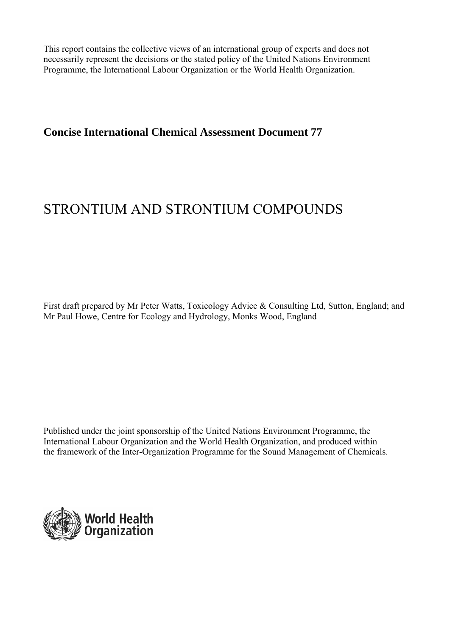This report contains the collective views of an international group of experts and does not necessarily represent the decisions or the stated policy of the United Nations Environment Programme, the International Labour Organization or the World Health Organization.

**Concise International Chemical Assessment Document 77**

# STRONTIUM AND STRONTIUM COMPOUNDS

First draft prepared by Mr Peter Watts, Toxicology Advice & Consulting Ltd, Sutton, England; and Mr Paul Howe, Centre for Ecology and Hydrology, Monks Wood, England

Published under the joint sponsorship of the United Nations Environment Programme, the International Labour Organization and the World Health Organization, and produced within the framework of the Inter-Organization Programme for the Sound Management of Chemicals.

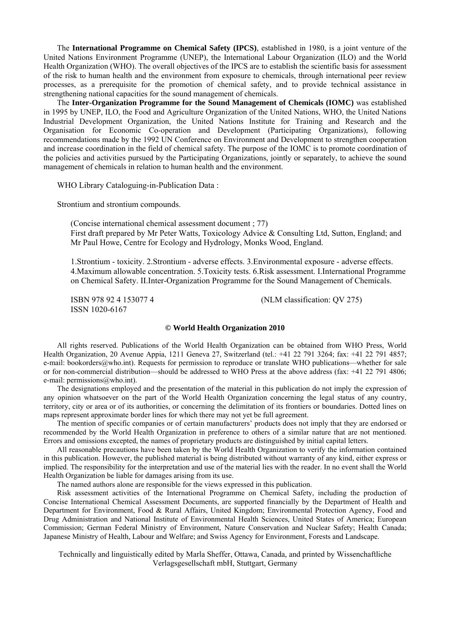The **International Programme on Chemical Safety (IPCS)**, established in 1980, is a joint venture of the United Nations Environment Programme (UNEP), the International Labour Organization (ILO) and the World Health Organization (WHO). The overall objectives of the IPCS are to establish the scientific basis for assessment of the risk to human health and the environment from exposure to chemicals, through international peer review processes, as a prerequisite for the promotion of chemical safety, and to provide technical assistance in strengthening national capacities for the sound management of chemicals.

 The **Inter-Organization Programme for the Sound Management of Chemicals (IOMC)** was established in 1995 by UNEP, ILO, the Food and Agriculture Organization of the United Nations, WHO, the United Nations Industrial Development Organization, the United Nations Institute for Training and Research and the Organisation for Economic Co-operation and Development (Participating Organizations), following recommendations made by the 1992 UN Conference on Environment and Development to strengthen cooperation and increase coordination in the field of chemical safety. The purpose of the IOMC is to promote coordination of the policies and activities pursued by the Participating Organizations, jointly or separately, to achieve the sound management of chemicals in relation to human health and the environment.

WHO Library Cataloguing-in-Publication Data :

Strontium and strontium compounds.

 (Concise international chemical assessment document ; 77) First draft prepared by Mr Peter Watts, Toxicology Advice & Consulting Ltd, Sutton, England; and Mr Paul Howe, Centre for Ecology and Hydrology, Monks Wood, England.

1.Strontium - toxicity. 2.Strontium - adverse effects. 3.Environmental exposure - adverse effects. 4.Maximum allowable concentration. 5.Toxicity tests. 6.Risk assessment. I.International Programme on Chemical Safety. II.Inter-Organization Programme for the Sound Management of Chemicals.

ISSN 1020-6167

ISBN 978 92 4 153077 4 (NLM classification: QV 275)

#### **© World Health Organization 2010**

All rights reserved. Publications of the World Health Organization can be obtained from WHO Press, World Health Organization, 20 Avenue Appia, 1211 Geneva 27, Switzerland (tel.: +41 22 791 3264; fax: +41 22 791 4857; e-mail: bookorders@who.int). Requests for permission to reproduce or translate WHO publications—whether for sale or for non-commercial distribution—should be addressed to WHO Press at the above address (fax: +41 22 791 4806; e-mail: permissions@who.int).

The designations employed and the presentation of the material in this publication do not imply the expression of any opinion whatsoever on the part of the World Health Organization concerning the legal status of any country, territory, city or area or of its authorities, or concerning the delimitation of its frontiers or boundaries. Dotted lines on maps represent approximate border lines for which there may not yet be full agreement.

The mention of specific companies or of certain manufacturers' products does not imply that they are endorsed or recommended by the World Health Organization in preference to others of a similar nature that are not mentioned. Errors and omissions excepted, the names of proprietary products are distinguished by initial capital letters.

 All reasonable precautions have been taken by the World Health Organization to verify the information contained in this publication. However, the published material is being distributed without warranty of any kind, either express or implied. The responsibility for the interpretation and use of the material lies with the reader. In no event shall the World Health Organization be liable for damages arising from its use.

The named authors alone are responsible for the views expressed in this publication.

 Risk assessment activities of the International Programme on Chemical Safety, including the production of Concise International Chemical Assessment Documents, are supported financially by the Department of Health and Department for Environment, Food & Rural Affairs, United Kingdom; Environmental Protection Agency, Food and Drug Administration and National Institute of Environmental Health Sciences, United States of America; European Commission; German Federal Ministry of Environment, Nature Conservation and Nuclear Safety; Health Canada; Japanese Ministry of Health, Labour and Welfare; and Swiss Agency for Environment, Forests and Landscape.

Technically and linguistically edited by Marla Sheffer, Ottawa, Canada, and printed by Wissenchaftliche Verlagsgesellschaft mbH, Stuttgart, Germany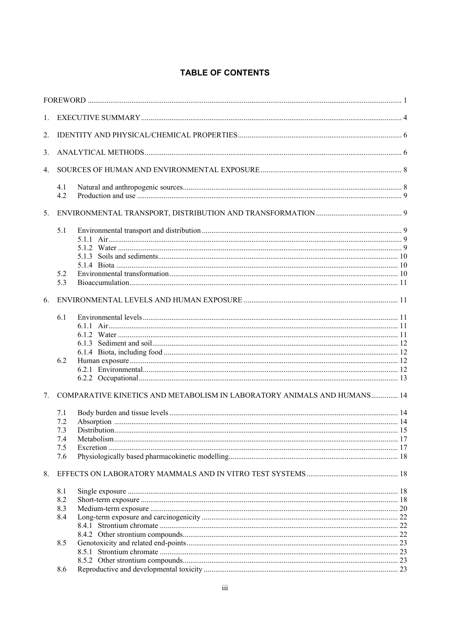# **TABLE OF CONTENTS**

| 1.               |                                                                         |  |
|------------------|-------------------------------------------------------------------------|--|
| 2.               |                                                                         |  |
| 3.               |                                                                         |  |
| $\overline{4}$ . |                                                                         |  |
|                  | 4.1<br>4.2                                                              |  |
| 5.               |                                                                         |  |
|                  | 5.1<br>5.2<br>5.3                                                       |  |
| 6.               |                                                                         |  |
|                  | 6.1<br>6.2                                                              |  |
| 7.               | COMPARATIVE KINETICS AND METABOLISM IN LABORATORY ANIMALS AND HUMANS 14 |  |
|                  | 7.1<br>7.2<br>7.3<br>7.4<br>7.5<br>7.6                                  |  |
| 8.               |                                                                         |  |
|                  | 8.1<br>8.2<br>8.3<br>8.4                                                |  |
|                  | 8.5                                                                     |  |
|                  | 8.6                                                                     |  |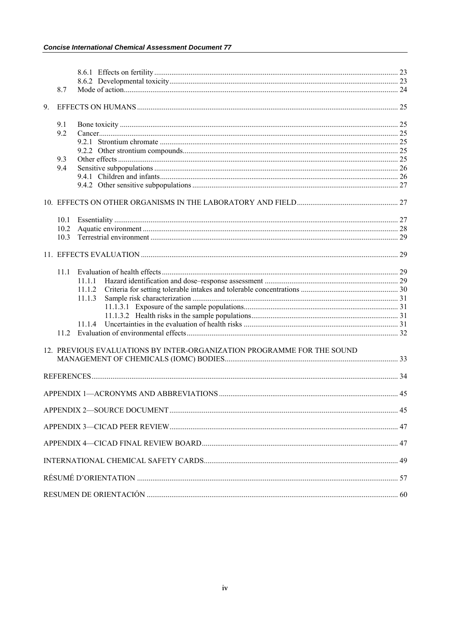| 8.7  |                                                                        |  |
|------|------------------------------------------------------------------------|--|
| 9.   |                                                                        |  |
| 9.1  |                                                                        |  |
| 9.2  |                                                                        |  |
|      |                                                                        |  |
|      |                                                                        |  |
| 9.3  |                                                                        |  |
| 9.4  |                                                                        |  |
|      |                                                                        |  |
|      |                                                                        |  |
|      |                                                                        |  |
| 10.1 |                                                                        |  |
| 10.2 |                                                                        |  |
|      |                                                                        |  |
|      |                                                                        |  |
|      |                                                                        |  |
|      | 11.1.1                                                                 |  |
|      |                                                                        |  |
|      | 11.1.3                                                                 |  |
|      |                                                                        |  |
|      |                                                                        |  |
|      | 11.1.4                                                                 |  |
|      |                                                                        |  |
|      | 12. PREVIOUS EVALUATIONS BY INTER-ORGANIZATION PROGRAMME FOR THE SOUND |  |
|      |                                                                        |  |
|      |                                                                        |  |
|      |                                                                        |  |
|      |                                                                        |  |
|      |                                                                        |  |
|      |                                                                        |  |
|      |                                                                        |  |
|      |                                                                        |  |
|      |                                                                        |  |
|      |                                                                        |  |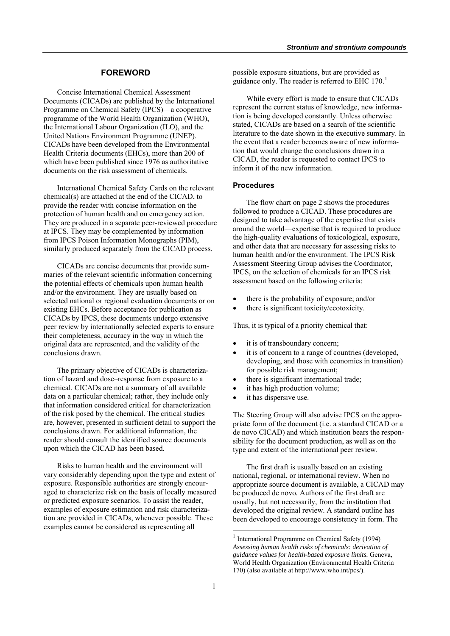#### **FOREWORD**

 Concise International Chemical Assessment Documents (CICADs) are published by the International Programme on Chemical Safety (IPCS)—a cooperative programme of the World Health Organization (WHO), the International Labour Organization (ILO), and the United Nations Environment Programme (UNEP). CICADs have been developed from the Environmental Health Criteria documents (EHCs), more than 200 of which have been published since 1976 as authoritative documents on the risk assessment of chemicals.

 International Chemical Safety Cards on the relevant chemical(s) are attached at the end of the CICAD, to provide the reader with concise information on the protection of human health and on emergency action. They are produced in a separate peer-reviewed procedure at IPCS. They may be complemented by information from IPCS Poison Information Monographs (PIM), similarly produced separately from the CICAD process.

 CICADs are concise documents that provide summaries of the relevant scientific information concerning the potential effects of chemicals upon human health and/or the environment. They are usually based on selected national or regional evaluation documents or on existing EHCs. Before acceptance for publication as CICADs by IPCS, these documents undergo extensive peer review by internationally selected experts to ensure their completeness, accuracy in the way in which the original data are represented, and the validity of the conclusions drawn.

 The primary objective of CICADs is characterization of hazard and dose–response from exposure to a chemical. CICADs are not a summary of all available data on a particular chemical; rather, they include only that information considered critical for characterization of the risk posed by the chemical. The critical studies are, however, presented in sufficient detail to support the conclusions drawn. For additional information, the reader should consult the identified source documents upon which the CICAD has been based.

<span id="page-4-0"></span> Risks to human health and the environment will vary considerably depending upon the type and extent of exposure. Responsible authorities are strongly encouraged to characterize risk on the basis of locally measured or predicted exposure scenarios. To assist the reader, examples of exposure estimation and risk characterization are provided in CICADs, whenever possible. These examples cannot be considered as representing all

possible exposure situations, but are provided as guidance only. The reader is referred to EHC  $170<sup>1</sup>$  $170<sup>1</sup>$ 

 While every effort is made to ensure that CICADs represent the current status of knowledge, new information is being developed constantly. Unless otherwise stated, CICADs are based on a search of the scientific literature to the date shown in the executive summary. In the event that a reader becomes aware of new information that would change the conclusions drawn in a CICAD, the reader is requested to contact IPCS to inform it of the new information.

#### **Procedures**

The flow chart on page 2 shows the procedures followed to produce a CICAD. These procedures are designed to take advantage of the expertise that exists around the world—expertise that is required to produce the high-quality evaluations of toxicological, exposure, and other data that are necessary for assessing risks to human health and/or the environment. The IPCS Risk Assessment Steering Group advises the Coordinator, IPCS, on the selection of chemicals for an IPCS risk assessment based on the following criteria:

- there is the probability of exposure; and/or
- there is significant toxicity/ecotoxicity.

Thus, it is typical of a priority chemical that:

- it is of transboundary concern;
- it is of concern to a range of countries (developed, developing, and those with economies in transition) for possible risk management;
- there is significant international trade;
- it has high production volume;
- it has dispersive use.

The Steering Group will also advise IPCS on the appropriate form of the document (i.e. a standard CICAD or a de novo CICAD) and which institution bears the responsibility for the document production, as well as on the type and extent of the international peer review.

The first draft is usually based on an existing national, regional, or international review. When no appropriate source document is available, a CICAD may be produced de novo*.* Authors of the first draft are usually, but not necessarily, from the institution that developed the original review. A standard outline has been developed to encourage consistency in form. The

1

<sup>&</sup>lt;sup>1</sup> International Programme on Chemical Safety (1994) *Assessing human health risks of chemicals: derivation of guidance values for health-based exposure limits.* Geneva, World Health Organization (Environmental Health Criteria 170) (also available at http://www.who.int/pcs/).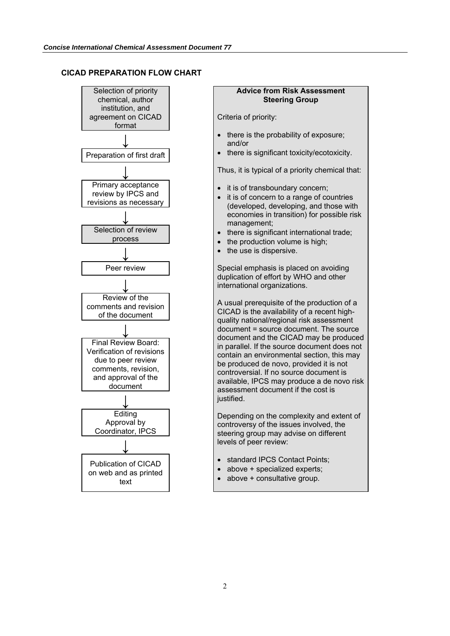### **CICAD PREPARATION FLOW CHART**



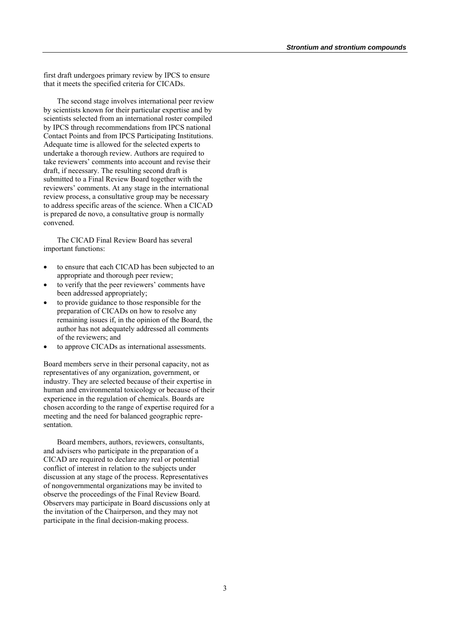first draft undergoes primary review by IPCS to ensure that it meets the specified criteria for CICADs.

 The second stage involves international peer review by scientists known for their particular expertise and by scientists selected from an international roster compiled by IPCS through recommendations from IPCS national Contact Points and from IPCS Participating Institutions. Adequate time is allowed for the selected experts to undertake a thorough review. Authors are required to take reviewers' comments into account and revise their draft, if necessary. The resulting second draft is submitted to a Final Review Board together with the reviewers' comments. At any stage in the international review process, a consultative group may be necessary to address specific areas of the science. When a CICAD is prepared de novo, a consultative group is normally convened.

 The CICAD Final Review Board has several important functions:

- to ensure that each CICAD has been subjected to an appropriate and thorough peer review;
- to verify that the peer reviewers' comments have been addressed appropriately;
- to provide guidance to those responsible for the preparation of CICADs on how to resolve any remaining issues if, in the opinion of the Board, the author has not adequately addressed all comments of the reviewers; and
- to approve CICADs as international assessments.

Board members serve in their personal capacity, not as representatives of any organization, government, or industry. They are selected because of their expertise in human and environmental toxicology or because of their experience in the regulation of chemicals. Boards are chosen according to the range of expertise required for a meeting and the need for balanced geographic representation.

 Board members, authors, reviewers, consultants, and advisers who participate in the preparation of a CICAD are required to declare any real or potential conflict of interest in relation to the subjects under discussion at any stage of the process. Representatives of nongovernmental organizations may be invited to observe the proceedings of the Final Review Board. Observers may participate in Board discussions only at the invitation of the Chairperson, and they may not participate in the final decision-making process.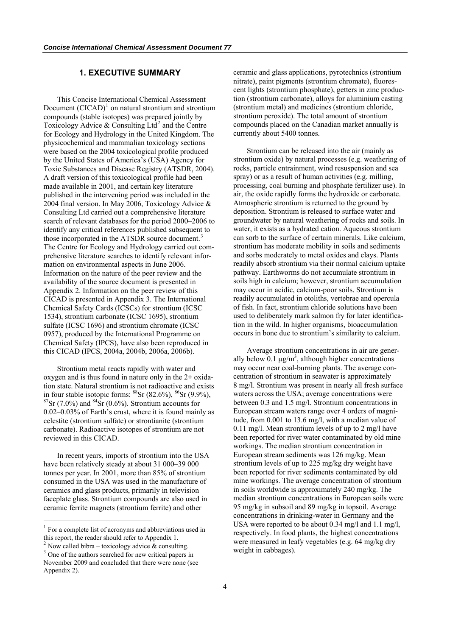### **1. EXECUTIVE SUMMARY**

 This Concise International Chemical Assessment Document  $(CICAD)^1$  $(CICAD)^1$  on natural strontium and strontium compounds (stable isotopes) was prepared jointly by Toxicology Advice & Consulting Ltd<sup>[2](#page-7-1)</sup> and the Centre for Ecology and Hydrology in the United Kingdom. The physicochemical and mammalian toxicology sections were based on the 2004 toxicological profile produced by the United States of America's (USA) Agency for Toxic Substances and Disease Registry (ATSDR, 2004). A draft version of this toxicological profile had been made available in 2001, and certain key literature published in the intervening period was included in the 2004 final version. In May 2006, Toxicology Advice & Consulting Ltd carried out a comprehensive literature search of relevant databases for the period 2000–2006 to identify any critical references published subsequent to those incorporated in the ATSDR source document.<sup>[3](#page-7-2)</sup> The Centre for Ecology and Hydrology carried out comprehensive literature searches to identify relevant information on environmental aspects in June 2006. Information on the nature of the peer review and the availability of the source document is presented in Appendix 2. Information on the peer review of this CICAD is presented in Appendix 3. The International Chemical Safety Cards (ICSCs) for strontium (ICSC 1534), strontium carbonate (ICSC 1695), strontium sulfate (ICSC 1696) and strontium chromate (ICSC 0957), produced by the International Programme on Chemical Safety (IPCS), have also been reproduced in this CICAD (IPCS, 2004a, 2004b, 2006a, 2006b). Average strontium concentrations in air are gener-

 Strontium metal reacts rapidly with water and oxygen and is thus found in nature only in the 2+ oxidation state. Natural strontium is not radioactive and exists in four stable isotopic forms:  $88$ Sr (82.6%),  $86$ Sr (9.9%),  $87$ Sr (7.0%) and  $84$ Sr (0.6%). Strontium accounts for 0.02–0.03% of Earth's crust, where it is found mainly as celestite (strontium sulfate) or strontianite (strontium carbonate). Radioactive isotopes of strontium are not reviewed in this CICAD.

 In recent years, imports of strontium into the USA have been relatively steady at about 31 000–39 000 tonnes per year. In 2001, more than 85% of strontium consumed in the USA was used in the manufacture of ceramics and glass products, primarily in television faceplate glass. Strontium compounds are also used in ceramic ferrite magnets (strontium ferrite) and other

 $\overline{a}$ 

ceramic and glass applications, pyrotechnics (strontium nitrate), paint pigments (strontium chromate), fluorescent lights (strontium phosphate), getters in zinc production (strontium carbonate), alloys for aluminium casting (strontium metal) and medicines (strontium chloride, strontium peroxide). The total amount of strontium compounds placed on the Canadian market annually is currently about 5400 tonnes.

Strontium can be released into the air (mainly as strontium oxide) by natural processes (e.g. weathering of rocks, particle entrainment, wind resuspension and sea spray) or as a result of human activities (e.g. milling, processing, coal burning and phosphate fertilizer use). In air, the oxide rapidly forms the hydroxide or carbonate. Atmospheric strontium is returned to the ground by deposition. Strontium is released to surface water and groundwater by natural weathering of rocks and soils. In water, it exists as a hydrated cation. Aqueous strontium can sorb to the surface of certain minerals. Like calcium, strontium has moderate mobility in soils and sediments and sorbs moderately to metal oxides and clays. Plants readily absorb strontium via their normal calcium uptake pathway. Earthworms do not accumulate strontium in soils high in calcium; however, strontium accumulation may occur in acidic, calcium-poor soils. Strontium is readily accumulated in otoliths, vertebrae and opercula of fish. In fact, strontium chloride solutions have been used to deliberately mark salmon fry for later identification in the wild. In higher organisms, bioaccumulation occurs in bone due to strontium's similarity to calcium.

ally below  $0.1 \mu g/m^3$ , although higher concentrations may occur near coal-burning plants. The average concentration of strontium in seawater is approximately 8 mg/l. Strontium was present in nearly all fresh surface waters across the USA; average concentrations were between 0.3 and 1.5 mg/l. Strontium concentrations in European stream waters range over 4 orders of magnitude, from 0.001 to 13.6 mg/l, with a median value of 0.11 mg/l. Mean strontium levels of up to 2 mg/l have been reported for river water contaminated by old mine workings. The median strontium concentration in European stream sediments was 126 mg/kg. Mean strontium levels of up to 225 mg/kg dry weight have been reported for river sediments contaminated by old mine workings. The average concentration of strontium in soils worldwide is approximately 240 mg/kg. The median strontium concentrations in European soils were 95 mg/kg in subsoil and 89 mg/kg in topsoil. Average concentrations in drinking-water in Germany and the USA were reported to be about 0.34 mg/l and 1.1 mg/l, respectively. In food plants, the highest concentrations were measured in leafy vegetables (e.g. 64 mg/kg dry weight in cabbages).

<span id="page-7-0"></span><sup>&</sup>lt;sup>1</sup> For a complete list of acronyms and abbreviations used in this report, the reader should refer to Appendix 1.

<span id="page-7-1"></span><sup>&</sup>lt;sup>2</sup> Now called bibra – toxicology advice & consulting.<br><sup>3</sup> One of the authors searched for new critical papers in

<span id="page-7-2"></span>November 2009 and concluded that there were none (see Appendix 2).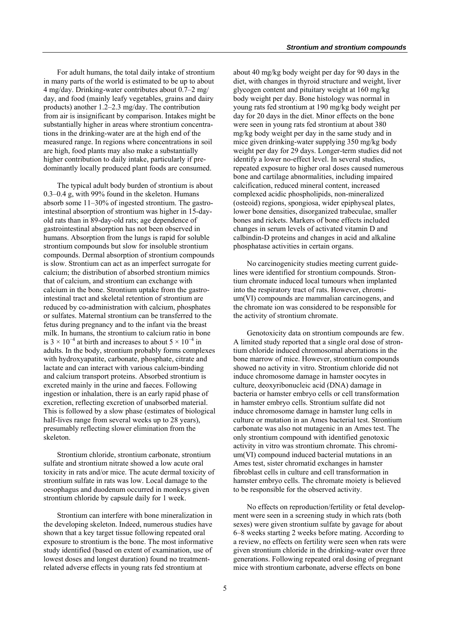For adult humans, the total daily intake of strontium in many parts of the world is estimated to be up to about 4 mg/day. Drinking-water contributes about 0.7–2 mg/ day, and food (mainly leafy vegetables, grains and dairy products) another 1.2–2.3 mg/day. The contribution from air is insignificant by comparison. Intakes might be substantially higher in areas where strontium concentrations in the drinking-water are at the high end of the measured range. In regions where concentrations in soil are high, food plants may also make a substantially higher contribution to daily intake, particularly if predominantly locally produced plant foods are consumed.

 The typical adult body burden of strontium is about 0.3–0.4 g, with 99% found in the skeleton. Humans absorb some 11–30% of ingested strontium. The gastrointestinal absorption of strontium was higher in 15-dayold rats than in 89-day-old rats; age dependence of gastrointestinal absorption has not been observed in humans. Absorption from the lungs is rapid for soluble strontium compounds but slow for insoluble strontium compounds. Dermal absorption of strontium compounds is slow. Strontium can act as an imperfect surrogate for calcium; the distribution of absorbed strontium mimics that of calcium, and strontium can exchange with calcium in the bone. Strontium uptake from the gastrointestinal tract and skeletal retention of strontium are reduced by co-administration with calcium, phosphates or sulfates. Maternal strontium can be transferred to the fetus during pregnancy and to the infant via the breast milk. In humans, the strontium to calcium ratio in bone is 3  $\times$  10<sup>-4</sup> at birth and increases to about 5  $\times$  10<sup>-4</sup> in adults. In the body, strontium probably forms complexes with hydroxyapatite, carbonate, phosphate, citrate and lactate and can interact with various calcium-binding and calcium transport proteins. Absorbed strontium is excreted mainly in the urine and faeces. Following ingestion or inhalation, there is an early rapid phase of excretion, reflecting excretion of unabsorbed material. This is followed by a slow phase (estimates of biological half-lives range from several weeks up to 28 years), presumably reflecting slower elimination from the skeleton.

 Strontium chloride, strontium carbonate, strontium sulfate and strontium nitrate showed a low acute oral toxicity in rats and/or mice. The acute dermal toxicity of strontium sulfate in rats was low. Local damage to the oesophagus and duodenum occurred in monkeys given strontium chloride by capsule daily for 1 week.

 Strontium can interfere with bone mineralization in the developing skeleton. Indeed, numerous studies have shown that a key target tissue following repeated oral exposure to strontium is the bone. The most informative study identified (based on extent of examination, use of lowest doses and longest duration) found no treatmentrelated adverse effects in young rats fed strontium at

about 40 mg/kg body weight per day for 90 days in the diet, with changes in thyroid structure and weight, liver glycogen content and pituitary weight at 160 mg/kg body weight per day. Bone histology was normal in young rats fed strontium at 190 mg/kg body weight per day for 20 days in the diet. Minor effects on the bone were seen in young rats fed strontium at about 380 mg/kg body weight per day in the same study and in mice given drinking-water supplying 350 mg/kg body weight per day for 29 days. Longer-term studies did not identify a lower no-effect level. In several studies, repeated exposure to higher oral doses caused numerous bone and cartilage abnormalities, including impaired calcification, reduced mineral content, increased complexed acidic phospholipids, non-mineralized (osteoid) regions, spongiosa, wider epiphyseal plates, lower bone densities, disorganized trabeculae, smaller bones and rickets. Markers of bone effects included changes in serum levels of activated vitamin D and calbindin-D proteins and changes in acid and alkaline phosphatase activities in certain organs.

 No carcinogenicity studies meeting current guidelines were identified for strontium compounds. Strontium chromate induced local tumours when implanted into the respiratory tract of rats. However, chromium(VI) compounds are mammalian carcinogens, and the chromate ion was considered to be responsible for the activity of strontium chromate.

 Genotoxicity data on strontium compounds are few. A limited study reported that a single oral dose of strontium chloride induced chromosomal aberrations in the bone marrow of mice. However, strontium compounds showed no activity in vitro. Strontium chloride did not induce chromosome damage in hamster oocytes in culture, deoxyribonucleic acid (DNA) damage in bacteria or hamster embryo cells or cell transformation in hamster embryo cells. Strontium sulfate did not induce chromosome damage in hamster lung cells in culture or mutation in an Ames bacterial test. Strontium carbonate was also not mutagenic in an Ames test. The only strontium compound with identified genotoxic activity in vitro was strontium chromate. This chromium(VI) compound induced bacterial mutations in an Ames test, sister chromatid exchanges in hamster fibroblast cells in culture and cell transformation in hamster embryo cells. The chromate moiety is believed to be responsible for the observed activity.

 No effects on reproduction/fertility or fetal development were seen in a screening study in which rats (both sexes) were given strontium sulfate by gavage for about 6–8 weeks starting 2 weeks before mating. According to a review, no effects on fertility were seen when rats were given strontium chloride in the drinking-water over three generations. Following repeated oral dosing of pregnant mice with strontium carbonate, adverse effects on bone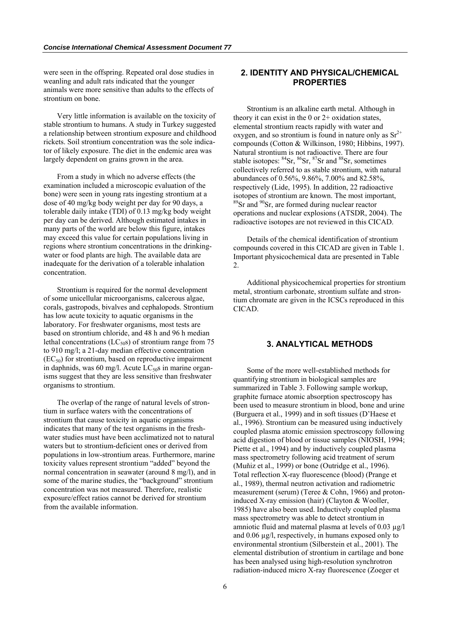were seen in the offspring. Repeated oral dose studies in weanling and adult rats indicated that the younger animals were more sensitive than adults to the effects of strontium on bone.

 Very little information is available on the toxicity of stable strontium to humans. A study in Turkey suggested a relationship between strontium exposure and childhood rickets. Soil strontium concentration was the sole indicator of likely exposure. The diet in the endemic area was largely dependent on grains grown in the area.

 From a study in which no adverse effects (the examination included a microscopic evaluation of the bone) were seen in young rats ingesting strontium at a dose of 40 mg/kg body weight per day for 90 days, a tolerable daily intake (TDI) of 0.13 mg/kg body weight per day can be derived. Although estimated intakes in many parts of the world are below this figure, intakes may exceed this value for certain populations living in regions where strontium concentrations in the drinkingwater or food plants are high. The available data are inadequate for the derivation of a tolerable inhalation concentration.

 Strontium is required for the normal development of some unicellular microorganisms, calcerous algae, corals, gastropods, bivalves and cephalopods. Strontium has low acute toxicity to aquatic organisms in the laboratory. For freshwater organisms, most tests are based on strontium chloride, and 48 h and 96 h median lethal concentrations ( $LC_{50}$ s) of strontium range from 75 to 910 mg/l; a 21-day median effective concentration  $(EC_{50})$  for strontium, based on reproductive impairment in daphnids, was 60 mg/l. Acute  $LC_{50}$ s in marine organisms suggest that they are less sensitive than freshwater organisms to strontium.

 The overlap of the range of natural levels of strontium in surface waters with the concentrations of strontium that cause toxicity in aquatic organisms indicates that many of the test organisms in the freshwater studies must have been acclimatized not to natural waters but to strontium-deficient ones or derived from populations in low-strontium areas. Furthermore, marine toxicity values represent strontium "added" beyond the normal concentration in seawater (around 8 mg/l), and in some of the marine studies, the "background" strontium concentration was not measured. Therefore, realistic exposure/effect ratios cannot be derived for strontium from the available information.

### **2. IDENTITY AND PHYSICAL/CHEMICAL PROPERTIES**

 Strontium is an alkaline earth metal. Although in theory it can exist in the 0 or 2+ oxidation states, elemental strontium reacts rapidly with water and oxygen, and so strontium is found in nature only as  $Sr^{2+}$ compounds (Cotton & Wilkinson, 1980; Hibbins, 1997). Natural strontium is not radioactive. There are four stable isotopes:  ${}^{84}Sr$ ,  ${}^{86}Sr$ ,  ${}^{87}Sr$  and  ${}^{88}Sr$ , sometimes collectively referred to as stable strontium, with natural abundances of 0.56%, 9.86%, 7.00% and 82.58%, respectively (Lide, 1995). In addition, 22 radioactive isotopes of strontium are known. The most important, <sup>89</sup>Sr and <sup>90</sup>Sr, are formed during nuclear reactor operations and nuclear explosions (ATSDR, 2004). The radioactive isotopes are not reviewed in this CICAD.

 Details of the chemical identification of strontium compounds covered in this CICAD are given in Table 1. Important physicochemical data are presented in Table 2.

 Additional physicochemical properties for strontium metal, strontium carbonate, strontium sulfate and strontium chromate are given in the ICSCs reproduced in this CICAD.

### **3. ANALYTICAL METHODS**

Some of the more well-established methods for quantifying strontium in biological samples are summarized in Table 3. Following sample workup, graphite furnace atomic absorption spectroscopy has been used to measure strontium in blood, bone and urine (Burguera et al., 1999) and in soft tissues (D'Haese et al., 1996). Strontium can be measured using inductively coupled plasma atomic emission spectroscopy following acid digestion of blood or tissue samples (NIOSH, 1994; Piette et al., 1994) and by inductively coupled plasma mass spectrometry following acid treatment of serum (Muňiz et al., 1999) or bone (Outridge et al., 1996). Total reflection X-ray fluorescence (blood) (Prange et al., 1989), thermal neutron activation and radiometric measurement (serum) (Teree & Cohn, 1966) and protoninduced X-ray emission (hair) (Clayton & Wooller, 1985) have also been used. Inductively coupled plasma mass spectrometry was able to detect strontium in amniotic fluid and maternal plasma at levels of 0.03 µg/l and 0.06 µg/l, respectively, in humans exposed only to environmental strontium (Silberstein et al., 2001). The elemental distribution of strontium in cartilage and bone has been analysed using high-resolution synchrotron radiation-induced micro X-ray fluorescence (Zoeger et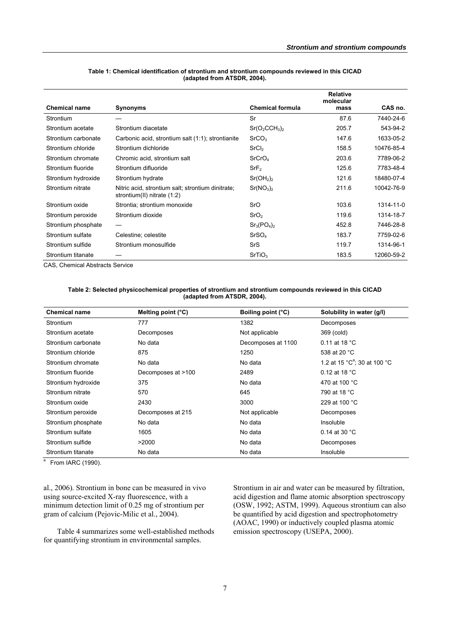|                      |                                                                                  |                                   | <b>Relative</b><br>molecular |            |
|----------------------|----------------------------------------------------------------------------------|-----------------------------------|------------------------------|------------|
| <b>Chemical name</b> | <b>Synonyms</b>                                                                  | <b>Chemical formula</b>           | mass                         | CAS no.    |
| Strontium            |                                                                                  | Sr                                | 87.6                         | 7440-24-6  |
| Strontium acetate    | Strontium diacetate                                                              | $Sr(O2 CCH3)2$                    | 205.7                        | 543-94-2   |
| Strontium carbonate  | Carbonic acid, strontium salt (1:1); strontianite                                | SrCO <sub>3</sub>                 | 147.6                        | 1633-05-2  |
| Strontium chloride   | Strontium dichloride                                                             | SrCl <sub>2</sub>                 | 158.5                        | 10476-85-4 |
| Strontium chromate   | Chromic acid, strontium salt                                                     | SrCrO <sub>4</sub>                | 203.6                        | 7789-06-2  |
| Strontium fluoride   | Strontium difluoride                                                             | SrF <sub>2</sub>                  | 125.6                        | 7783-48-4  |
| Strontium hydroxide  | Strontium hydrate                                                                | Sr(OH <sub>2</sub> ) <sub>2</sub> | 121.6                        | 18480-07-4 |
| Strontium nitrate    | Nitric acid, strontium salt; strontium dinitrate;<br>strontium(II) nitrate (1:2) | Sr(NO <sub>3</sub> ) <sub>2</sub> | 211.6                        | 10042-76-9 |
| Strontium oxide      | Strontia; strontium monoxide                                                     | <b>SrO</b>                        | 103.6                        | 1314-11-0  |
| Strontium peroxide   | Strontium dioxide                                                                | SrO <sub>2</sub>                  | 119.6                        | 1314-18-7  |
| Strontium phosphate  |                                                                                  | $Sr3(PO4)2$                       | 452.8                        | 7446-28-8  |
| Strontium sulfate    | Celestine; celestite                                                             | SrSO <sub>4</sub>                 | 183.7                        | 7759-02-6  |
| Strontium sulfide    | Strontium monosulfide                                                            | <b>SrS</b>                        | 119.7                        | 1314-96-1  |
| Strontium titanate   |                                                                                  | SrTiO <sub>3</sub>                | 183.5                        | 12060-59-2 |

#### **Table 1: Chemical identification of strontium and strontium compounds reviewed in this CICAD (adapted from ATSDR, 2004).**

CAS, Chemical Abstracts Service

#### **Table 2: Selected physicochemical properties of strontium and strontium compounds reviewed in this CICAD (adapted from ATSDR, 2004).**

| <b>Chemical name</b> | Melting point $(^{\circ}C)$ | Boiling point (°C) | Solubility in water (g/l)                |
|----------------------|-----------------------------|--------------------|------------------------------------------|
| Strontium            | 777                         | 1382               | Decomposes                               |
| Strontium acetate    | Decomposes                  | Not applicable     | 369 (cold)                               |
| Strontium carbonate  | No data                     | Decomposes at 1100 | 0.11 at 18 $^{\circ}$ C                  |
| Strontium chloride   | 875                         | 1250               | 538 at 20 °C                             |
| Strontium chromate   | No data                     | No data            | 1.2 at 15 °C <sup>a</sup> ; 30 at 100 °C |
| Strontium fluoride   | Decomposes at >100          | 2489               | 0.12 at 18 $^{\circ}$ C                  |
| Strontium hydroxide  | 375                         | No data            | 470 at 100 °C                            |
| Strontium nitrate    | 570                         | 645                | 790 at 18 °C                             |
| Strontium oxide      | 2430                        | 3000               | 229 at 100 °C                            |
| Strontium peroxide   | Decomposes at 215           | Not applicable     | Decomposes                               |
| Strontium phosphate  | No data                     | No data            | Insoluble                                |
| Strontium sulfate    | 1605                        | No data            | 0.14 at 30 $^{\circ}$ C                  |
| Strontium sulfide    | >2000                       | No data            | Decomposes                               |
| Strontium titanate   | No data                     | No data            | Insoluble                                |

a From IARC (1990).

al., 2006). Strontium in bone can be measured in vivo using source-excited X-ray fluorescence, with a minimum detection limit of 0.25 mg of strontium per gram of calcium (Pejovic-Milic et al., 2004).

 Table 4 summarizes some well-established methods for quantifying strontium in environmental samples.

Strontium in air and water can be measured by filtration, acid digestion and flame atomic absorption spectroscopy (OSW, 1992; ASTM, 1999). Aqueous strontium can also be quantified by acid digestion and spectrophotometry (AOAC, 1990) or inductively coupled plasma atomic emission spectroscopy (USEPA, 2000).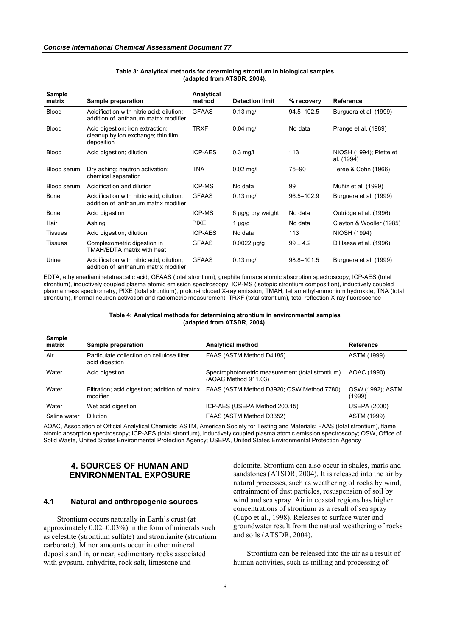| Sample         |                                                                                      | Analytical     |                        |              |                                       |
|----------------|--------------------------------------------------------------------------------------|----------------|------------------------|--------------|---------------------------------------|
| matrix         | Sample preparation                                                                   | method         | <b>Detection limit</b> | % recovery   | <b>Reference</b>                      |
| <b>Blood</b>   | Acidification with nitric acid; dilution;<br>addition of lanthanum matrix modifier   | <b>GFAAS</b>   | $0.13$ mg/             | 94.5-102.5   | Burguera et al. (1999)                |
| <b>Blood</b>   | Acid digestion; iron extraction;<br>cleanup by ion exchange; thin film<br>deposition | TRXF           | $0.04$ mg/             | No data      | Prange et al. (1989)                  |
| <b>Blood</b>   | Acid digestion; dilution                                                             | <b>ICP-AES</b> | $0.3$ mg/l             | 113          | NIOSH (1994); Piette et<br>al. (1994) |
| Blood serum    | Dry ashing; neutron activation;<br>chemical separation                               | TNA            | $0.02$ mg/l            | $75 - 90$    | Teree & Cohn (1966)                   |
| Blood serum    | Acidification and dilution                                                           | ICP-MS         | No data                | 99           | Muñiz et al. (1999)                   |
| Bone           | Acidification with nitric acid; dilution;<br>addition of lanthanum matrix modifier   | <b>GFAAS</b>   | $0.13$ mg/             | 96.5-102.9   | Burguera et al. (1999)                |
| Bone           | Acid digestion                                                                       | ICP-MS         | 6 µg/g dry weight      | No data      | Outridge et al. (1996)                |
| Hair           | Ashing                                                                               | <b>PIXE</b>    | 1 $\mu$ g/g            | No data      | Clayton & Wooller (1985)              |
| <b>Tissues</b> | Acid digestion; dilution                                                             | <b>ICP-AES</b> | No data                | 113          | NIOSH (1994)                          |
| <b>Tissues</b> | Complexometric digestion in<br>TMAH/EDTA matrix with heat                            | <b>GFAAS</b>   | $0.0022$ µg/g          | $99 \pm 4.2$ | D'Haese et al. (1996)                 |
| Urine          | Acidification with nitric acid: dilution:<br>addition of lanthanum matrix modifier   | <b>GFAAS</b>   | $0.13$ mg/             | 98.8-101.5   | Burguera et al. (1999)                |

#### **Table 3: Analytical methods for determining strontium in biological samples (adapted from ATSDR, 2004).**

EDTA, ethylenediaminetetraacetic acid; GFAAS (total strontium), graphite furnace atomic absorption spectroscopy; ICP-AES (total strontium), inductively coupled plasma atomic emission spectroscopy; ICP-MS (isotopic strontium composition), inductively coupled plasma mass spectrometry; PIXE (total strontium), proton-induced X-ray emission; TMAH, tetramethylammonium hydroxide; TNA (total strontium), thermal neutron activation and radiometric measurement; TRXF (total strontium), total reflection X-ray fluorescence

#### **Table 4: Analytical methods for determining strontium in environmental samples (adapted from ATSDR, 2004).**

| Sample<br>matrix | Sample preparation                                            | <b>Analytical method</b>                                                 | Reference                  |
|------------------|---------------------------------------------------------------|--------------------------------------------------------------------------|----------------------------|
| Air              | Particulate collection on cellulose filter;<br>acid digestion | FAAS (ASTM Method D4185)                                                 | ASTM (1999)                |
| Water            | Acid digestion                                                | Spectrophotometric measurement (total strontium)<br>(AOAC Method 911.03) | AOAC (1990)                |
| Water            | Filtration; acid digestion; addition of matrix<br>modifier    | FAAS (ASTM Method D3920; OSW Method 7780)                                | OSW (1992); ASTM<br>(1999) |
| Water            | Wet acid digestion                                            | ICP-AES (USEPA Method 200.15)                                            | <b>USEPA (2000)</b>        |
| Saline water     | <b>Dilution</b>                                               | FAAS (ASTM Method D3352)                                                 | ASTM (1999)                |

AOAC, Association of Official Analytical Chemists; ASTM, American Society for Testing and Materials; FAAS (total strontium), flame atomic absorption spectroscopy; ICP-AES (total strontium), inductively coupled plasma atomic emission spectroscopy; OSW, Office of Solid Waste, United States Environmental Protection Agency; USEPA, United States Environmental Protection Agency

#### **4. SOURCES OF HUMAN AND ENVIRONMENTAL EXPOSURE**

#### **4.1 Natural and anthropogenic sources**

 Strontium occurs naturally in Earth's crust (at approximately 0.02–0.03%) in the form of minerals such as celestite (strontium sulfate) and strontianite (strontium carbonate). Minor amounts occur in other mineral deposits and in, or near, sedimentary rocks associated with gypsum, anhydrite, rock salt, limestone and

dolomite. Strontium can also occur in shales, marls and sandstones (ATSDR, 2004). It is released into the air by natural processes, such as weathering of rocks by wind, entrainment of dust particles, resuspension of soil by wind and sea spray. Air in coastal regions has higher concentrations of strontium as a result of sea spray (Capo et al., 1998). Releases to surface water and groundwater result from the natural weathering of rocks and soils (ATSDR, 2004).

 Strontium can be released into the air as a result of human activities, such as milling and processing of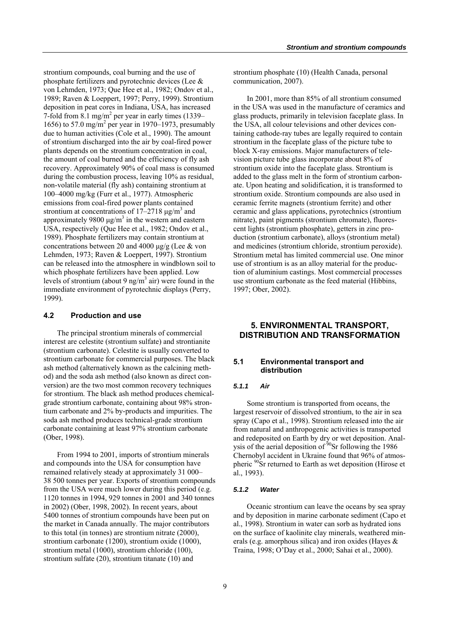strontium compounds, coal burning and the use of phosphate fertilizers and pyrotechnic devices (Lee & von Lehmden, 1973; Que Hee et al., 1982; Ondov et al., 1989; Raven & Loeppert, 1997; Perry, 1999). Strontium deposition in peat cores in Indiana, USA, has increased 7-fold from  $8.1 \text{ mg/m}^2$  per year in early times (1339– 1656) to 57.0 mg/m2 per year in 1970–1973, presumably due to human activities (Cole et al., 1990). The amount of strontium discharged into the air by coal-fired power plants depends on the strontium concentration in coal, the amount of coal burned and the efficiency of fly ash recovery. Approximately 90% of coal mass is consumed during the combustion process, leaving 10% as residual, non-volatile material (fly ash) containing strontium at 100–4000 mg/kg (Furr et al., 1977). Atmospheric emissions from coal-fired power plants contained strontium at concentrations of  $17-2718 \mu g/m^3$  and approximately 9800  $\mu$ g/m<sup>3</sup> in the western and eastern USA, respectively (Que Hee et al., 1982; Ondov et al., 1989). Phosphate fertilizers may contain strontium at concentrations between 20 and 4000  $\mu$ g/g (Lee & von Lehmden, 1973; Raven & Loeppert, 1997). Strontium can be released into the atmosphere in windblown soil to which phosphate fertilizers have been applied. Low levels of strontium (about 9 ng/m<sup>3</sup> air) were found in the immediate environment of pyrotechnic displays (Perry, 1999).

#### **4.2 Production and use**

 The principal strontium minerals of commercial interest are celestite (strontium sulfate) and strontianite (strontium carbonate). Celestite is usually converted to strontium carbonate for commercial purposes. The black ash method (alternatively known as the calcining method) and the soda ash method (also known as direct conversion) are the two most common recovery techniques for strontium. The black ash method produces chemicalgrade strontium carbonate, containing about 98% strontium carbonate and 2% by-products and impurities. The soda ash method produces technical-grade strontium carbonate containing at least 97% strontium carbonate (Ober, 1998).

 From 1994 to 2001, imports of strontium minerals and compounds into the USA for consumption have remained relatively steady at approximately 31 000– 38 500 tonnes per year. Exports of strontium compounds from the USA were much lower during this period (e.g. 1120 tonnes in 1994, 929 tonnes in 2001 and 340 tonnes in 2002) (Ober, 1998, 2002). In recent years, about 5400 tonnes of strontium compounds have been put on the market in Canada annually. The major contributors to this total (in tonnes) are strontium nitrate (2000), strontium carbonate (1200), strontium oxide (1000), strontium metal (1000), strontium chloride (100), strontium sulfate (20), strontium titanate (10) and

strontium phosphate (10) (Health Canada, personal communication, 2007).

 In 2001, more than 85% of all strontium consumed in the USA was used in the manufacture of ceramics and glass products, primarily in television faceplate glass. In the USA, all colour televisions and other devices containing cathode-ray tubes are legally required to contain strontium in the faceplate glass of the picture tube to block X-ray emissions. Major manufacturers of television picture tube glass incorporate about 8% of strontium oxide into the faceplate glass. Strontium is added to the glass melt in the form of strontium carbonate. Upon heating and solidification, it is transformed to strontium oxide. Strontium compounds are also used in ceramic ferrite magnets (strontium ferrite) and other ceramic and glass applications, pyrotechnics (strontium nitrate), paint pigments (strontium chromate), fluorescent lights (strontium phosphate), getters in zinc production (strontium carbonate), alloys (strontium metal) and medicines (strontium chloride, strontium peroxide). Strontium metal has limited commercial use. One minor use of strontium is as an alloy material for the production of aluminium castings. Most commercial processes use strontium carbonate as the feed material (Hibbins, 1997; Ober, 2002).

### **5. ENVIRONMENTAL TRANSPORT, DISTRIBUTION AND TRANSFORMATION**

#### **5.1 Environmental transport and distribution**

#### *5.1.1 Air*

 Some strontium is transported from oceans, the largest reservoir of dissolved strontium, to the air in sea spray (Capo et al., 1998). Strontium released into the air from natural and anthropogenic activities is transported and redeposited on Earth by dry or wet deposition. Analysis of the aerial deposition of  $\frac{90}{9}$ Sr following the 1986 Chernobyl accident in Ukraine found that 96% of atmospheric 90Sr returned to Earth as wet deposition (Hirose et al., 1993).

#### *5.1.2 Water*

 Oceanic strontium can leave the oceans by sea spray and by deposition in marine carbonate sediment (Capo et al., 1998). Strontium in water can sorb as hydrated ions on the surface of kaolinite clay minerals, weathered minerals (e.g. amorphous silica) and iron oxides (Hayes & Traina, 1998; O'Day et al., 2000; Sahai et al., 2000).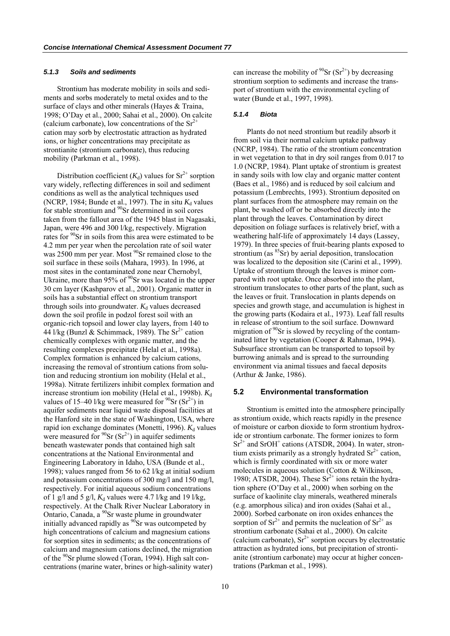#### *5.1.3 Soils and sediments*

 Strontium has moderate mobility in soils and sediments and sorbs moderately to metal oxides and to the surface of clays and other minerals (Hayes & Traina, 1998; O'Day et al., 2000; Sahai et al., 2000). On calcite (calcium carbonate), low concentrations of the  $Sr^{2+}$ cation may sorb by electrostatic attraction as hydrated ions, or higher concentrations may precipitate as strontianite (strontium carbonate), thus reducing mobility (Parkman et al., 1998).

Distribution coefficient  $(K_d)$  values for  $Sr^{2+}$  sorption vary widely, reflecting differences in soil and sediment conditions as well as the analytical techniques used (NCRP, 1984; Bunde et al., 1997). The in situ  $K_d$  values for stable strontium and <sup>90</sup>Sr determined in soil cores taken from the fallout area of the 1945 blast in Nagasaki, Japan, were 496 and 300 l/kg, respectively. Migration rates for 90Sr in soils from this area were estimated to be 4.2 mm per year when the percolation rate of soil water was 2500 mm per year. Most <sup>90</sup>Sr remained close to the soil surface in these soils (Mahara, 1993). In 1996, at most sites in the contaminated zone near Chernobyl, Ukraine, more than  $95\%$  of  $90$ Sr was located in the upper 30 cm layer (Kashparov et al., 2001). Organic matter in soils has a substantial effect on strontium transport through soils into groundwater.  $K_d$  values decreased down the soil profile in podzol forest soil with an organic-rich topsoil and lower clay layers, from 140 to 44 l/kg (Bunzl & Schimmack, 1989). The  $\text{Sr}^{2+}$  cation chemically complexes with organic matter, and the resulting complexes precipitate (Helal et al., 1998a). Complex formation is enhanced by calcium cations, increasing the removal of strontium cations from solution and reducing strontium ion mobility (Helal et al., 1998a). Nitrate fertilizers inhibit complex formation and increase strontium ion mobility (Helal et al., 1998b).  $K_d$ values of 15–40 l/kg were measured for  $90\text{Sr}$  (Sr<sup>2+</sup>) in aquifer sediments near liquid waste disposal facilities at the Hanford site in the state of Washington, USA, where rapid ion exchange dominates (Monetti, 1996).  $K_d$  values were measured for  $^{90}Sr$  ( $Sr^{2+}$ ) in aquifer sediments beneath wastewater ponds that contained high salt concentrations at the National Environmental and Engineering Laboratory in Idaho, USA (Bunde et al., 1998); values ranged from 56 to 62 l/kg at initial sodium and potassium concentrations of 300 mg/l and 150 mg/l, respectively. For initial aqueous sodium concentrations of 1 g/l and 5 g/l,  $K_d$  values were 4.7 l/kg and 19 l/kg, respectively. At the Chalk River Nuclear Laboratory in Ontario, Canada, a <sup>90</sup>Sr waste plume in groundwater initially advanced rapidly as  $\frac{90}{9}$ Sr was outcompeted by high concentrations of calcium and magnesium cations for sorption sites in sediments; as the concentrations of calcium and magnesium cations declined, the migration of the  $^{90}$ Sr plume slowed (Toran, 1994). High salt concentrations (marine water, brines or high-salinity water)

can increase the mobility of  $90$ Sr (Sr<sup>2+</sup>) by decreasing strontium sorption to sediments and increase the transport of strontium with the environmental cycling of water (Bunde et al., 1997, 1998).

#### *5.1.4 Biota*

 Plants do not need strontium but readily absorb it from soil via their normal calcium uptake pathway (NCRP, 1984). The ratio of the strontium concentration in wet vegetation to that in dry soil ranges from 0.017 to 1.0 (NCRP, 1984). Plant uptake of strontium is greatest in sandy soils with low clay and organic matter content (Baes et al., 1986) and is reduced by soil calcium and potassium (Lembrechts, 1993). Strontium deposited on plant surfaces from the atmosphere may remain on the plant, be washed off or be absorbed directly into the plant through the leaves. Contamination by direct deposition on foliage surfaces is relatively brief, with a weathering half-life of approximately 14 days (Lassey, 1979). In three species of fruit-bearing plants exposed to strontium (as  ${}^{85}Sr$ ) by aerial deposition, translocation was localized to the deposition site (Carini et al., 1999). Uptake of strontium through the leaves is minor compared with root uptake. Once absorbed into the plant, strontium translocates to other parts of the plant, such as the leaves or fruit. Translocation in plants depends on species and growth stage, and accumulation is highest in the growing parts (Kodaira et al., 1973). Leaf fall results in release of strontium to the soil surface. Downward migration of  $90$ Sr is slowed by recycling of the contaminated litter by vegetation (Cooper & Rahman, 1994). Subsurface strontium can be transported to topsoil by burrowing animals and is spread to the surrounding environment via animal tissues and faecal deposits (Arthur & Janke, 1986).

#### **5.2 Environmental transformation**

 Strontium is emitted into the atmosphere principally as strontium oxide, which reacts rapidly in the presence of moisture or carbon dioxide to form strontium hydroxide or strontium carbonate. The former ionizes to form  $Sr^{2+}$  and SrOH<sup>+</sup> cations (ATSDR, 2004). In water, strontium exists primarily as a strongly hydrated  $Sr^{2+}$  cation, which is firmly coordinated with six or more water molecules in aqueous solution (Cotton & Wilkinson, 1980; ATSDR, 2004). These  $Sr^{2+}$  ions retain the hydration sphere (O'Day et al., 2000) when sorbing on the surface of kaolinite clay minerals, weathered minerals (e.g. amorphous silica) and iron oxides (Sahai et al., 2000). Sorbed carbonate on iron oxides enhances the sorption of  $Sr^{2+}$  and permits the nucleation of  $Sr^{2+}$  as strontium carbonate (Sahai et al., 2000). On calcite (calcium carbonate),  $Sr^{2+}$  sorption occurs by electrostatic attraction as hydrated ions, but precipitation of strontianite (strontium carbonate) may occur at higher concentrations (Parkman et al., 1998).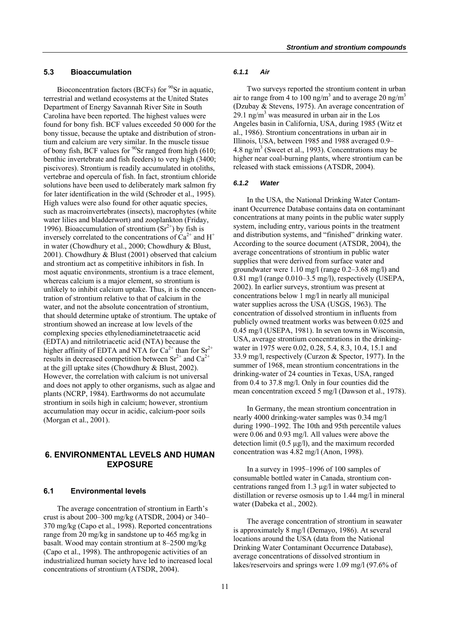#### **5.3 Bioaccumulation** *6.1.1 Air*

Bioconcentration factors (BCFs) for  $90$ Sr in aquatic, terrestrial and wetland ecosystems at the United States Department of Energy Savannah River Site in South Carolina have been reported. The highest values were found for bony fish. BCF values exceeded 50 000 for the bony tissue, because the uptake and distribution of strontium and calcium are very similar. In the muscle tissue of bony fish, BCF values for  $^{90}$ Sr ranged from high (610; benthic invertebrate and fish feeders) to very high (3400; piscivores). Strontium is readily accumulated in otoliths, vertebrae and opercula of fish. In fact, strontium chloride solutions have been used to deliberately mark salmon fry for later identification in the wild (Schroder et al., 1995). High values were also found for other aquatic species, such as macroinvertebrates (insects), macrophytes (white water lilies and bladderwort) and zooplankton (Friday, 1996). Bioaccumulation of strontium  $(Sr^{2+})$  by fish is inversely correlated to the concentrations of  $Ca^{2+}$  and H<sup>+</sup> in water (Chowdhury et al., 2000; Chowdhury & Blust, 2001). Chowdhury & Blust (2001) observed that calcium and strontium act as competitive inhibitors in fish. In most aquatic environments, strontium is a trace element, whereas calcium is a major element, so strontium is unlikely to inhibit calcium uptake. Thus, it is the concentration of strontium relative to that of calcium in the water, and not the absolute concentration of strontium, that should determine uptake of strontium. The uptake of strontium showed an increase at low levels of the complexing species ethylenediaminetetraacetic acid (EDTA) and nitrilotriacetic acid (NTA) because the higher affinity of EDTA and NTA for  $Ca^{2+}$  than for  $Sr^{2+}$ results in decreased competition between  $\text{Sr}^{2+}$  and  $\text{Ca}^{2+}$ at the gill uptake sites (Chowdhury & Blust, 2002). However, the correlation with calcium is not universal and does not apply to other organisms, such as algae and plants (NCRP, 1984). Earthworms do not accumulate strontium in soils high in calcium; however, strontium accumulation may occur in acidic, calcium-poor soils (Morgan et al., 2001).

# **6. ENVIRONMENTAL LEVELS AND HUMAN** concentration was 4.82 mg/l (Anon, 1998).

#### **6.1 Environmental levels**

 The average concentration of strontium in Earth's crust is about 200–300 mg/kg (ATSDR, 2004) or 340– 370 mg/kg (Capo et al., 1998). Reported concentrations range from 20 mg/kg in sandstone up to 465 mg/kg in basalt. Wood may contain strontium at 8–2500 mg/kg (Capo et al., 1998). The anthropogenic activities of an industrialized human society have led to increased local concentrations of strontium (ATSDR, 2004).

 Two surveys reported the strontium content in urban air to range from 4 to 100 ng/m<sup>3</sup> and to average 20 ng/m<sup>3</sup> (Dzubay & Stevens, 1975). An average concentration of  $29.1$  ng/m<sup>3</sup> was measured in urban air in the Los Angeles basin in California, USA, during 1985 (Witz et al., 1986). Strontium concentrations in urban air in Illinois, USA, between 1985 and 1988 averaged 0.9–  $4.8 \text{ ng/m}^3$  (Sweet et al., 1993). Concentrations may be higher near coal-burning plants, where strontium can be released with stack emissions (ATSDR, 2004).

#### *6.1.2 Water*

 In the USA, the National Drinking Water Contaminant Occurrence Database contains data on contaminant concentrations at many points in the public water supply system, including entry, various points in the treatment and distribution systems, and "finished" drinking water. According to the source document (ATSDR, 2004), the average concentrations of strontium in public water supplies that were derived from surface water and groundwater were 1.10 mg/l (range 0.2–3.68 mg/l) and 0.81 mg/l (range 0.010–3.5 mg/l), respectively (USEPA, 2002). In earlier surveys, strontium was present at concentrations below 1 mg/l in nearly all municipal water supplies across the USA (USGS, 1963). The concentration of dissolved strontium in influents from publicly owned treatment works was between 0.025 and 0.45 mg/l (USEPA, 1981). In seven towns in Wisconsin, USA, average strontium concentrations in the drinkingwater in 1975 were 0.02, 0.28, 5.4, 8.3, 10.4, 15.1 and 33.9 mg/l, respectively (Curzon & Spector, 1977). In the summer of 1968, mean strontium concentrations in the drinking-water of 24 counties in Texas, USA, ranged from 0.4 to 37.8 mg/l. Only in four counties did the mean concentration exceed 5 mg/l (Dawson et al., 1978).

 In Germany, the mean strontium concentration in nearly 4000 drinking-water samples was 0.34 mg/l during 1990–1992. The 10th and 95th percentile values were 0.06 and 0.93 mg/l. All values were above the detection limit  $(0.5 \mu g/l)$ , and the maximum recorded

**EXPOSURE** In a survey in 1995–1996 of 100 samples of consumable bottled water in Canada, strontium concentrations ranged from 1.3 µg/l in water subjected to distillation or reverse osmosis up to 1.44 mg/l in mineral water (Dabeka et al., 2002).

> The average concentration of strontium in seawater is approximately 8 mg/l (Demayo, 1986). At several locations around the USA (data from the National Drinking Water Contaminant Occurrence Database), average concentrations of dissolved strontium in lakes/reservoirs and springs were 1.09 mg/l (97.6% of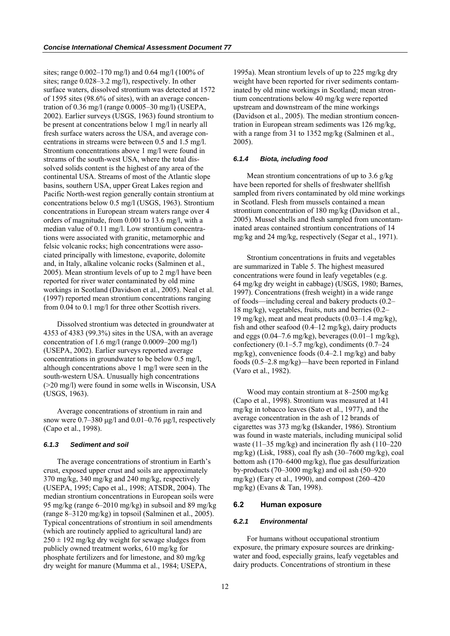sites; range 0.002–170 mg/l) and 0.64 mg/l (100% of sites; range 0.028–3.2 mg/l), respectively. In other surface waters, dissolved strontium was detected at 1572 of 1595 sites (98.6% of sites), with an average concentration of 0.36 mg/l (range 0.0005–30 mg/l) (USEPA, 2002). Earlier surveys (USGS, 1963) found strontium to be present at concentrations below 1 mg/l in nearly all fresh surface waters across the USA, and average concentrations in streams were between 0.5 and 1.5 mg/l. Strontium concentrations above 1 mg/l were found in streams of the south-west USA, where the total dissolved solids content is the highest of any area of the continental USA. Streams of most of the Atlantic slope basins, southern USA, upper Great Lakes region and Pacific North-west region generally contain strontium at concentrations below 0.5 mg/l (USGS, 1963). Strontium concentrations in European stream waters range over 4 orders of magnitude, from 0.001 to 13.6 mg/l, with a median value of 0.11 mg/l. Low strontium concentrations were associated with granitic, metamorphic and felsic volcanic rocks; high concentrations were associated principally with limestone, evaporite, dolomite and, in Italy, alkaline volcanic rocks (Salminen et al., 2005). Mean strontium levels of up to 2 mg/l have been reported for river water contaminated by old mine workings in Scotland (Davidson et al., 2005). Neal et al. (1997) reported mean strontium concentrations ranging from 0.04 to 0.1 mg/l for three other Scottish rivers.

 Dissolved strontium was detected in groundwater at 4353 of 4383 (99.3%) sites in the USA, with an average concentration of 1.6 mg/l (range 0.0009–200 mg/l) (USEPA, 2002). Earlier surveys reported average concentrations in groundwater to be below 0.5 mg/l, although concentrations above 1 mg/l were seen in the south-western USA. Unusually high concentrations (>20 mg/l) were found in some wells in Wisconsin, USA (USGS, 1963).

 Average concentrations of strontium in rain and snow were  $0.7-380 \mu g/l$  and  $0.01-0.76 \mu g/l$ , respectively (Capo et al., 1998).

#### *6.1.3 Sediment and soil*

 The average concentrations of strontium in Earth's crust, exposed upper crust and soils are approximately 370 mg/kg, 340 mg/kg and 240 mg/kg, respectively (USEPA, 1995; Capo et al., 1998; ATSDR, 2004). The median strontium concentrations in European soils were 95 mg/kg (range 6–2010 mg/kg) in subsoil and 89 mg/kg (range 8–3120 mg/kg) in topsoil (Salminen et al., 2005). Typical concentrations of strontium in soil amendments (which are routinely applied to agricultural land) are  $250 \pm 192$  mg/kg dry weight for sewage sludges from publicly owned treatment works, 610 mg/kg for phosphate fertilizers and for limestone, and 80 mg/kg dry weight for manure (Mumma et al., 1984; USEPA,

1995a). Mean strontium levels of up to 225 mg/kg dry weight have been reported for river sediments contaminated by old mine workings in Scotland; mean strontium concentrations below 40 mg/kg were reported upstream and downstream of the mine workings (Davidson et al., 2005). The median strontium concentration in European stream sediments was 126 mg/kg, with a range from 31 to 1352 mg/kg (Salminen et al., 2005).

#### *6.1.4 Biota, including food*

 Mean strontium concentrations of up to 3.6 g/kg have been reported for shells of freshwater shellfish sampled from rivers contaminated by old mine workings in Scotland. Flesh from mussels contained a mean strontium concentration of 180 mg/kg (Davidson et al., 2005). Mussel shells and flesh sampled from uncontaminated areas contained strontium concentrations of 14 mg/kg and 24 mg/kg, respectively (Segar et al., 1971).

 Strontium concentrations in fruits and vegetables are summarized in Table 5. The highest measured concentrations were found in leafy vegetables (e.g. 64 mg/kg dry weight in cabbage) (USGS, 1980; Barnes, 1997). Concentrations (fresh weight) in a wide range of foods—including cereal and bakery products (0.2– 18 mg/kg), vegetables, fruits, nuts and berries (0.2– 19 mg/kg), meat and meat products  $(0.03-1.4 \text{ mg/kg})$ , fish and other seafood  $(0.4–12 \text{ mg/kg})$ , dairy products and eggs (0.04–7.6 mg/kg), beverages (0.01–1 mg/kg), confectionery (0.1–5.7 mg/kg), condiments (0.7–24 mg/kg), convenience foods (0.4–2.1 mg/kg) and baby foods (0.5–2.8 mg/kg)—have been reported in Finland (Varo et al., 1982).

 Wood may contain strontium at 8–2500 mg/kg (Capo et al., 1998). Strontium was measured at 141 mg/kg in tobacco leaves (Sato et al., 1977), and the average concentration in the ash of 12 brands of cigarettes was 373 mg/kg (Iskander, 1986). Strontium was found in waste materials, including municipal solid waste (11–35 mg/kg) and incineration fly ash (110–220 mg/kg) (Lisk, 1988), coal fly ash (30–7600 mg/kg), coal bottom ash (170–6400 mg/kg), flue gas desulfurization by-products (70–3000 mg/kg) and oil ash  $(50-920)$ mg/kg) (Eary et al., 1990), and compost (260–420 mg/kg) (Evans & Tan, 1998).

#### **6.2 Human exposure**

#### *6.2.1 Environmental*

 For humans without occupational strontium exposure, the primary exposure sources are drinkingwater and food, especially grains, leafy vegetables and dairy products. Concentrations of strontium in these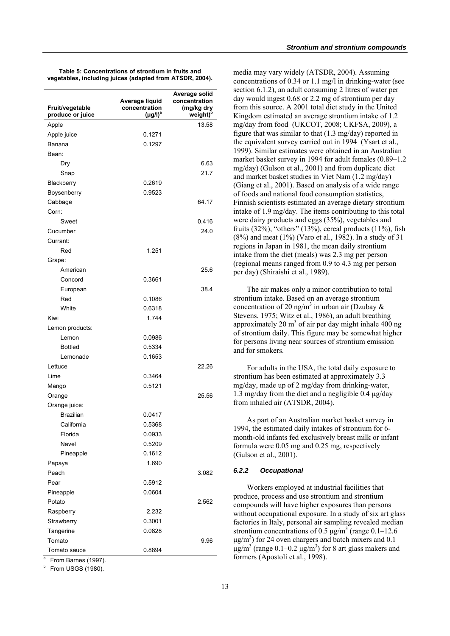**Table 5: Concentrations of strontium in fruits and vegetables, including juices (adapted from ATSDR, 2004).**

|                  |                                 |                                              |       | section 6.1.2), an adult consuming 2 litres of water                                                                      |
|------------------|---------------------------------|----------------------------------------------|-------|---------------------------------------------------------------------------------------------------------------------------|
| Fruit/vegetable  | Average liquid<br>concentration | Average solid<br>concentration<br>(mg/kg dry |       | day would ingest 0.68 or 2.2 mg of strontium per or<br>from this source. A 2001 total diet study in the Un                |
| produce or juice | $(\mu g/l)^a$                   | weight) <sup>b</sup>                         |       | Kingdom estimated an average strontium intake of                                                                          |
| Apple            |                                 | 13.58                                        |       | mg/day from food (UKCOT, 2008; UKFSA, 2009                                                                                |
| Apple juice      | 0.1271                          |                                              |       | figure that was similar to that $(1.3 \text{ mg/day})$ reported                                                           |
| Banana           | 0.1297                          |                                              |       | the equivalent survey carried out in 1994 (Ysart e                                                                        |
| Bean:            |                                 |                                              |       | 1999). Similar estimates were obtained in an Aust                                                                         |
| Dry              |                                 | 6.63                                         |       | market basket survey in 1994 for adult females (0.                                                                        |
| Snap             |                                 | 21.7                                         |       | mg/day) (Gulson et al., 2001) and from duplicate of<br>and market basket studies in Viet Nam (1.2 mg/da                   |
| Blackberry       | 0.2619                          |                                              |       | (Giang et al., 2001). Based on analysis of a wide ra                                                                      |
| Boysenberry      | 0.9523                          |                                              |       | of foods and national food consumption statistics,                                                                        |
| Cabbage          |                                 | 64.17                                        |       | Finnish scientists estimated an average dietary stro                                                                      |
| Corn:            |                                 |                                              |       | intake of 1.9 mg/day. The items contributing to thi                                                                       |
| Sweet            |                                 | 0.416                                        |       | were dairy products and eggs (35%), vegetables an                                                                         |
| Cucumber         |                                 | 24.0                                         |       | fruits $(32\%)$ , "others" $(13\%)$ , cereal products $(11\%)$                                                            |
| Currant:         |                                 |                                              |       | $(8\%)$ and meat $(1\%)$ (Varo et al., 1982). In a study                                                                  |
| Red              | 1.251                           |                                              |       | regions in Japan in 1981, the mean daily strontium                                                                        |
| Grape:           |                                 |                                              |       | intake from the diet (meals) was 2.3 mg per person                                                                        |
| American         |                                 | 25.6                                         |       | (regional means ranged from 0.9 to 4.3 mg per per                                                                         |
| Concord          | 0.3661                          |                                              |       | per day) (Shiraishi et al., 1989).                                                                                        |
| European         |                                 | 38.4                                         |       |                                                                                                                           |
|                  |                                 |                                              |       | The air makes only a minor contribution to to<br>strontium intake. Based on an average strontium                          |
| Red              | 0.1086                          |                                              |       | concentration of 20 ng/m <sup>3</sup> in urban air (Dzubay &                                                              |
| White            | 0.6318                          |                                              |       | Stevens, 1975; Witz et al., 1986), an adult breathin                                                                      |
| Kiwi             | 1.744                           |                                              |       | approximately 20 $m3$ of air per day might inhale 4                                                                       |
| Lemon products:  |                                 |                                              |       | of strontium daily. This figure may be somewhat h                                                                         |
| Lemon            | 0.0986                          |                                              |       | for persons living near sources of strontium emissi-                                                                      |
| <b>Bottled</b>   | 0.5334                          |                                              |       | and for smokers.                                                                                                          |
| Lemonade         | 0.1653                          |                                              |       |                                                                                                                           |
| Lettuce          |                                 | 22.26                                        |       | For adults in the USA, the total daily exposure                                                                           |
| Lime             | 0.3464                          |                                              |       | strontium has been estimated at approximately 3.3                                                                         |
| Mango            | 0.5121                          |                                              |       | mg/day, made up of 2 mg/day from drinking-wate                                                                            |
| Orange           |                                 | 25.56                                        |       | 1.3 mg/day from the diet and a negligible 0.4 $\mu$ g/d                                                                   |
| Orange juice:    |                                 |                                              |       | from inhaled air (ATSDR, 2004).                                                                                           |
| <b>Brazilian</b> | 0.0417                          |                                              |       |                                                                                                                           |
| California       | 0.5368                          |                                              |       | As part of an Australian market basket survey<br>1994, the estimated daily intakes of strontium for                       |
| Florida          | 0.0933                          |                                              |       | month-old infants fed exclusively breast milk or ir                                                                       |
| Navel            | 0.5209                          |                                              |       | formula were 0.05 mg and 0.25 mg, respectively                                                                            |
| Pineapple        | 0.1612                          |                                              |       | (Gulson et al., 2001).                                                                                                    |
| Papaya           | 1.690                           |                                              |       |                                                                                                                           |
| Peach            |                                 | 3.082                                        | 6.2.2 | <b>Occupational</b>                                                                                                       |
| Pear             | 0.5912                          |                                              |       |                                                                                                                           |
|                  | 0.0604                          |                                              |       | Workers employed at industrial facilities that                                                                            |
| Pineapple        |                                 |                                              |       | produce, process and use strontium and strontium                                                                          |
| Potato           |                                 | 2.562                                        |       | compounds will have higher exposures than person                                                                          |
| Raspberry        | 2.232                           |                                              |       | without occupational exposure. In a study of six an                                                                       |
| Strawberry       | 0.3001                          |                                              |       | factories in Italy, personal air sampling revealed m                                                                      |
| Tangerine        | 0.0828                          |                                              |       | strontium concentrations of 0.5 $\mu$ g/m <sup>3</sup> (range 0.1–                                                        |
| Tomato           |                                 | 9.96                                         |       | $\mu$ g/m <sup>3</sup> ) for 24 oven chargers and batch mixers and                                                        |
| Tomato sauce     | 0.8894                          |                                              |       | $\mu$ g/m <sup>3</sup> (range 0.1–0.2 $\mu$ g/m <sup>3</sup> ) for 8 art glass makers<br>formers (Apostoli et al., 1998). |

From Barnes (1997).

 $b$  From USGS (1980).

media may vary widely (ATSDR, 2004). Assuming concentrations of 0.34 or 1.1 mg/l in drinking-water (see section 6.1.2), an adult consuming 2 litres of water per day would ingest 0.68 or 2.2 mg of strontium per day from this source. A 2001 total diet study in the United Kingdom estimated an average strontium intake of 1.2 mg/day from food (UKCOT, 2008; UKFSA, 2009), a figure that was similar to that (1.3 mg/day) reported in the equivalent survey carried out in 1994 (Ysart et al., 1999). Similar estimates were obtained in an Australian market basket survey in 1994 for adult females (0.89–1.2 mg/day) (Gulson et al., 2001) and from duplicate diet and market basket studies in Viet Nam (1.2 mg/day) (Giang et al., 2001). Based on analysis of a wide range of foods and national food consumption statistics, Finnish scientists estimated an average dietary strontium intake of 1.9 mg/day. The items contributing to this total were dairy products and eggs (35%), vegetables and fruits  $(32\%)$ , "others"  $(13\%)$ , cereal products  $(11\%)$ , fish  $(8\%)$  and meat  $(1\%)$  (Varo et al., 1982). In a study of 31 regions in Japan in 1981, the mean daily strontium intake from the diet (meals) was 2.3 mg per person (regional means ranged from 0.9 to 4.3 mg per person per day) (Shiraishi et al., 1989).

 The air makes only a minor contribution to total strontium intake. Based on an average strontium Stevens, 1975; Witz et al., 1986), an adult breathing approximately 20  $m<sup>3</sup>$  of air per day might inhale 400 ng of strontium daily. This figure may be somewhat higher for persons living near sources of strontium emission and for smokers.

 For adults in the USA, the total daily exposure to strontium has been estimated at approximately 3.3 mg/day, made up of 2 mg/day from drinking-water, 1.3 mg/day from the diet and a negligible 0.4  $\mu$ g/day from inhaled air (ATSDR, 2004).

 As part of an Australian market basket survey in 1994, the estimated daily intakes of strontium for 6 month-old infants fed exclusively breast milk or infant formula were 0.05 mg and 0.25 mg, respectively (Gulson et al., 2001).

#### Peach 3.082 *6.2.2 Occupational*

 Workers employed at industrial facilities that produce, process and use strontium and strontium compounds will have higher exposures than persons without occupational exposure. In a study of six art glass factories in Italy, personal air sampling revealed median strontium concentrations of 0.5  $\mu$ g/m<sup>3</sup> (range 0.1–12.6)  $\mu$ g/m<sup>3</sup>) for 24 oven chargers and batch mixers and 0.1  $μg/m<sup>3</sup>$  (range 0.1–0.2  $μg/m<sup>3</sup>$ ) for 8 art glass makers and formers (Apostoli et al., 1998).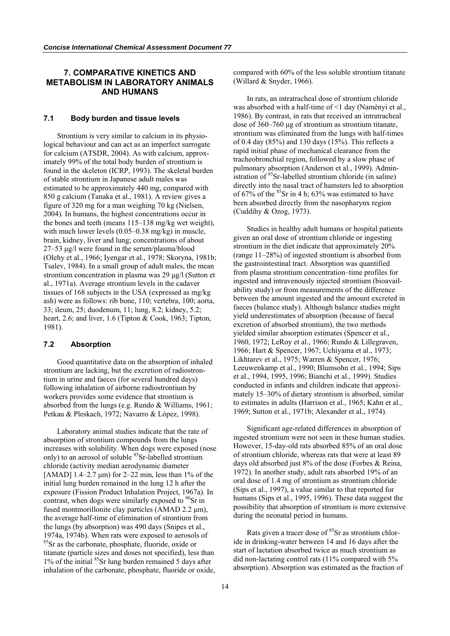### **7. COMPARATIVE KINETICS AND METABOLISM IN LABORATORY ANIMALS AND HUMANS**

#### **7.1 Body burden and tissue levels**

 Strontium is very similar to calcium in its physiological behaviour and can act as an imperfect surrogate for calcium (ATSDR, 2004). As with calcium, approximately 99% of the total body burden of strontium is found in the skeleton (ICRP, 1993). The skeletal burden of stable strontium in Japanese adult males was estimated to be approximately 440 mg, compared with 850 g calcium (Tanaka et al., 1981). A review gives a figure of 320 mg for a man weighing 70 kg (Nielsen, 2004). In humans, the highest concentrations occur in the bones and teeth (means 115–138 mg/kg wet weight), with much lower levels (0.05–0.38 mg/kg) in muscle, brain, kidney, liver and lung; concentrations of about 27–53 μg/l were found in the serum/plasma/blood (Olehy et al., 1966; Iyengar et al., 1978; Skoryna, 1981b; Tsalev, 1984). In a small group of adult males, the mean strontium concentration in plasma was 29 μg/l (Sutton et al., 1971a). Average strontium levels in the cadaver tissues of 168 subjects in the USA (expressed as mg/kg ash) were as follows: rib bone, 110; vertebra, 100; aorta, 33; ileum, 25; duodenum, 11; lung, 8.2; kidney, 5.2; heart, 2.6; and liver, 1.6 (Tipton & Cook, 1963; Tipton, 1981).

#### **7.2 Absorption**

 Good quantitative data on the absorption of inhaled strontium are lacking, but the excretion of radiostrontium in urine and faeces (for several hundred days) following inhalation of airborne radiostrontium by workers provides some evidence that strontium is absorbed from the lungs (e.g. Rundo & Williams, 1961; Petkau & Pleskach, 1972; Navarro & López, 1998).

 Laboratory animal studies indicate that the rate of absorption of strontium compounds from the lungs increases with solubility. When dogs were exposed (nose only) to an aerosol of soluble <sup>85</sup>Sr-labelled strontium chloride (activity median aerodynamic diameter [AMAD] 1.4–2.7 μm) for 2–22 min, less than 1% of the initial lung burden remained in the lung 12 h after the exposure (Fission Product Inhalation Project, 1967a). In contrast, when dogs were similarly exposed to  $^{90}$ Sr in fused montmorillonite clay particles (AMAD 2.2 μm), the average half-time of elimination of strontium from the lungs (by absorption) was 490 days (Snipes et al., 1974a, 1974b). When rats were exposed to aerosols of 85Sr as the carbonate, phosphate, fluoride, oxide or titanate (particle sizes and doses not specified), less than 1% of the initial 85Sr lung burden remained 5 days after inhalation of the carbonate, phosphate, fluoride or oxide,

compared with 60% of the less soluble strontium titanate (Willard & Snyder, 1966).

 In rats, an intratracheal dose of strontium chloride was absorbed with a half-time of <1 day (Naményi et al., 1986). By contrast, in rats that received an intratracheal dose of 360–760 μg of strontium as strontium titanate, strontium was eliminated from the lungs with half-times of 0.4 day (85%) and 130 days (15%). This reflects a rapid initial phase of mechanical clearance from the tracheobronchial region, followed by a slow phase of pulmonary absorption (Anderson et al., 1999). Administration of <sup>85</sup>Sr-labelled strontium chloride (in saline) directly into the nasal tract of hamsters led to absorption of  $67\%$  of the  $85$ Sr in 4 h;  $63\%$  was estimated to have been absorbed directly from the nasopharynx region (Cuddihy & Ozog, 1973).

 Studies in healthy adult humans or hospital patients given an oral dose of strontium chloride or ingesting strontium in the diet indicate that approximately 20% (range 11–28%) of ingested strontium is absorbed from the gastrointestinal tract. Absorption was quantified from plasma strontium concentration–time profiles for ingested and intravenously injected strontium (bioavailability study) or from measurements of the difference between the amount ingested and the amount excreted in faeces (balance study). Although balance studies might yield underestimates of absorption (because of faecal excretion of absorbed strontium), the two methods yielded similar absorption estimates (Spencer et al., 1960, 1972; LeRoy et al., 1966; Rundo & Lillegraven, 1966; Hart & Spencer, 1967; Uchiyama et al., 1973; Likhtarev et al., 1975; Warren & Spencer, 1976; Leeuwenkamp et al., 1990; Blumsohn et al., 1994; Sips et al., 1994, 1995, 1996; Bianchi et al., 1999). Studies conducted in infants and children indicate that approximately 15–30% of dietary strontium is absorbed, similar to estimates in adults (Harrison et al., 1965; Kahn et al., 1969; Sutton et al., 1971b; Alexander et al., 1974).

 Significant age-related differences in absorption of ingested strontium were not seen in these human studies. However, 15-day-old rats absorbed 85% of an oral dose of strontium chloride, whereas rats that were at least 89 days old absorbed just 8% of the dose (Forbes & Reina, 1972). In another study, adult rats absorbed 19% of an oral dose of 1.4 mg of strontium as strontium chloride (Sips et al., 1997), a value similar to that reported for humans (Sips et al., 1995, 1996). These data suggest the possibility that absorption of strontium is more extensive during the neonatal period in humans.

Rats given a tracer dose of <sup>85</sup>Sr as strontium chloride in drinking-water between 14 and 16 days after the start of lactation absorbed twice as much strontium as did non-lactating control rats (11% compared with 5% absorption). Absorption was estimated as the fraction of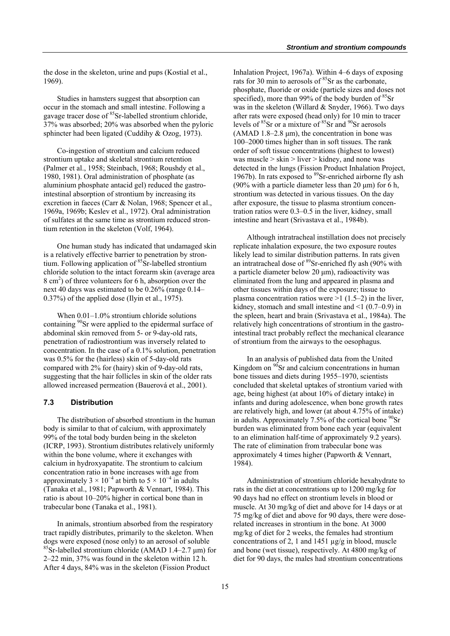the dose in the skeleton, urine and pups (Kostial et al., 1969).

 Studies in hamsters suggest that absorption can occur in the stomach and small intestine. Following a gavage tracer dose of <sup>85</sup>Sr-labelled strontium chloride, 37% was absorbed; 20% was absorbed when the pyloric sphincter had been ligated (Cuddihy & Ozog, 1973).

 Co-ingestion of strontium and calcium reduced strontium uptake and skeletal strontium retention (Palmer et al., 1958; Steinbach, 1968; Roushdy et al., 1980, 1981). Oral administration of phosphate (as aluminium phosphate antacid gel) reduced the gastrointestinal absorption of strontium by increasing its excretion in faeces (Carr & Nolan, 1968; Spencer et al., 1969a, 1969b; Keslev et al., 1972). Oral administration of sulfates at the same time as strontium reduced strontium retention in the skeleton (Volf, 1964).

 One human study has indicated that undamaged skin is a relatively effective barrier to penetration by strontium. Following application of <sup>85</sup>Sr-labelled strontium chloride solution to the intact forearm skin (average area 8 cm2 ) of three volunteers for 6 h, absorption over the next 40 days was estimated to be 0.26% (range 0.14– 0.37%) of the applied dose (Ilyin et al., 1975).

When  $0.01-1.0\%$  strontium chloride solutions containing <sup>90</sup>Sr were applied to the epidermal surface of abdominal skin removed from 5- or 9-day-old rats, penetration of radiostrontium was inversely related to concentration. In the case of a 0.1% solution, penetration was 0.5% for the (hairless) skin of 5-day-old rats compared with 2% for (hairy) skin of 9-day-old rats, suggesting that the hair follicles in skin of the older rats allowed increased permeation (Bauerová et al., 2001).

#### **7.3 Distribution**

 The distribution of absorbed strontium in the human body is similar to that of calcium, with approximately 99% of the total body burden being in the skeleton (ICRP, 1993). Strontium distributes relatively uniformly within the bone volume, where it exchanges with calcium in hydroxyapatite. The strontium to calcium concentration ratio in bone increases with age from approximately 3  $\times$  10<sup>-4</sup> at birth to 5  $\times$  10<sup>-4</sup> in adults (Tanaka et al., 1981; Papworth & Vennart, 1984). This ratio is about 10–20% higher in cortical bone than in trabecular bone (Tanaka et al., 1981).

 In animals, strontium absorbed from the respiratory tract rapidly distributes, primarily to the skeleton. When dogs were exposed (nose only) to an aerosol of soluble 85Sr-labelled strontium chloride (AMAD 1.4–2.7 μm) for 2–22 min, 37% was found in the skeleton within 12 h. After 4 days, 84% was in the skeleton (Fission Product

Inhalation Project, 1967a). Within 4–6 days of exposing rats for 30 min to aerosols of <sup>85</sup>Sr as the carbonate, phosphate, fluoride or oxide (particle sizes and doses not specified), more than 99% of the body burden of  ${}^{85}Sr$ was in the skeleton (Willard & Snyder, 1966). Two days after rats were exposed (head only) for 10 min to tracer levels of  ${}^{85}Sr$  or a mixture of  ${}^{85}Sr$  and  ${}^{90}Sr$  aerosols (AMAD  $1.8-2.8 \mu m$ ), the concentration in bone was 100–2000 times higher than in soft tissues. The rank order of soft tissue concentrations (highest to lowest) was muscle  $>$  skin  $>$  liver  $>$  kidney, and none was detected in the lungs (Fission Product Inhalation Project, 1967b). In rats exposed to  ${}^{89}$ Sr-enriched airborne fly ash (90% with a particle diameter less than 20  $\mu$ m) for 6 h, strontium was detected in various tissues. On the day after exposure, the tissue to plasma strontium concentration ratios were 0.3–0.5 in the liver, kidney, small intestine and heart (Srivastava et al., 1984b).

 Although intratracheal instillation does not precisely replicate inhalation exposure, the two exposure routes likely lead to similar distribution patterns. In rats given an intratracheal dose of <sup>89</sup>Sr-enriched fly ash (90% with a particle diameter below 20 μm), radioactivity was eliminated from the lung and appeared in plasma and other tissues within days of the exposure; tissue to plasma concentration ratios were  $>1$  (1.5–2) in the liver, kidney, stomach and small intestine and  $\leq 1$  (0.7–0.9) in the spleen, heart and brain (Srivastava et al., 1984a). The relatively high concentrations of strontium in the gastrointestinal tract probably reflect the mechanical clearance of strontium from the airways to the oesophagus.

 In an analysis of published data from the United Kingdom on  $90$ Sr and calcium concentrations in human bone tissues and diets during 1955–1970, scientists concluded that skeletal uptakes of strontium varied with age, being highest (at about 10% of dietary intake) in infants and during adolescence, when bone growth rates are relatively high, and lower (at about 4.75% of intake) in adults. Approximately 7.5% of the cortical bone  $^{90}Sr$ burden was eliminated from bone each year (equivalent to an elimination half-time of approximately 9.2 years). The rate of elimination from trabecular bone was approximately 4 times higher (Papworth & Vennart, 1984).

 Administration of strontium chloride hexahydrate to rats in the diet at concentrations up to 1200 mg/kg for 90 days had no effect on strontium levels in blood or muscle. At 30 mg/kg of diet and above for 14 days or at 75 mg/kg of diet and above for 90 days, there were doserelated increases in strontium in the bone. At 3000 mg/kg of diet for 2 weeks, the females had strontium concentrations of 2, 1 and 1451 µg/g in blood, muscle and bone (wet tissue), respectively. At 4800 mg/kg of diet for 90 days, the males had strontium concentrations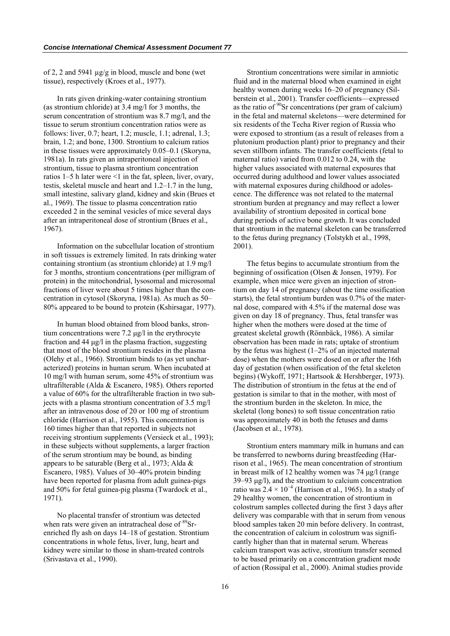of 2, 2 and 5941 µg/g in blood, muscle and bone (wet tissue), respectively (Kroes et al., 1977).

 In rats given drinking-water containing strontium (as strontium chloride) at 3.4 mg/l for 3 months, the serum concentration of strontium was 8.7 mg/l, and the tissue to serum strontium concentration ratios were as follows: liver, 0.7; heart, 1.2; muscle, 1.1; adrenal, 1.3; brain, 1.2; and bone, 1300. Strontium to calcium ratios in these tissues were approximately 0.05–0.1 (Skoryna, 1981a). In rats given an intraperitoneal injection of strontium, tissue to plasma strontium concentration ratios 1–5 h later were <1 in the fat, spleen, liver, ovary, testis, skeletal muscle and heart and 1.2–1.7 in the lung, small intestine, salivary gland, kidney and skin (Brues et al., 1969). The tissue to plasma concentration ratio exceeded 2 in the seminal vesicles of mice several days after an intraperitoneal dose of strontium (Brues et al., 1967).

 Information on the subcellular location of strontium 2001). in soft tissues is extremely limited. In rats drinking water containing strontium (as strontium chloride) at 1.9 mg/l for 3 months, strontium concentrations (per milligram of protein) in the mitochondrial, lysosomal and microsomal fractions of liver were about 5 times higher than the concentration in cytosol (Skoryna, 1981a). As much as 50– 80% appeared to be bound to protein (Kshirsagar, 1977).

 In human blood obtained from blood banks, strontium concentrations were 7.2 μg/l in the erythrocyte fraction and 44 μg/l in the plasma fraction, suggesting that most of the blood strontium resides in the plasma (Olehy et al., 1966). Strontium binds to (as yet uncharacterized) proteins in human serum. When incubated at 10 mg/l with human serum, some 45% of strontium was ultrafilterable (Alda & Escanero, 1985). Others reported a value of 60% for the ultrafilterable fraction in two subjects with a plasma strontium concentration of 3.5 mg/l after an intravenous dose of 20 or 100 mg of strontium chloride (Harrison et al., 1955). This concentration is 160 times higher than that reported in subjects not receiving strontium supplements (Versieck et al., 1993); in these subjects without supplements, a larger fraction of the serum strontium may be bound, as binding appears to be saturable (Berg et al., 1973; Alda & Escanero, 1985). Values of 30–40% protein binding have been reported for plasma from adult guinea-pigs and 50% for fetal guinea-pig plasma (Twardock et al., 1971).

 No placental transfer of strontium was detected when rats were given an intratracheal dose of <sup>89</sup>Srenriched fly ash on days 14–18 of gestation. Strontium concentrations in whole fetus, liver, lung, heart and kidney were similar to those in sham-treated controls (Srivastava et al., 1990).

 Strontium concentrations were similar in amniotic fluid and in the maternal blood when examined in eight healthy women during weeks 16–20 of pregnancy (Silberstein et al., 2001). Transfer coefficients—expressed as the ratio of  $90$ Sr concentrations (per gram of calcium) in the fetal and maternal skeletons—were determined for six residents of the Techa River region of Russia who were exposed to strontium (as a result of releases from a plutonium production plant) prior to pregnancy and their seven stillborn infants. The transfer coefficients (fetal to maternal ratio) varied from 0.012 to 0.24, with the higher values associated with maternal exposures that occurred during adulthood and lower values associated with maternal exposures during childhood or adolescence. The difference was not related to the maternal strontium burden at pregnancy and may reflect a lower availability of strontium deposited in cortical bone during periods of active bone growth. It was concluded that strontium in the maternal skeleton can be transferred to the fetus during pregnancy (Tolstykh et al., 1998,

 The fetus begins to accumulate strontium from the beginning of ossification (Olsen & Jonsen, 1979). For example, when mice were given an injection of strontium on day 14 of pregnancy (about the time ossification starts), the fetal strontium burden was 0.7% of the maternal dose, compared with 4.5% if the maternal dose was given on day 18 of pregnancy. Thus, fetal transfer was higher when the mothers were dosed at the time of greatest skeletal growth (Rönnbäck, 1986). A similar observation has been made in rats; uptake of strontium by the fetus was highest (1–2% of an injected maternal dose) when the mothers were dosed on or after the 16th day of gestation (when ossification of the fetal skeleton begins) (Wykoff, 1971; Hartsook & Hershberger, 1973). The distribution of strontium in the fetus at the end of gestation is similar to that in the mother, with most of the strontium burden in the skeleton. In mice, the skeletal (long bones) to soft tissue concentration ratio was approximately 40 in both the fetuses and dams (Jacobsen et al., 1978).

 Strontium enters mammary milk in humans and can be transferred to newborns during breastfeeding (Harrison et al., 1965). The mean concentration of strontium in breast milk of 12 healthy women was 74 μg/l (range 39–93 μg/l), and the strontium to calcium concentration ratio was  $2.4 \times 10^{-4}$  (Harrison et al., 1965). In a study of 29 healthy women, the concentration of strontium in colostrum samples collected during the first 3 days after delivery was comparable with that in serum from venous blood samples taken 20 min before delivery. In contrast, the concentration of calcium in colostrum was significantly higher than that in maternal serum. Whereas calcium transport was active, strontium transfer seemed to be based primarily on a concentration gradient mode of action (Rossipal et al., 2000). Animal studies provide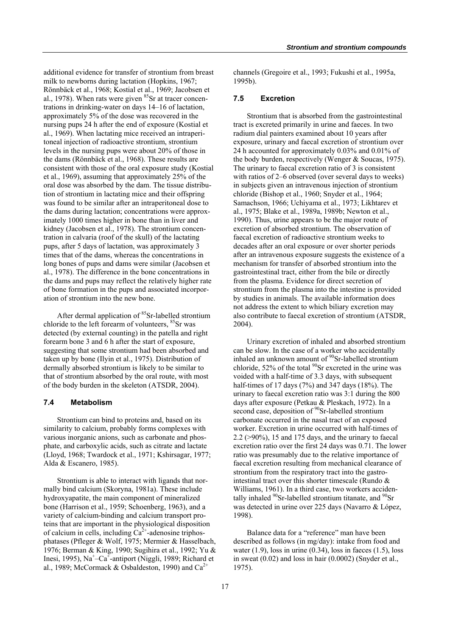additional evidence for transfer of strontium from breast milk to newborns during lactation (Hopkins, 1967; Rönnbäck et al., 1968; Kostial et al., 1969; Jacobsen et al., 1978). When rats were given  $85$ Sr at tracer concentrations in drinking-water on days 14–16 of lactation, approximately 5% of the dose was recovered in the nursing pups 24 h after the end of exposure (Kostial et al., 1969). When lactating mice received an intraperitoneal injection of radioactive strontium, strontium levels in the nursing pups were about 20% of those in the dams (Rönnbäck et al., 1968). These results are consistent with those of the oral exposure study (Kostial et al., 1969), assuming that approximately 25% of the oral dose was absorbed by the dam. The tissue distribution of strontium in lactating mice and their offspring was found to be similar after an intraperitoneal dose to the dams during lactation; concentrations were approximately 1000 times higher in bone than in liver and kidney (Jacobsen et al., 1978). The strontium concentration in calvaria (roof of the skull) of the lactating pups, after 5 days of lactation, was approximately 3 times that of the dams, whereas the concentrations in long bones of pups and dams were similar (Jacobsen et al., 1978). The difference in the bone concentrations in the dams and pups may reflect the relatively higher rate of bone formation in the pups and associated incorporation of strontium into the new bone.

After dermal application of <sup>85</sup>Sr-labelled strontium chloride to the left forearm of volunteers,  ${}^{85}Sr$  was detected (by external counting) in the patella and right forearm bone 3 and 6 h after the start of exposure, suggesting that some strontium had been absorbed and taken up by bone (Ilyin et al., 1975). Distribution of dermally absorbed strontium is likely to be similar to that of strontium absorbed by the oral route, with most of the body burden in the skeleton (ATSDR, 2004).

#### **7.4 Metabolism**

 Strontium can bind to proteins and, based on its similarity to calcium, probably forms complexes with various inorganic anions, such as carbonate and phosphate, and carboxylic acids, such as citrate and lactate (Lloyd, 1968; Twardock et al., 1971; Kshirsagar, 1977; Alda & Escanero, 1985).

 Strontium is able to interact with ligands that normally bind calcium (Skoryna, 1981a). These include hydroxyapatite, the main component of mineralized bone (Harrison et al., 1959; Schoenberg, 1963), and a variety of calcium-binding and calcium transport proteins that are important in the physiological disposition of calcium in cells, including  $Ca<sup>2+</sup>$ -adenosine triphosphatases (Pfleger & Wolf, 1975; Mermier & Hasselbach, 1976; Berman & King, 1990; Sugihira et al., 1992; Yu & Inesi, 1995), Na<sup>+</sup>-Ca<sup>+</sup>-antiport (Niggli, 1989; Richard et al., 1989; McCormack & Osbaldeston, 1990) and  $Ca^{2+}$ 

channels (Gregoire et al., 1993; Fukushi et al., 1995a, 1995b).

#### **7.5 Excretion**

 Strontium that is absorbed from the gastrointestinal tract is excreted primarily in urine and faeces. In two radium dial painters examined about 10 years after exposure, urinary and faecal excretion of strontium over 24 h accounted for approximately 0.03% and 0.01% of the body burden, respectively (Wenger & Soucas, 1975). The urinary to faecal excretion ratio of 3 is consistent with ratios of 2–6 observed (over several days to weeks) in subjects given an intravenous injection of strontium chloride (Bishop et al., 1960; Snyder et al., 1964; Samachson, 1966; Uchiyama et al., 1973; Likhtarev et al., 1975; Blake et al., 1989a, 1989b; Newton et al., 1990). Thus, urine appears to be the major route of excretion of absorbed strontium. The observation of faecal excretion of radioactive strontium weeks to decades after an oral exposure or over shorter periods after an intravenous exposure suggests the existence of a mechanism for transfer of absorbed strontium into the gastrointestinal tract, either from the bile or directly from the plasma. Evidence for direct secretion of strontium from the plasma into the intestine is provided by studies in animals. The available information does not address the extent to which biliary excretion may also contribute to faecal excretion of strontium (ATSDR, 2004).

 Urinary excretion of inhaled and absorbed strontium can be slow. In the case of a worker who accidentally inhaled an unknown amount of  $90$ Sr-labelled strontium chloride,  $52\%$  of the total  $90$ Sr excreted in the urine was voided with a half-time of 3.3 days, with subsequent half-times of 17 days (7%) and 347 days (18%). The urinary to faecal excretion ratio was 3:1 during the 800 days after exposure (Petkau & Pleskach, 1972). In a second case, deposition of  $90$ Sr-labelled strontium carbonate occurred in the nasal tract of an exposed worker. Excretion in urine occurred with half-times of  $2.2$  ( $>90\%$ ), 15 and 175 days, and the urinary to faecal excretion ratio over the first 24 days was 0.71. The lower ratio was presumably due to the relative importance of faecal excretion resulting from mechanical clearance of strontium from the respiratory tract into the gastrointestinal tract over this shorter timescale (Rundo & Williams, 1961). In a third case, two workers accidentally inhaled  $^{90}$ Sr-labelled strontium titanate, and  $^{90}$ Sr was detected in urine over 225 days (Navarro & López, 1998).

 Balance data for a "reference" man have been described as follows (in mg/day): intake from food and water  $(1.9)$ , loss in urine  $(0.34)$ , loss in faeces  $(1.5)$ , loss in sweat (0.02) and loss in hair (0.0002) (Snyder et al., 1975).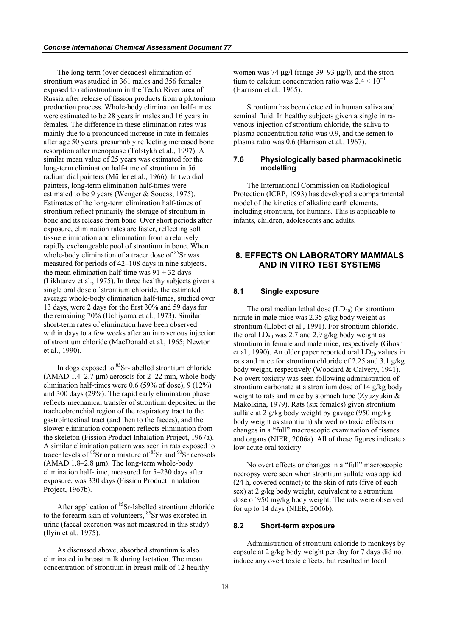The long-term (over decades) elimination of strontium was studied in 361 males and 356 females exposed to radiostrontium in the Techa River area of Russia after release of fission products from a plutonium production process. Whole-body elimination half-times were estimated to be 28 years in males and 16 years in females. The difference in these elimination rates was mainly due to a pronounced increase in rate in females after age 50 years, presumably reflecting increased bone resorption after menopause (Tolstykh et al., 1997). A similar mean value of 25 years was estimated for the long-term elimination half-time of strontium in 56 radium dial painters (Müller et al., 1966). In two dial painters, long-term elimination half-times were estimated to be 9 years (Wenger & Soucas, 1975). Estimates of the long-term elimination half-times of strontium reflect primarily the storage of strontium in bone and its release from bone. Over short periods after exposure, elimination rates are faster, reflecting soft tissue elimination and elimination from a relatively rapidly exchangeable pool of strontium in bone. When whole-body elimination of a tracer dose of  ${}^{85}Sr$  was measured for periods of 42–108 days in nine subjects, the mean elimination half-time was  $91 \pm 32$  days (Likhtarev et al., 1975). In three healthy subjects given a single oral dose of strontium chloride, the estimated average whole-body elimination half-times, studied over 13 days, were 2 days for the first 30% and 59 days for the remaining 70% (Uchiyama et al., 1973). Similar short-term rates of elimination have been observed within days to a few weeks after an intravenous injection of strontium chloride (MacDonald et al., 1965; Newton et al., 1990).

In dogs exposed to <sup>85</sup>Sr-labelled strontium chloride (AMAD 1.4–2.7  $\mu$ m) aerosols for 2–22 min, whole-body elimination half-times were 0.6 (59% of dose), 9 (12%) and 300 days (29%). The rapid early elimination phase reflects mechanical transfer of strontium deposited in the tracheobronchial region of the respiratory tract to the gastrointestinal tract (and then to the faeces), and the slower elimination component reflects elimination from the skeleton (Fission Product Inhalation Project, 1967a). A similar elimination pattern was seen in rats exposed to tracer levels of  ${}^{85}Sr$  or a mixture of  ${}^{85}Sr$  and  ${}^{90}Sr$  aerosols (AMAD 1.8–2.8 μm). The long-term whole-body elimination half-time, measured for 5–230 days after exposure, was 330 days (Fission Product Inhalation Project, 1967b).

After application of <sup>85</sup>Sr-labelled strontium chloride to the forearm skin of volunteers, <sup>85</sup>Sr was excreted in urine (faecal excretion was not measured in this study) (Ilyin et al., 1975).

 As discussed above, absorbed strontium is also eliminated in breast milk during lactation. The mean concentration of strontium in breast milk of 12 healthy women was 74 μg/l (range 39–93 μg/l), and the strontium to calcium concentration ratio was  $2.4 \times 10^{-4}$ (Harrison et al., 1965).

 Strontium has been detected in human saliva and seminal fluid. In healthy subjects given a single intravenous injection of strontium chloride, the saliva to plasma concentration ratio was 0.9, and the semen to plasma ratio was 0.6 (Harrison et al., 1967).

#### **7.6 Physiologically based pharmacokinetic modelling**

 The International Commission on Radiological Protection (ICRP, 1993) has developed a compartmental model of the kinetics of alkaline earth elements, including strontium, for humans. This is applicable to infants, children, adolescents and adults.

### **8. EFFECTS ON LABORATORY MAMMALS AND IN VITRO TEST SYSTEMS**

#### **8.1 Single exposure**

The oral median lethal dose  $(LD_{50})$  for strontium nitrate in male mice was 2.35 g/kg body weight as strontium (Llobet et al., 1991). For strontium chloride, the oral  $LD_{50}$  was 2.7 and 2.9 g/kg body weight as strontium in female and male mice, respectively (Ghosh et al., 1990). An older paper reported oral  $LD_{50}$  values in rats and mice for strontium chloride of 2.25 and 3.1 g/kg body weight, respectively (Woodard & Calvery, 1941). No overt toxicity was seen following administration of strontium carbonate at a strontium dose of 14 g/kg body weight to rats and mice by stomach tube (Zyuzyukin & Makolkina, 1979). Rats (six females) given strontium sulfate at 2 g/kg body weight by gavage (950 mg/kg body weight as strontium) showed no toxic effects or changes in a "full" macroscopic examination of tissues and organs (NIER, 2006a). All of these figures indicate a low acute oral toxicity.

 No overt effects or changes in a "full" macroscopic necropsy were seen when strontium sulfate was applied (24 h, covered contact) to the skin of rats (five of each sex) at 2 g/kg body weight, equivalent to a strontium dose of 950 mg/kg body weight. The rats were observed for up to 14 days (NIER, 2006b).

#### **8.2 Short-term exposure**

 Administration of strontium chloride to monkeys by capsule at 2 g/kg body weight per day for 7 days did not induce any overt toxic effects, but resulted in local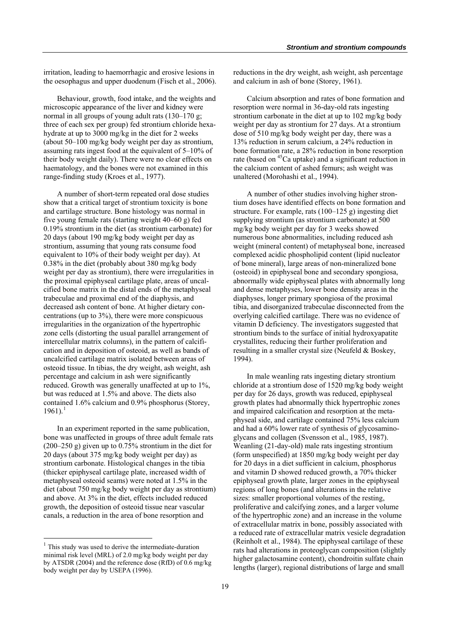<span id="page-22-0"></span>irritation, leading to haemorrhagic and erosive lesions in the oesophagus and upper duodenum (Fisch et al., 2006).

 Behaviour, growth, food intake, and the weights and microscopic appearance of the liver and kidney were normal in all groups of young adult rats (130–170 g; three of each sex per group) fed strontium chloride hexahydrate at up to 3000 mg/kg in the diet for 2 weeks (about 50–100 mg/kg body weight per day as strontium, assuming rats ingest food at the equivalent of 5–10% of their body weight daily). There were no clear effects on haematology, and the bones were not examined in this range-finding study (Kroes et al., 1977).

 A number of short-term repeated oral dose studies show that a critical target of strontium toxicity is bone and cartilage structure. Bone histology was normal in five young female rats (starting weight 40–60 g) fed 0.19% strontium in the diet (as strontium carbonate) for 20 days (about 190 mg/kg body weight per day as strontium, assuming that young rats consume food equivalent to 10% of their body weight per day). At 0.38% in the diet (probably about 380 mg/kg body weight per day as strontium), there were irregularities in the proximal epiphyseal cartilage plate, areas of uncalcified bone matrix in the distal ends of the metaphyseal trabeculae and proximal end of the diaphysis, and decreased ash content of bone. At higher dietary concentrations (up to 3%), there were more conspicuous irregularities in the organization of the hypertrophic zone cells (distorting the usual parallel arrangement of intercellular matrix columns), in the pattern of calcification and in deposition of osteoid, as well as bands of uncalcified cartilage matrix isolated between areas of osteoid tissue. In tibias, the dry weight, ash weight, ash percentage and calcium in ash were significantly reduced. Growth was generally unaffected at up to 1%, but was reduced at 1.5% and above. The diets also contained 1.6% calcium and 0.9% phosphorus (Storey,  $1961$  $1961$ ).<sup>1</sup>

 In an experiment reported in the same publication, bone was unaffected in groups of three adult female rats  $(200-250 \text{ g})$  given up to 0.75% strontium in the diet for 20 days (about 375 mg/kg body weight per day) as strontium carbonate. Histological changes in the tibia (thicker epiphyseal cartilage plate, increased width of metaphyseal osteoid seams) were noted at 1.5% in the diet (about 750 mg/kg body weight per day as strontium) and above. At 3% in the diet, effects included reduced growth, the deposition of osteoid tissue near vascular canals, a reduction in the area of bone resorption and

 $\overline{a}$ 

reductions in the dry weight, ash weight, ash percentage and calcium in ash of bone (Storey, 1961).

 Calcium absorption and rates of bone formation and resorption were normal in 36-day-old rats ingesting strontium carbonate in the diet at up to 102 mg/kg body weight per day as strontium for 27 days. At a strontium dose of 510 mg/kg body weight per day, there was a 13% reduction in serum calcium, a 24% reduction in bone formation rate, a 28% reduction in bone resorption rate (based on  $45$ Ca uptake) and a significant reduction in the calcium content of ashed femurs; ash weight was unaltered (Morohashi et al., 1994).

 A number of other studies involving higher strontium doses have identified effects on bone formation and structure. For example, rats (100–125 g) ingesting diet supplying strontium (as strontium carbonate) at 500 mg/kg body weight per day for 3 weeks showed numerous bone abnormalities, including reduced ash weight (mineral content) of metaphyseal bone, increased complexed acidic phospholipid content (lipid nucleator of bone mineral), large areas of non-mineralized bone (osteoid) in epiphyseal bone and secondary spongiosa, abnormally wide epiphyseal plates with abnormally long and dense metaphyses, lower bone density areas in the diaphyses, longer primary spongiosa of the proximal tibia, and disorganized trabeculae disconnected from the overlying calcified cartilage. There was no evidence of vitamin D deficiency. The investigators suggested that strontium binds to the surface of initial hydroxyapatite crystallites, reducing their further proliferation and resulting in a smaller crystal size (Neufeld & Boskey, 1994).

 In male weanling rats ingesting dietary strontium chloride at a strontium dose of 1520 mg/kg body weight per day for 26 days, growth was reduced, epiphyseal growth plates had abnormally thick hypertrophic zones and impaired calcification and resorption at the metaphyseal side, and cartilage contained 75% less calcium and had a 60% lower rate of synthesis of glycosaminoglycans and collagen (Svensson et al., 1985, 1987). Weanling (21-day-old) male rats ingesting strontium (form unspecified) at 1850 mg/kg body weight per day for 20 days in a diet sufficient in calcium, phosphorus and vitamin D showed reduced growth, a 70% thicker epiphyseal growth plate, larger zones in the epiphyseal regions of long bones (and alterations in the relative sizes: smaller proportional volumes of the resting, proliferative and calcifying zones, and a larger volume of the hypertrophic zone) and an increase in the volume of extracellular matrix in bone, possibly associated with a reduced rate of extracellular matrix vesicle degradation (Reinholt et al., 1984). The epiphyseal cartilage of these rats had alterations in proteoglycan composition (slightly higher galactosamine content), chondroitin sulfate chain lengths (larger), regional distributions of large and small

 $1$  This study was used to derive the intermediate-duration minimal risk level (MRL) of 2.0 mg/kg body weight per day by ATSDR (2004) and the reference dose (RfD) of 0.6 mg/kg body weight per day by USEPA (1996).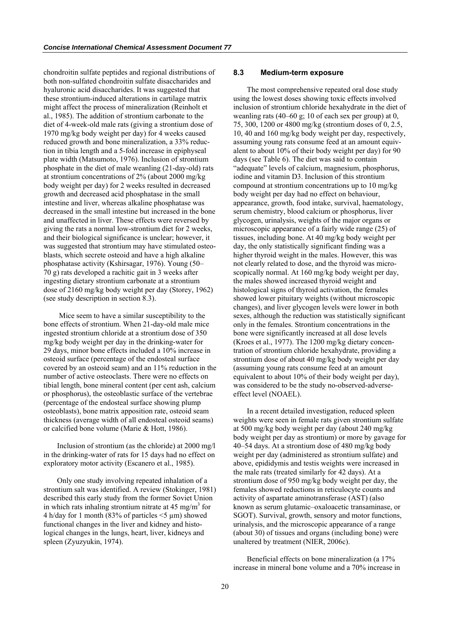chondroitin sulfate peptides and regional distributions of both non-sulfated chondroitin sulfate disaccharides and hyaluronic acid disaccharides. It was suggested that these strontium-induced alterations in cartilage matrix might affect the process of mineralization (Reinholt et al., 1985). The addition of strontium carbonate to the diet of 4-week-old male rats (giving a strontium dose of 1970 mg/kg body weight per day) for 4 weeks caused reduced growth and bone mineralization, a 33% reduction in tibia length and a 5-fold increase in epiphyseal plate width (Matsumoto, 1976). Inclusion of strontium phosphate in the diet of male weanling (21-day-old) rats at strontium concentrations of 2% (about 2000 mg/kg body weight per day) for 2 weeks resulted in decreased growth and decreased acid phosphatase in the small intestine and liver, whereas alkaline phosphatase was decreased in the small intestine but increased in the bone and unaffected in liver. These effects were reversed by giving the rats a normal low-strontium diet for 2 weeks, and their biological significance is unclear; however, it was suggested that strontium may have stimulated osteoblasts, which secrete osteoid and have a high alkaline phosphatase activity (Kshirsagar, 1976). Young (50– 70 g) rats developed a rachitic gait in 3 weeks after ingesting dietary strontium carbonate at a strontium dose of 2160 mg/kg body weight per day (Storey, 1962) (see study description in section 8.3).

 Mice seem to have a similar susceptibility to the bone effects of strontium. When 21-day-old male mice ingested strontium chloride at a strontium dose of 350 mg/kg body weight per day in the drinking-water for 29 days, minor bone effects included a 10% increase in osteoid surface (percentage of the endosteal surface covered by an osteoid seam) and an 11% reduction in the number of active osteoclasts. There were no effects on tibial length, bone mineral content (per cent ash, calcium or phosphorus), the osteoblastic surface of the vertebrae (percentage of the endosteal surface showing plump osteoblasts), bone matrix apposition rate, osteoid seam thickness (average width of all endosteal osteoid seams) or calcified bone volume (Marie & Hott, 1986).

 Inclusion of strontium (as the chloride) at 2000 mg/l in the drinking-water of rats for 15 days had no effect on exploratory motor activity (Escanero et al., 1985).

 Only one study involving repeated inhalation of a strontium salt was identified. A review (Stokinger, 1981) described this early study from the former Soviet Union in which rats inhaling strontium nitrate at 45 mg/m<sup>3</sup> for 4 h/day for 1 month (83% of particles <5 µm) showed functional changes in the liver and kidney and histological changes in the lungs, heart, liver, kidneys and spleen (Zyuzyukin, 1974).

#### **8.3 Medium-term exposure**

 The most comprehensive repeated oral dose study using the lowest doses showing toxic effects involved inclusion of strontium chloride hexahydrate in the diet of weanling rats (40–60 g; 10 of each sex per group) at 0, 75, 300, 1200 or 4800 mg/kg (strontium doses of 0, 2.5, 10, 40 and 160 mg/kg body weight per day, respectively, assuming young rats consume feed at an amount equivalent to about 10% of their body weight per day) for 90 days (see Table 6). The diet was said to contain "adequate" levels of calcium, magnesium, phosphorus, iodine and vitamin D3. Inclusion of this strontium compound at strontium concentrations up to 10 mg/kg body weight per day had no effect on behaviour, appearance, growth, food intake, survival, haematology, serum chemistry, blood calcium or phosphorus, liver glycogen, urinalysis, weights of the major organs or microscopic appearance of a fairly wide range (25) of tissues, including bone. At 40 mg/kg body weight per day, the only statistically significant finding was a higher thyroid weight in the males. However, this was not clearly related to dose, and the thyroid was microscopically normal. At 160 mg/kg body weight per day, the males showed increased thyroid weight and histological signs of thyroid activation, the females showed lower pituitary weights (without microscopic changes), and liver glycogen levels were lower in both sexes, although the reduction was statistically significant only in the females. Strontium concentrations in the bone were significantly increased at all dose levels (Kroes et al., 1977). The 1200 mg/kg dietary concentration of strontium chloride hexahydrate, providing a strontium dose of about 40 mg/kg body weight per day (assuming young rats consume feed at an amount equivalent to about 10% of their body weight per day), was considered to be the study no-observed-adverseeffect level (NOAEL).

 In a recent detailed investigation, reduced spleen weights were seen in female rats given strontium sulfate at 500 mg/kg body weight per day (about 240 mg/kg body weight per day as strontium) or more by gavage for 40–54 days. At a strontium dose of 480 mg/kg body weight per day (administered as strontium sulfate) and above, epididymis and testis weights were increased in the male rats (treated similarly for 42 days). At a strontium dose of 950 mg/kg body weight per day, the females showed reductions in reticulocyte counts and activity of aspartate aminotransferase (AST) (also known as serum glutamic–oxaloacetic transaminase, or SGOT). Survival, growth, sensory and motor functions, urinalysis, and the microscopic appearance of a range (about 30) of tissues and organs (including bone) were unaltered by treatment (NIER, 2006c).

 Beneficial effects on bone mineralization (a 17% increase in mineral bone volume and a 70% increase in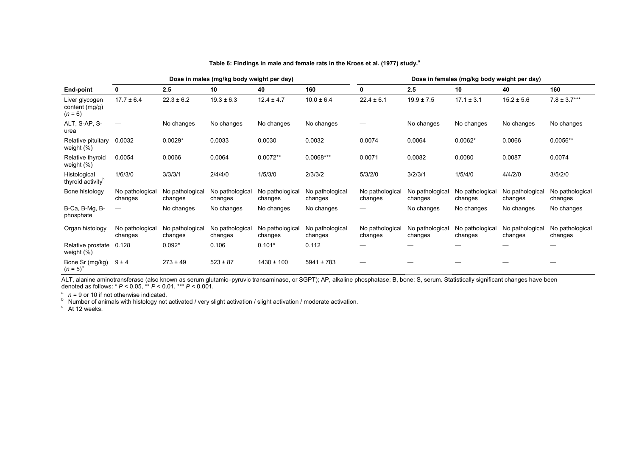|                                                 | Dose in males (mg/kg body weight per day) |                            |                            |                            | Dose in females (mg/kg body weight per day) |                            |                            |                            |                            |                            |
|-------------------------------------------------|-------------------------------------------|----------------------------|----------------------------|----------------------------|---------------------------------------------|----------------------------|----------------------------|----------------------------|----------------------------|----------------------------|
| End-point                                       | $\mathbf 0$                               | 2.5                        | 10                         | 40                         | 160                                         | 0                          | 2.5                        | 10                         | 40                         | 160                        |
| Liver glycogen<br>content $(mg/g)$<br>$(n = 6)$ | $17.7 \pm 6.4$                            | $22.3 \pm 6.2$             | $19.3 \pm 6.3$             | $12.4 \pm 4.7$             | $10.0 \pm 6.4$                              | $22.4 \pm 6.1$             | $19.9 \pm 7.5$             | $17.1 \pm 3.1$             | $15.2 \pm 5.6$             | $7.8 \pm 3.7***$           |
| ALT, S-AP, S-<br>urea                           | $\overline{\phantom{m}}$                  | No changes                 | No changes                 | No changes                 | No changes                                  |                            | No changes                 | No changes                 | No changes                 | No changes                 |
| Relative pituitary<br>weight $(\%)$             | 0.0032                                    | $0.0029*$                  | 0.0033                     | 0.0030                     | 0.0032                                      | 0.0074                     | 0.0064                     | $0.0062*$                  | 0.0066                     | $0.0056**$                 |
| Relative thyroid<br>weight $(\%)$               | 0.0054                                    | 0.0066                     | 0.0064                     | $0.0072**$                 | $0.0068***$                                 | 0.0071                     | 0.0082                     | 0.0080                     | 0.0087                     | 0.0074                     |
| Histological<br>thyroid activity <sup>b</sup>   | 1/6/3/0                                   | 3/3/3/1                    | 2/4/4/0                    | 1/5/3/0                    | 2/3/3/2                                     | 5/3/2/0                    | 3/2/3/1                    | 1/5/4/0                    | 4/4/2/0                    | 3/5/2/0                    |
| Bone histology                                  | No pathological<br>changes                | No pathological<br>changes | No pathological<br>changes | No pathological<br>changes | No pathological<br>changes                  | No pathological<br>changes | No pathological<br>changes | No pathological<br>changes | No pathological<br>changes | No pathological<br>changes |
| B-Ca, B-Mg, B-<br>phosphate                     | $\hspace{0.1mm}-\hspace{0.1mm}$           | No changes                 | No changes                 | No changes                 | No changes                                  |                            | No changes                 | No changes                 | No changes                 | No changes                 |
| Organ histology                                 | No pathological<br>changes                | No pathological<br>changes | No pathological<br>changes | No pathological<br>changes | No pathological<br>changes                  | No pathological<br>changes | No pathological<br>changes | No pathological<br>changes | No pathological<br>changes | No pathological<br>changes |
| Relative prostate<br>weight $(\%)$              | 0.128                                     | $0.092*$                   | 0.106                      | $0.101*$                   | 0.112                                       |                            |                            |                            |                            |                            |
| Bone Sr (mg/kg)<br>$(n = 5)^{c}$                | $9 \pm 4$                                 | $273 \pm 49$               | $523 \pm 87$               | $1430 \pm 100$             | $5941 \pm 783$                              |                            |                            |                            |                            |                            |

**Table 6: Findings in male and female rats in the Kroes et al. (1977) study.<sup>a</sup>**

ALT, alanine aminotransferase (also known as serum glutamic–pyruvic transaminase, or SGPT); AP, alkaline phosphatase; B, bone; S, serum. Statistically significant changes have been denoted as follows: \* *P* < 0.05, \*\* *P* < 0.01, \*\*\* *P* < 0.001.

<sup>a</sup> n = 9 or 10 if not otherwise indicated.<br><sup>b</sup> Number of animals with histology not activated / very slight activation / slight activation / moderate activation.<br><sup>c</sup> At 12 weeks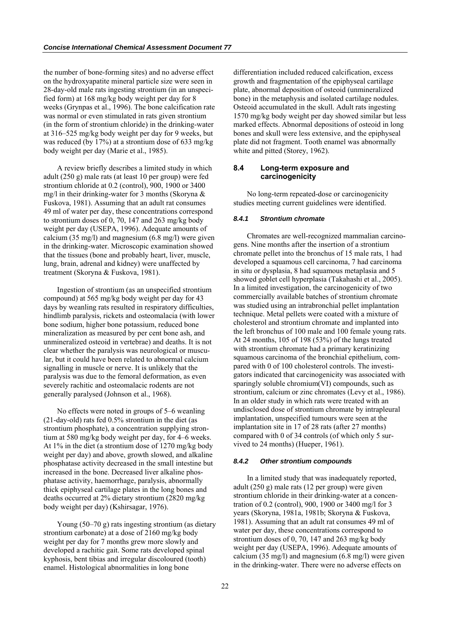the number of bone-forming sites) and no adverse effect on the hydroxyapatite mineral particle size were seen in 28-day-old male rats ingesting strontium (in an unspecified form) at 168 mg/kg body weight per day for 8 weeks (Grynpas et al., 1996). The bone calcification rate was normal or even stimulated in rats given strontium (in the form of strontium chloride) in the drinking-water at 316–525 mg/kg body weight per day for 9 weeks, but was reduced (by 17%) at a strontium dose of 633 mg/kg body weight per day (Marie et al., 1985).

 A review briefly describes a limited study in which adult (250 g) male rats (at least 10 per group) were fed strontium chloride at 0.2 (control), 900, 1900 or 3400 mg/l in their drinking-water for 3 months (Skoryna & Fuskova, 1981). Assuming that an adult rat consumes 49 ml of water per day, these concentrations correspond to strontium doses of 0, 70, 147 and 263 mg/kg body weight per day (USEPA, 1996). Adequate amounts of calcium (35 mg/l) and magnesium (6.8 mg/l) were given in the drinking-water. Microscopic examination showed that the tissues (bone and probably heart, liver, muscle, lung, brain, adrenal and kidney) were unaffected by treatment (Skoryna & Fuskova, 1981).

 Ingestion of strontium (as an unspecified strontium compound) at 565 mg/kg body weight per day for 43 days by weanling rats resulted in respiratory difficulties, hindlimb paralysis, rickets and osteomalacia (with lower bone sodium, higher bone potassium, reduced bone mineralization as measured by per cent bone ash, and unmineralized osteoid in vertebrae) and deaths. It is not clear whether the paralysis was neurological or muscular, but it could have been related to abnormal calcium signalling in muscle or nerve. It is unlikely that the paralysis was due to the femoral deformation, as even severely rachitic and osteomalacic rodents are not generally paralysed (Johnson et al., 1968).

 No effects were noted in groups of 5–6 weanling (21-day-old) rats fed 0.5% strontium in the diet (as strontium phosphate), a concentration supplying strontium at 580 mg/kg body weight per day, for 4–6 weeks. At 1% in the diet (a strontium dose of 1270 mg/kg body weight per day) and above, growth slowed, and alkaline phosphatase activity decreased in the small intestine but increased in the bone. Decreased liver alkaline phosphatase activity, haemorrhage, paralysis, abnormally thick epiphyseal cartilage plates in the long bones and deaths occurred at 2% dietary strontium (2820 mg/kg body weight per day) (Kshirsagar, 1976).

 Young (50–70 g) rats ingesting strontium (as dietary strontium carbonate) at a dose of 2160 mg/kg body weight per day for 7 months grew more slowly and developed a rachitic gait. Some rats developed spinal kyphosis, bent tibias and irregular discoloured (tooth) enamel. Histological abnormalities in long bone

differentiation included reduced calcification, excess growth and fragmentation of the epiphyseal cartilage plate, abnormal deposition of osteoid (unmineralized bone) in the metaphysis and isolated cartilage nodules. Osteoid accumulated in the skull. Adult rats ingesting 1570 mg/kg body weight per day showed similar but less marked effects. Abnormal depositions of osteoid in long bones and skull were less extensive, and the epiphyseal plate did not fragment. Tooth enamel was abnormally white and pitted (Storey, 1962).

#### **8.4 Long-term exposure and carcinogenicity**

 No long-term repeated-dose or carcinogenicity studies meeting current guidelines were identified.

#### *8.4.1 Strontium chromate*

 Chromates are well-recognized mammalian carcinogens. Nine months after the insertion of a strontium chromate pellet into the bronchus of 15 male rats, 1 had developed a squamous cell carcinoma, 7 had carcinoma in situ or dysplasia, 8 had squamous metaplasia and 5 showed goblet cell hyperplasia (Takahashi et al., 2005). In a limited investigation, the carcinogenicity of two commercially available batches of strontium chromate was studied using an intrabronchial pellet implantation technique. Metal pellets were coated with a mixture of cholesterol and strontium chromate and implanted into the left bronchus of 100 male and 100 female young rats. At 24 months, 105 of 198 (53%) of the lungs treated with strontium chromate had a primary keratinizing squamous carcinoma of the bronchial epithelium, compared with 0 of 100 cholesterol controls. The investigators indicated that carcinogenicity was associated with sparingly soluble chromium(VI) compounds, such as strontium, calcium or zinc chromates (Levy et al., 1986). In an older study in which rats were treated with an undisclosed dose of strontium chromate by intrapleural implantation, unspecified tumours were seen at the implantation site in 17 of 28 rats (after 27 months) compared with 0 of 34 controls (of which only 5 survived to 24 months) (Hueper, 1961).

#### *8.4.2 Other strontium compounds*

 In a limited study that was inadequately reported, adult (250 g) male rats (12 per group) were given strontium chloride in their drinking-water at a concentration of 0.2 (control), 900, 1900 or 3400 mg/l for 3 years (Skoryna, 1981a, 1981b; Skoryna & Fuskova, 1981). Assuming that an adult rat consumes 49 ml of water per day, these concentrations correspond to strontium doses of 0, 70, 147 and 263 mg/kg body weight per day (USEPA, 1996). Adequate amounts of calcium (35 mg/l) and magnesium (6.8 mg/l) were given in the drinking-water. There were no adverse effects on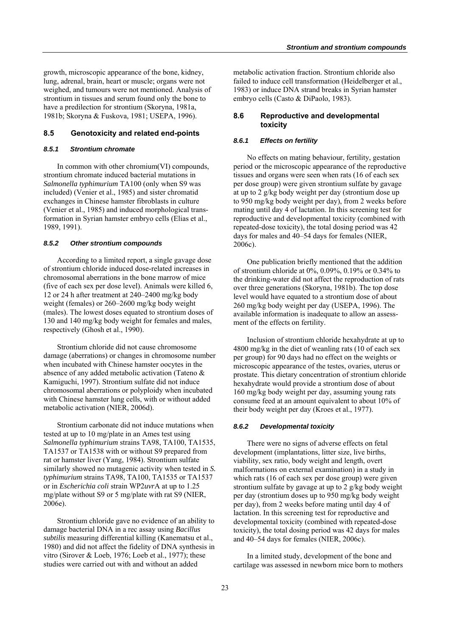growth, microscopic appearance of the bone, kidney, lung, adrenal, brain, heart or muscle; organs were not weighed, and tumours were not mentioned. Analysis of strontium in tissues and serum found only the bone to have a predilection for strontium (Skoryna, 1981a, 1981b; Skoryna & Fuskova, 1981; USEPA, 1996).

#### **8.5 Genotoxicity and related end-points**

#### *8.5.1 Strontium chromate*

 In common with other chromium(VI) compounds, strontium chromate induced bacterial mutations in *Salmonella typhimurium* TA100 (only when S9 was included) (Venier et al., 1985) and sister chromatid exchanges in Chinese hamster fibroblasts in culture (Venier et al., 1985) and induced morphological transformation in Syrian hamster embryo cells (Elias et al., 1989, 1991).

#### *8.5.2 Other strontium compounds*

 According to a limited report, a single gavage dose of strontium chloride induced dose-related increases in chromosomal aberrations in the bone marrow of mice (five of each sex per dose level). Animals were killed 6, 12 or 24 h after treatment at 240–2400 mg/kg body weight (females) or 260–2600 mg/kg body weight (males). The lowest doses equated to strontium doses of 130 and 140 mg/kg body weight for females and males, respectively (Ghosh et al., 1990).

 Strontium chloride did not cause chromosome damage (aberrations) or changes in chromosome number when incubated with Chinese hamster oocytes in the absence of any added metabolic activation (Tateno & Kamiguchi, 1997). Strontium sulfate did not induce chromosomal aberrations or polyploidy when incubated with Chinese hamster lung cells, with or without added metabolic activation (NIER, 2006d).

 Strontium carbonate did not induce mutations when tested at up to 10 mg/plate in an Ames test using *Salmonella typhimurium* strains TA98, TA100, TA1535, TA1537 or TA1538 with or without S9 prepared from rat or hamster liver (Yang, 1984). Strontium sulfate similarly showed no mutagenic activity when tested in *S. typhimurium* strains TA98, TA100, TA1535 or TA1537 or in *Escherichia coli* strain WP2*uvr*A at up to 1.25 mg/plate without S9 or 5 mg/plate with rat S9 (NIER, 2006e).

 Strontium chloride gave no evidence of an ability to damage bacterial DNA in a rec assay using *Bacillus subtilis* measuring differential killing (Kanematsu et al., 1980) and did not affect the fidelity of DNA synthesis in vitro (Sirover & Loeb, 1976; Loeb et al., 1977); these studies were carried out with and without an added

metabolic activation fraction. Strontium chloride also failed to induce cell transformation (Heidelberger et al., 1983) or induce DNA strand breaks in Syrian hamster embryo cells (Casto & DiPaolo, 1983).

#### **8.6 Reproductive and developmental toxicity**

#### *8.6.1 Effects on fertility*

 No effects on mating behaviour, fertility, gestation period or the microscopic appearance of the reproductive tissues and organs were seen when rats (16 of each sex per dose group) were given strontium sulfate by gavage at up to 2 g/kg body weight per day (strontium dose up to 950 mg/kg body weight per day), from 2 weeks before mating until day 4 of lactation. In this screening test for reproductive and developmental toxicity (combined with repeated-dose toxicity), the total dosing period was 42 days for males and 40–54 days for females (NIER, 2006c).

 One publication briefly mentioned that the addition of strontium chloride at 0%, 0.09%, 0.19% or 0.34% to the drinking-water did not affect the reproduction of rats over three generations (Skoryna, 1981b). The top dose level would have equated to a strontium dose of about 260 mg/kg body weight per day (USEPA, 1996). The available information is inadequate to allow an assessment of the effects on fertility.

 Inclusion of strontium chloride hexahydrate at up to 4800 mg/kg in the diet of weanling rats (10 of each sex per group) for 90 days had no effect on the weights or microscopic appearance of the testes, ovaries, uterus or prostate. This dietary concentration of strontium chloride hexahydrate would provide a strontium dose of about 160 mg/kg body weight per day, assuming young rats consume feed at an amount equivalent to about 10% of their body weight per day (Kroes et al., 1977).

#### *8.6.2 Developmental toxicity*

 There were no signs of adverse effects on fetal development (implantations, litter size, live births, viability, sex ratio, body weight and length, overt malformations on external examination) in a study in which rats (16 of each sex per dose group) were given strontium sulfate by gavage at up to 2 g/kg body weight per day (strontium doses up to 950 mg/kg body weight per day), from 2 weeks before mating until day 4 of lactation. In this screening test for reproductive and developmental toxicity (combined with repeated-dose toxicity), the total dosing period was 42 days for males and 40–54 days for females (NIER, 2006c).

 In a limited study, development of the bone and cartilage was assessed in newborn mice born to mothers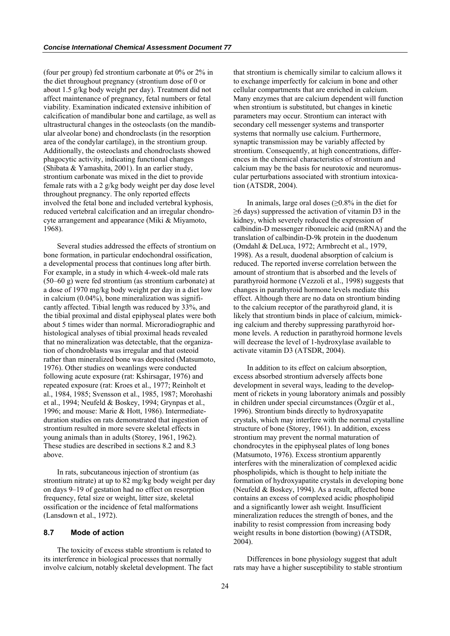(four per group) fed strontium carbonate at 0% or 2% in the diet throughout pregnancy (strontium dose of 0 or about 1.5 g/kg body weight per day). Treatment did not affect maintenance of pregnancy, fetal numbers or fetal viability. Examination indicated extensive inhibition of calcification of mandibular bone and cartilage, as well as ultrastructural changes in the osteoclasts (on the mandibular alveolar bone) and chondroclasts (in the resorption area of the condylar cartilage), in the strontium group. Additionally, the osteoclasts and chondroclasts showed phagocytic activity, indicating functional changes (Shibata & Yamashita, 2001). In an earlier study, strontium carbonate was mixed in the diet to provide female rats with a 2 g/kg body weight per day dose level throughout pregnancy. The only reported effects involved the fetal bone and included vertebral kyphosis, reduced vertebral calcification and an irregular chondrocyte arrangement and appearance (Miki & Miyamoto, 1968).

 Several studies addressed the effects of strontium on bone formation, in particular endochondral ossification, a developmental process that continues long after birth. For example, in a study in which 4-week-old male rats (50–60 g) were fed strontium (as strontium carbonate) at a dose of 1970 mg/kg body weight per day in a diet low in calcium (0.04%), bone mineralization was significantly affected. Tibial length was reduced by 33%, and the tibial proximal and distal epiphyseal plates were both about 5 times wider than normal. Microradiographic and histological analyses of tibial proximal heads revealed that no mineralization was detectable, that the organization of chondroblasts was irregular and that osteoid rather than mineralized bone was deposited (Matsumoto, 1976). Other studies on weanlings were conducted following acute exposure (rat: Kshirsagar, 1976) and repeated exposure (rat: Kroes et al., 1977; Reinholt et al., 1984, 1985; Svensson et al., 1985, 1987; Morohashi et al., 1994; Neufeld & Boskey, 1994; Grynpas et al., 1996; and mouse: Marie & Hott, 1986). Intermediateduration studies on rats demonstrated that ingestion of strontium resulted in more severe skeletal effects in young animals than in adults (Storey, 1961, 1962). These studies are described in sections 8.2 and 8.3 above.

 In rats, subcutaneous injection of strontium (as strontium nitrate) at up to 82 mg/kg body weight per day on days 9–19 of gestation had no effect on resorption frequency, fetal size or weight, litter size, skeletal ossification or the incidence of fetal malformations (Lansdown et al., 1972).

#### **8.7 Mode of action**

 The toxicity of excess stable strontium is related to its interference in biological processes that normally involve calcium, notably skeletal development. The fact

that strontium is chemically similar to calcium allows it to exchange imperfectly for calcium in bone and other cellular compartments that are enriched in calcium. Many enzymes that are calcium dependent will function when strontium is substituted, but changes in kinetic parameters may occur. Strontium can interact with secondary cell messenger systems and transporter systems that normally use calcium. Furthermore, synaptic transmission may be variably affected by strontium. Consequently, at high concentrations, differences in the chemical characteristics of strontium and calcium may be the basis for neurotoxic and neuromuscular perturbations associated with strontium intoxication (ATSDR, 2004).

In animals, large oral doses  $(≥0.8%$  in the diet for  $\geq$ 6 days) suppressed the activation of vitamin D3 in the kidney, which severely reduced the expression of calbindin-D messenger ribonucleic acid (mRNA) and the translation of calbindin-D-9k protein in the duodenum (Omdahl & DeLuca, 1972; Armbrecht et al., 1979, 1998). As a result, duodenal absorption of calcium is reduced. The reported inverse correlation between the amount of strontium that is absorbed and the levels of parathyroid hormone (Vezzoli et al., 1998) suggests that changes in parathyroid hormone levels mediate this effect. Although there are no data on strontium binding to the calcium receptor of the parathyroid gland, it is likely that strontium binds in place of calcium, mimicking calcium and thereby suppressing parathyroid hormone levels. A reduction in parathyroid hormone levels will decrease the level of 1-hydroxylase available to activate vitamin D3 (ATSDR, 2004).

 In addition to its effect on calcium absorption, excess absorbed strontium adversely affects bone development in several ways, leading to the development of rickets in young laboratory animals and possibly in children under special circumstances (Özgür et al., 1996). Strontium binds directly to hydroxyapatite crystals, which may interfere with the normal crystalline structure of bone (Storey, 1961). In addition, excess strontium may prevent the normal maturation of chondrocytes in the epiphyseal plates of long bones (Matsumoto, 1976). Excess strontium apparently interferes with the mineralization of complexed acidic phospholipids, which is thought to help initiate the formation of hydroxyapatite crystals in developing bone (Neufeld & Boskey, 1994). As a result, affected bone contains an excess of complexed acidic phospholipid and a significantly lower ash weight. Insufficient mineralization reduces the strength of bones, and the inability to resist compression from increasing body weight results in bone distortion (bowing) (ATSDR, 2004).

 Differences in bone physiology suggest that adult rats may have a higher susceptibility to stable strontium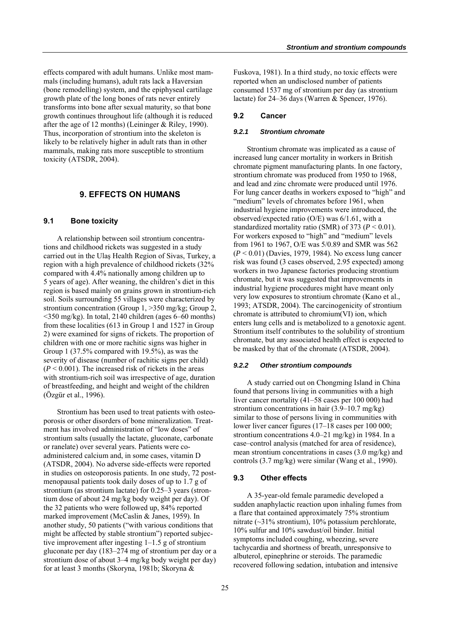effects compared with adult humans. Unlike most mammals (including humans), adult rats lack a Haversian (bone remodelling) system, and the epiphyseal cartilage growth plate of the long bones of rats never entirely transforms into bone after sexual maturity, so that bone growth continues throughout life (although it is reduced after the age of 12 months) (Leininger & Riley, 1990). Thus, incorporation of strontium into the skeleton is likely to be relatively higher in adult rats than in other mammals, making rats more susceptible to strontium toxicity (ATSDR, 2004).

#### **9. EFFECTS ON HUMANS**

#### **9.1 Bone toxicity**

 A relationship between soil strontium concentrations and childhood rickets was suggested in a study carried out in the Ulaş Health Region of Sivas, Turkey, a region with a high prevalence of childhood rickets (32% compared with 4.4% nationally among children up to 5 years of age). After weaning, the children's diet in this region is based mainly on grains grown in strontium-rich soil. Soils surrounding 55 villages were characterized by strontium concentration (Group 1, >350 mg/kg; Group 2, <350 mg/kg). In total, 2140 children (ages 6–60 months) from these localities (613 in Group 1 and 1527 in Group 2) were examined for signs of rickets. The proportion of children with one or more rachitic signs was higher in Group 1 (37.5% compared with 19.5%), as was the severity of disease (number of rachitic signs per child)  $(P \le 0.001)$ . The increased risk of rickets in the areas with strontium-rich soil was irrespective of age, duration of breastfeeding, and height and weight of the children (Özgür et al., 1996).

 Strontium has been used to treat patients with osteoporosis or other disorders of bone mineralization. Treatment has involved administration of "low doses" of strontium salts (usually the lactate, gluconate, carbonate or ranelate) over several years. Patients were coadministered calcium and, in some cases, vitamin D (ATSDR, 2004). No adverse side-effects were reported in studies on osteoporosis patients. In one study, 72 postmenopausal patients took daily doses of up to 1.7 g of strontium (as strontium lactate) for 0.25–3 years (strontium dose of about 24 mg/kg body weight per day). Of the 32 patients who were followed up, 84% reported marked improvement (McCaslin & Janes, 1959). In another study, 50 patients ("with various conditions that might be affected by stable strontium") reported subjective improvement after ingesting  $1-1.5$  g of strontium gluconate per day (183–274 mg of strontium per day or a strontium dose of about 3–4 mg/kg body weight per day) for at least 3 months (Skoryna, 1981b; Skoryna &

Fuskova, 1981). In a third study, no toxic effects were reported when an undisclosed number of patients consumed 1537 mg of strontium per day (as strontium lactate) for 24–36 days (Warren & Spencer, 1976).

#### **9.2 Cancer**

#### *9.2.1 Strontium chromate*

 Strontium chromate was implicated as a cause of increased lung cancer mortality in workers in British chromate pigment manufacturing plants. In one factory, strontium chromate was produced from 1950 to 1968, and lead and zinc chromate were produced until 1976. For lung cancer deaths in workers exposed to "high" and "medium" levels of chromates before 1961, when industrial hygiene improvements were introduced, the observed/expected ratio (O/E) was 6/1.61, with a standardized mortality ratio (SMR) of 373 (*P* < 0.01). For workers exposed to "high" and "medium" levels from 1961 to 1967, O/E was 5/0.89 and SMR was 562 (*P* < 0.01) (Davies, 1979, 1984). No excess lung cancer risk was found (3 cases observed, 2.95 expected) among workers in two Japanese factories producing strontium chromate, but it was suggested that improvements in industrial hygiene procedures might have meant only very low exposures to strontium chromate (Kano et al., 1993; ATSDR, 2004). The carcinogenicity of strontium chromate is attributed to chromium(VI) ion, which enters lung cells and is metabolized to a genotoxic agent. Strontium itself contributes to the solubility of strontium chromate, but any associated health effect is expected to be masked by that of the chromate (ATSDR, 2004).

#### *9.2.2 Other strontium compounds*

 A study carried out on Chongming Island in China found that persons living in communities with a high liver cancer mortality (41–58 cases per 100 000) had strontium concentrations in hair (3.9–10.7 mg/kg) similar to those of persons living in communities with lower liver cancer figures (17–18 cases per 100 000; strontium concentrations 4.0–21 mg/kg) in 1984. In a case–control analysis (matched for area of residence), mean strontium concentrations in cases (3.0 mg/kg) and controls (3.7 mg/kg) were similar (Wang et al., 1990).

#### **9.3 Other effects**

 A 35-year-old female paramedic developed a sudden anaphylactic reaction upon inhaling fumes from a flare that contained approximately 75% strontium nitrate (~31% strontium), 10% potassium perchlorate, 10% sulfur and 10% sawdust/oil binder. Initial symptoms included coughing, wheezing, severe tachycardia and shortness of breath, unresponsive to albuterol, epinephrine or steroids. The paramedic recovered following sedation, intubation and intensive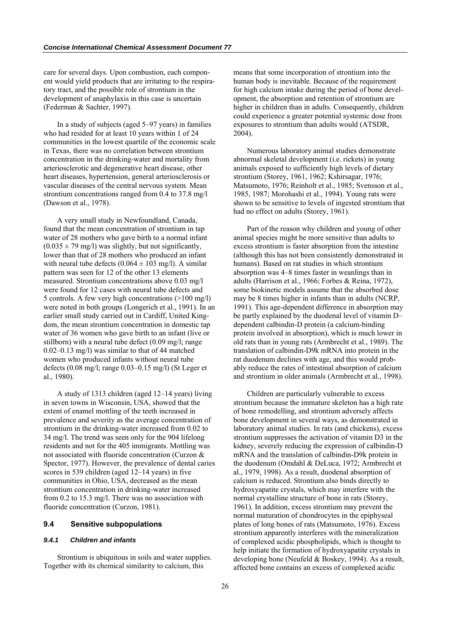care for several days. Upon combustion, each component would yield products that are irritating to the respiratory tract, and the possible role of strontium in the development of anaphylaxis in this case is uncertain (Federman & Sachter, 1997).

 In a study of subjects (aged 5–97 years) in families who had resided for at least 10 years within 1 of 24 communities in the lowest quartile of the economic scale in Texas, there was no correlation between strontium concentration in the drinking-water and mortality from arteriosclerotic and degenerative heart disease, other heart diseases, hypertension, general arteriosclerosis or vascular diseases of the central nervous system. Mean strontium concentrations ranged from 0.4 to 37.8 mg/l (Dawson et al., 1978).

 A very small study in Newfoundland, Canada, found that the mean concentration of strontium in tap water of 28 mothers who gave birth to a normal infant  $(0.035 \pm 79 \text{ mg/l})$  was slightly, but not significantly, lower than that of 28 mothers who produced an infant with neural tube defects  $(0.064 \pm 103 \text{ mg/l})$ . A similar pattern was seen for 12 of the other 13 elements measured. Strontium concentrations above 0.03 mg/l were found for 12 cases with neural tube defects and 5 controls. A few very high concentrations (>100 mg/l) were noted in both groups (Longerich et al., 1991). In an earlier small study carried out in Cardiff, United Kingdom, the mean strontium concentration in domestic tap water of 36 women who gave birth to an infant (live or stillborn) with a neural tube defect (0.09 mg/l; range 0.02–0.13 mg/l) was similar to that of 44 matched women who produced infants without neural tube defects (0.08 mg/l; range 0.03–0.15 mg/l) (St Leger et al., 1980).

 A study of 1313 children (aged 12–14 years) living in seven towns in Wisconsin, USA, showed that the extent of enamel mottling of the teeth increased in prevalence and severity as the average concentration of strontium in the drinking-water increased from 0.02 to 34 mg/l. The trend was seen only for the 904 lifelong residents and not for the 405 immigrants. Mottling was not associated with fluoride concentration (Curzon & Spector, 1977). However, the prevalence of dental caries scores in 539 children (aged 12–14 years) in five communities in Ohio, USA, decreased as the mean strontium concentration in drinking-water increased from 0.2 to 15.3 mg/l. There was no association with fluoride concentration (Curzon, 1981).

#### **9.4 Sensitive subpopulations**

#### *9.4.1 Children and infants*

 Strontium is ubiquitous in soils and water supplies. Together with its chemical similarity to calcium, this

means that some incorporation of strontium into the human body is inevitable. Because of the requirement for high calcium intake during the period of bone development, the absorption and retention of strontium are higher in children than in adults. Consequently, children could experience a greater potential systemic dose from exposures to strontium than adults would (ATSDR, 2004).

 Numerous laboratory animal studies demonstrate abnormal skeletal development (i.e. rickets) in young animals exposed to sufficiently high levels of dietary strontium (Storey, 1961, 1962; Kshirsagar, 1976; Matsumoto, 1976; Reinholt et al., 1985; Svensson et al., 1985, 1987; Morohashi et al., 1994). Young rats were shown to be sensitive to levels of ingested strontium that had no effect on adults (Storey, 1961).

 Part of the reason why children and young of other animal species might be more sensitive than adults to excess strontium is faster absorption from the intestine (although this has not been consistently demonstrated in humans). Based on rat studies in which strontium absorption was 4–8 times faster in weanlings than in adults (Harrison et al., 1966; Forbes & Reina, 1972), some biokinetic models assume that the absorbed dose may be 8 times higher in infants than in adults (NCRP, 1991). This age-dependent difference in absorption may be partly explained by the duodenal level of vitamin D– dependent calbindin-D protein (a calcium-binding protein involved in absorption), which is much lower in old rats than in young rats (Armbrecht et al., 1989). The translation of calbindin-D9k mRNA into protein in the rat duodenum declines with age, and this would probably reduce the rates of intestinal absorption of calcium and strontium in older animals (Armbrecht et al., 1998).

 Children are particularly vulnerable to excess strontium because the immature skeleton has a high rate of bone remodelling, and strontium adversely affects bone development in several ways, as demonstrated in laboratory animal studies. In rats (and chickens), excess strontium suppresses the activation of vitamin D3 in the kidney, severely reducing the expression of calbindin-D mRNA and the translation of calbindin-D9k protein in the duodenum (Omdahl & DeLuca, 1972; Armbrecht et al., 1979, 1998). As a result, duodenal absorption of calcium is reduced. Strontium also binds directly to hydroxyapatite crystals, which may interfere with the normal crystalline structure of bone in rats (Storey, 1961). In addition, excess strontium may prevent the normal maturation of chondrocytes in the epiphyseal plates of long bones of rats (Matsumoto, 1976). Excess strontium apparently interferes with the mineralization of complexed acidic phospholipids, which is thought to help initiate the formation of hydroxyapatite crystals in developing bone (Neufeld & Boskey, 1994). As a result, affected bone contains an excess of complexed acidic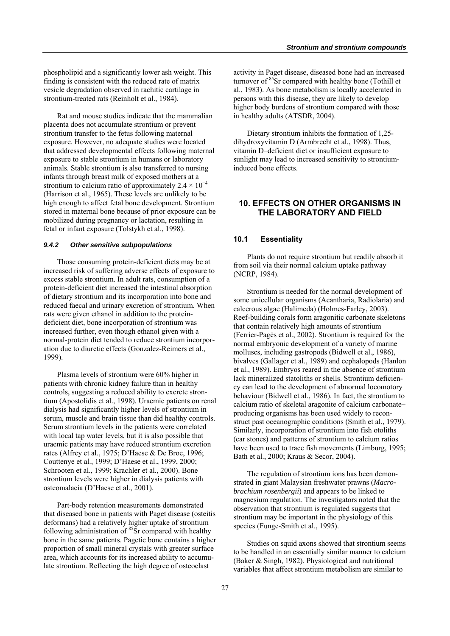phospholipid and a significantly lower ash weight. This finding is consistent with the reduced rate of matrix vesicle degradation observed in rachitic cartilage in strontium-treated rats (Reinholt et al., 1984).

 Rat and mouse studies indicate that the mammalian placenta does not accumulate strontium or prevent strontium transfer to the fetus following maternal exposure. However, no adequate studies were located that addressed developmental effects following maternal exposure to stable strontium in humans or laboratory animals. Stable strontium is also transferred to nursing infants through breast milk of exposed mothers at a strontium to calcium ratio of approximately  $2.4 \times 10^{-4}$ (Harrison et al., 1965). These levels are unlikely to be high enough to affect fetal bone development. Strontium stored in maternal bone because of prior exposure can be mobilized during pregnancy or lactation, resulting in fetal or infant exposure (Tolstykh et al., 1998).

#### *9.4.2 Other sensitive subpopulations*

 Those consuming protein-deficient diets may be at increased risk of suffering adverse effects of exposure to excess stable strontium. In adult rats, consumption of a protein-deficient diet increased the intestinal absorption of dietary strontium and its incorporation into bone and reduced faecal and urinary excretion of strontium. When rats were given ethanol in addition to the proteindeficient diet, bone incorporation of strontium was increased further, even though ethanol given with a normal-protein diet tended to reduce strontium incorporation due to diuretic effects (Gonzalez-Reimers et al., 1999).

 Plasma levels of strontium were 60% higher in patients with chronic kidney failure than in healthy controls, suggesting a reduced ability to excrete strontium (Apostolidis et al., 1998). Uraemic patients on renal dialysis had significantly higher levels of strontium in serum, muscle and brain tissue than did healthy controls. Serum strontium levels in the patients were correlated with local tap water levels, but it is also possible that uraemic patients may have reduced strontium excretion rates (Alfrey et al., 1975; D'Haese & De Broe, 1996; Couttenye et al., 1999; D'Haese et al., 1999, 2000; Schrooten et al., 1999; Krachler et al., 2000). Bone strontium levels were higher in dialysis patients with osteomalacia (D'Haese et al., 2001).

 Part-body retention measurements demonstrated that diseased bone in patients with Paget disease (osteitis deformans) had a relatively higher uptake of strontium following administration of  ${}^{85}Sr$  compared with healthy bone in the same patients. Pagetic bone contains a higher proportion of small mineral crystals with greater surface area, which accounts for its increased ability to accumulate strontium. Reflecting the high degree of osteoclast

activity in Paget disease, diseased bone had an increased turnover of  $85Sr$  compared with healthy bone (Tothill et al., 1983). As bone metabolism is locally accelerated in persons with this disease, they are likely to develop higher body burdens of strontium compared with those in healthy adults (ATSDR, 2004).

Dietary strontium inhibits the formation of 1,25 dihydroxyvitamin D (Armbrecht et al., 1998). Thus, vitamin D–deficient diet or insufficient exposure to sunlight may lead to increased sensitivity to strontiuminduced bone effects.

#### **10. EFFECTS ON OTHER ORGANISMS IN THE LABORATORY AND FIELD**

#### **10.1 Essentiality**

 Plants do not require strontium but readily absorb it from soil via their normal calcium uptake pathway (NCRP, 1984).

 Strontium is needed for the normal development of some unicellular organisms (Acantharia, Radiolaria) and calcerous algae (Halimeda) (Holmes-Farley, 2003). Reef-building corals form aragonitic carbonate skeletons that contain relatively high amounts of strontium (Ferrier-Pagès et al., 2002). Strontium is required for the normal embryonic development of a variety of marine molluscs, including gastropods (Bidwell et al., 1986), bivalves (Gallager et al., 1989) and cephalopods (Hanlon et al., 1989). Embryos reared in the absence of strontium lack mineralized statoliths or shells. Strontium deficiency can lead to the development of abnormal locomotory behaviour (Bidwell et al., 1986). In fact, the strontium to calcium ratio of skeletal aragonite of calcium carbonate– producing organisms has been used widely to reconstruct past oceanographic conditions (Smith et al., 1979). Similarly, incorporation of strontium into fish otoliths (ear stones) and patterns of strontium to calcium ratios have been used to trace fish movements (Limburg, 1995; Bath et al., 2000; Kraus & Secor, 2004).

 The regulation of strontium ions has been demonstrated in giant Malaysian freshwater prawns (*Macrobrachium rosenbergii*) and appears to be linked to magnesium regulation. The investigators noted that the observation that strontium is regulated suggests that strontium may be important in the physiology of this species (Funge-Smith et al., 1995).

 Studies on squid axons showed that strontium seems to be handled in an essentially similar manner to calcium (Baker & Singh, 1982). Physiological and nutritional variables that affect strontium metabolism are similar to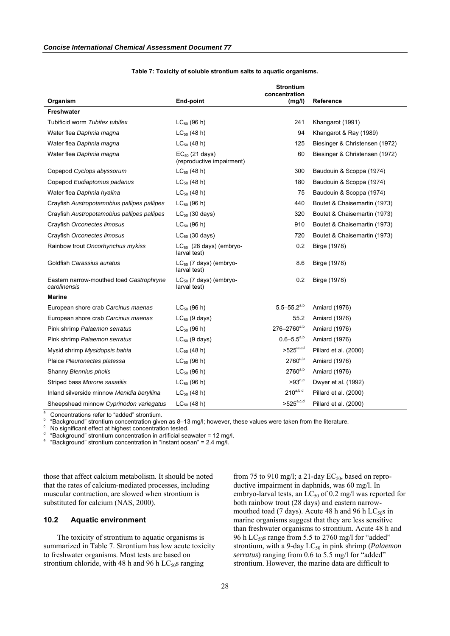|                                                          |                                                  | <b>Strontium</b>            |                                |
|----------------------------------------------------------|--------------------------------------------------|-----------------------------|--------------------------------|
| Organism                                                 | End-point                                        | concentration<br>(mg/l)     | Reference                      |
| <b>Freshwater</b>                                        |                                                  |                             |                                |
| Tubificid worm Tubifex tubifex                           | $LC_{50}$ (96 h)                                 | 241                         | Khangarot (1991)               |
| Water flea Daphnia magna                                 | $LC_{50}$ (48 h)                                 | 94                          | Khangarot & Ray (1989)         |
| Water flea Daphnia magna                                 | $LC_{50}$ (48 h)                                 | 125                         | Biesinger & Christensen (1972) |
| Water flea Daphnia magna                                 | $EC_{50}$ (21 days)<br>(reproductive impairment) | 60                          | Biesinger & Christensen (1972) |
| Copepod Cyclops abyssorum                                | $LC_{50}$ (48 h)                                 | 300                         | Baudouin & Scoppa (1974)       |
| Copepod Eudiaptomus padanus                              | $LC_{50}$ (48 h)                                 | 180                         | Baudouin & Scoppa (1974)       |
| Water flea Daphnia hyalina                               | $LC_{50}$ (48 h)                                 | 75                          | Baudouin & Scoppa (1974)       |
| Crayfish Austropotamobius pallipes pallipes              | $LC_{50}$ (96 h)                                 | 440                         | Boutet & Chaisemartin (1973)   |
| Crayfish Austropotamobius pallipes pallipes              | $LC_{50}$ (30 days)                              | 320                         | Boutet & Chaisemartin (1973)   |
| Crayfish Orconectes limosus                              | $LC_{50}$ (96 h)                                 | 910                         | Boutet & Chaisemartin (1973)   |
| Crayfish Orconectes limosus                              | $LC_{50}$ (30 days)                              | 720                         | Boutet & Chaisemartin (1973)   |
| Rainbow trout Oncorhynchus mykiss                        | $LC_{50}$ (28 days) (embryo-<br>larval test)     | 0.2                         | Birge (1978)                   |
| Goldfish Carassius auratus                               | $LC_{50}$ (7 days) (embryo-<br>larval test)      | 8.6                         | Birge (1978)                   |
| Eastern narrow-mouthed toad Gastrophryne<br>carolinensis | $LC_{50}$ (7 days) (embryo-<br>larval test)      | 0.2                         | Birge (1978)                   |
| <b>Marine</b>                                            |                                                  |                             |                                |
| European shore crab Carcinus maenas                      | $LC_{50}$ (96 h)                                 | $5.5 - 55.2$ <sup>a,b</sup> | Amiard (1976)                  |
| European shore crab Carcinus maenas                      | $LC_{50}$ (9 days)                               | 55.2                        | Amiard (1976)                  |
| Pink shrimp Palaemon serratus                            | $LC_{50}$ (96 h)                                 | 276-2760 <sup>a,b</sup>     | Amiard (1976)                  |
| Pink shrimp Palaemon serratus                            | $LC_{50}$ (9 days)                               | $0.6 - 5.5^{a,b}$           | Amiard (1976)                  |
| Mysid shrimp Mysidopsis bahia                            | $LC_{50}$ (48 h)                                 | $>525^{a,c,d}$              | Pillard et al. (2000)          |
| Plaice Pleuronectes platessa                             | $LC_{50}$ (96 h)                                 | $2760^{a,b}$                | Amiard (1976)                  |
| Shanny Blennius pholis                                   | $LC_{50}$ (96 h)                                 | $2760^{a,b}$                | Amiard (1976)                  |
| Striped bass Morone saxatilis                            | $LC_{50}$ (96 h)                                 | $>93^{a,e}$                 | Dwyer et al. (1992)            |
| Inland silverside minnow Menidia beryllina               | $LC_{50}$ (48 h)                                 | $210^{a,b,d}$               | Pillard et al. (2000)          |
| Sheepshead minnow Cyprinodon variegatus                  | $LC_{50}$ (48 h)                                 | $>525^{a,c,d}$              | Pillard et al. (2000)          |

**Table 7: Toxicity of soluble strontium salts to aquatic organisms.** 

a Concentrations refer to "added" strontium.

b  $^{b}$  "Background" strontium concentration given as 8–13 mg/l; however, these values were taken from the literature.

No significant effect at highest concentration tested.

"Background" strontium concentration in artificial seawater = 12 mg/l.

<sup>e</sup> "Background" strontium concentration in "instant ocean" = 2.4 mg/l.

those that affect calcium metabolism. It should be noted that the rates of calcium-mediated processes, including muscular contraction, are slowed when strontium is substituted for calcium (NAS, 2000).

#### **10.2 Aquatic environment**

 The toxicity of strontium to aquatic organisms is summarized in Table 7. Strontium has low acute toxicity to freshwater organisms. Most tests are based on strontium chloride, with 48 h and 96 h  $LC_{50}$ s ranging

from 75 to 910 mg/l; a 21-day  $EC_{50}$ , based on reproductive impairment in daphnids, was 60 mg/l. In embryo-larval tests, an  $LC_{50}$  of 0.2 mg/l was reported for both rainbow trout (28 days) and eastern narrowmouthed toad (7 days). Acute 48 h and 96 h  $LC_{50}$ s in marine organisms suggest that they are less sensitive than freshwater organisms to strontium. Acute 48 h and 96 h LC<sub>50</sub>s range from 5.5 to 2760 mg/l for "added" strontium, with a 9-day LC<sub>50</sub> in pink shrimp (*Palaemon*) *serratus*) ranging from 0.6 to 5.5 mg/l for "added" strontium. However, the marine data are difficult to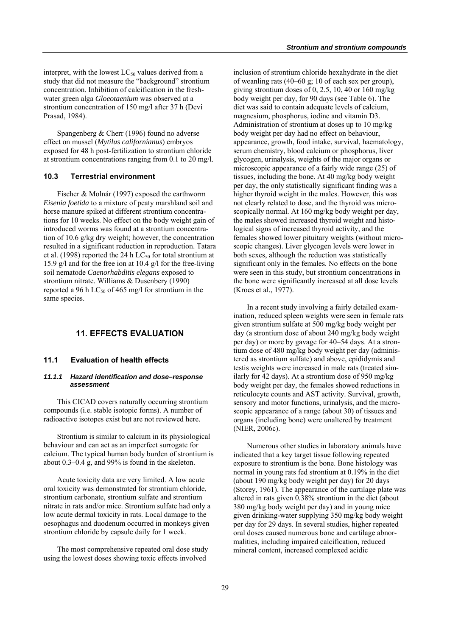interpret, with the lowest  $LC_{50}$  values derived from a study that did not measure the "background" strontium concentration. Inhibition of calcification in the freshwater green alga *Gloeotaenium* was observed at a strontium concentration of 150 mg/l after 37 h (Devi Prasad, 1984).

 Spangenberg & Cherr (1996) found no adverse effect on mussel (*Mytilus californianus*) embryos exposed for 48 h post-fertilization to strontium chloride at strontium concentrations ranging from 0.1 to 20 mg/l.

#### **10.3 Terrestrial environment**

 Fischer & Molnár (1997) exposed the earthworm *Eisenia foetida* to a mixture of peaty marshland soil and horse manure spiked at different strontium concentrations for 10 weeks. No effect on the body weight gain of introduced worms was found at a strontium concentration of 10.6 g/kg dry weight; however, the concentration resulted in a significant reduction in reproduction. Tatara et al. (1998) reported the 24 h  $LC_{50}$  for total strontium at 15.9 g/l and for the free ion at 10.4 g/l for the free-living soil nematode *Caenorhabditis elegans* exposed to strontium nitrate. Williams & Dusenbery (1990) reported a 96 h  $LC_{50}$  of 465 mg/l for strontium in the same species.

#### **11. EFFECTS EVALUATION**

#### **11.1 Evaluation of health effects**

#### *11.1.1 Hazard identification and dose–response assessment*

 This CICAD covers naturally occurring strontium compounds (i.e. stable isotopic forms). A number of radioactive isotopes exist but are not reviewed here.

 Strontium is similar to calcium in its physiological behaviour and can act as an imperfect surrogate for calcium. The typical human body burden of strontium is about 0.3–0.4 g, and 99% is found in the skeleton.

 Acute toxicity data are very limited. A low acute oral toxicity was demonstrated for strontium chloride, strontium carbonate, strontium sulfate and strontium nitrate in rats and/or mice. Strontium sulfate had only a low acute dermal toxicity in rats. Local damage to the oesophagus and duodenum occurred in monkeys given strontium chloride by capsule daily for 1 week.

 The most comprehensive repeated oral dose study using the lowest doses showing toxic effects involved

inclusion of strontium chloride hexahydrate in the diet of weanling rats (40–60 g; 10 of each sex per group), giving strontium doses of 0, 2.5, 10, 40 or 160 mg/kg body weight per day, for 90 days (see Table 6). The diet was said to contain adequate levels of calcium, magnesium, phosphorus, iodine and vitamin D3. Administration of strontium at doses up to 10 mg/kg body weight per day had no effect on behaviour, appearance, growth, food intake, survival, haematology, serum chemistry, blood calcium or phosphorus, liver glycogen, urinalysis, weights of the major organs or microscopic appearance of a fairly wide range (25) of tissues, including the bone. At 40 mg/kg body weight per day, the only statistically significant finding was a higher thyroid weight in the males. However, this was not clearly related to dose, and the thyroid was microscopically normal. At 160 mg/kg body weight per day, the males showed increased thyroid weight and histological signs of increased thyroid activity, and the females showed lower pituitary weights (without microscopic changes). Liver glycogen levels were lower in both sexes, although the reduction was statistically significant only in the females. No effects on the bone were seen in this study, but strontium concentrations in the bone were significantly increased at all dose levels (Kroes et al., 1977).

 In a recent study involving a fairly detailed examination, reduced spleen weights were seen in female rats given strontium sulfate at 500 mg/kg body weight per day (a strontium dose of about 240 mg/kg body weight per day) or more by gavage for 40–54 days. At a strontium dose of 480 mg/kg body weight per day (administered as strontium sulfate) and above, epididymis and testis weights were increased in male rats (treated similarly for 42 days). At a strontium dose of 950 mg/kg body weight per day, the females showed reductions in reticulocyte counts and AST activity. Survival, growth, sensory and motor functions, urinalysis, and the microscopic appearance of a range (about 30) of tissues and organs (including bone) were unaltered by treatment (NIER, 2006c).

 Numerous other studies in laboratory animals have indicated that a key target tissue following repeated exposure to strontium is the bone. Bone histology was normal in young rats fed strontium at 0.19% in the diet (about 190 mg/kg body weight per day) for 20 days (Storey, 1961). The appearance of the cartilage plate was altered in rats given 0.38% strontium in the diet (about 380 mg/kg body weight per day) and in young mice given drinking-water supplying 350 mg/kg body weight per day for 29 days. In several studies, higher repeated oral doses caused numerous bone and cartilage abnormalities, including impaired calcification, reduced mineral content, increased complexed acidic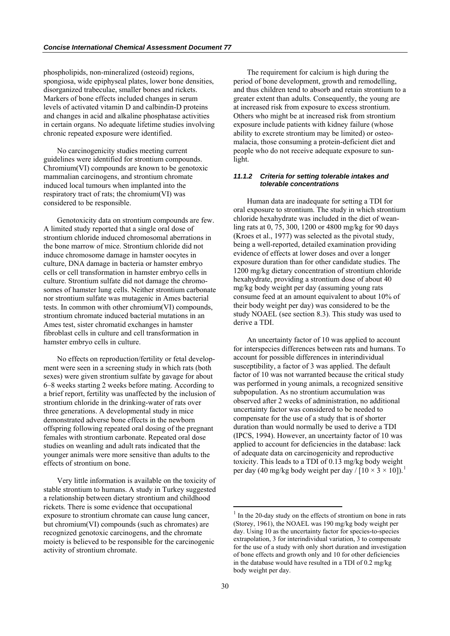<span id="page-33-0"></span>phospholipids, non-mineralized (osteoid) regions, spongiosa, wide epiphyseal plates, lower bone densities, disorganized trabeculae, smaller bones and rickets. Markers of bone effects included changes in serum levels of activated vitamin D and calbindin-D proteins and changes in acid and alkaline phosphatase activities in certain organs. No adequate lifetime studies involving chronic repeated exposure were identified.

 No carcinogenicity studies meeting current guidelines were identified for strontium compounds. Chromium(VI) compounds are known to be genotoxic mammalian carcinogens, and strontium chromate induced local tumours when implanted into the respiratory tract of rats; the chromium(VI) was considered to be responsible.

 Genotoxicity data on strontium compounds are few. A limited study reported that a single oral dose of strontium chloride induced chromosomal aberrations in the bone marrow of mice. Strontium chloride did not induce chromosome damage in hamster oocytes in culture, DNA damage in bacteria or hamster embryo cells or cell transformation in hamster embryo cells in culture. Strontium sulfate did not damage the chromosomes of hamster lung cells. Neither strontium carbonate nor strontium sulfate was mutagenic in Ames bacterial tests. In common with other chromium(VI) compounds, strontium chromate induced bacterial mutations in an Ames test, sister chromatid exchanges in hamster fibroblast cells in culture and cell transformation in hamster embryo cells in culture. An uncertainty factor of 10 was applied to account

 No effects on reproduction/fertility or fetal development were seen in a screening study in which rats (both sexes) were given strontium sulfate by gavage for about 6–8 weeks starting 2 weeks before mating. According to a brief report, fertility was unaffected by the inclusion of strontium chloride in the drinking-water of rats over three generations. A developmental study in mice demonstrated adverse bone effects in the newborn offspring following repeated oral dosing of the pregnant females with strontium carbonate. Repeated oral dose studies on weanling and adult rats indicated that the younger animals were more sensitive than adults to the effects of strontium on bone.

 Very little information is available on the toxicity of stable strontium to humans. A study in Turkey suggested a relationship between dietary strontium and childhood rickets. There is some evidence that occupational exposure to strontium chromate can cause lung cancer, but chromium(VI) compounds (such as chromates) are recognized genotoxic carcinogens, and the chromate moiety is believed to be responsible for the carcinogenic activity of strontium chromate.

 The requirement for calcium is high during the period of bone development, growth and remodelling, and thus children tend to absorb and retain strontium to a greater extent than adults. Consequently, the young are at increased risk from exposure to excess strontium. Others who might be at increased risk from strontium exposure include patients with kidney failure (whose ability to excrete strontium may be limited) or osteomalacia, those consuming a protein-deficient diet and people who do not receive adequate exposure to sunlight.

#### *11.1.2 Criteria for setting tolerable intakes and tolerable concentrations*

 Human data are inadequate for setting a TDI for oral exposure to strontium. The study in which strontium chloride hexahydrate was included in the diet of weanling rats at 0, 75, 300, 1200 or 4800 mg/kg for 90 days (Kroes et al., 1977) was selected as the pivotal study, being a well-reported, detailed examination providing evidence of effects at lower doses and over a longer exposure duration than for other candidate studies. The 1200 mg/kg dietary concentration of strontium chloride hexahydrate, providing a strontium dose of about 40 mg/kg body weight per day (assuming young rats consume feed at an amount equivalent to about 10% of their body weight per day) was considered to be the study NOAEL (see section 8.3). This study was used to derive a TDI.

for interspecies differences between rats and humans. To account for possible differences in interindividual susceptibility, a factor of 3 was applied. The default factor of 10 was not warranted because the critical study was performed in young animals, a recognized sensitive subpopulation. As no strontium accumulation was observed after 2 weeks of administration, no additional uncertainty factor was considered to be needed to compensate for the use of a study that is of shorter duration than would normally be used to derive a TDI (IPCS, 1994). However, an uncertainty factor of 10 was applied to account for deficiencies in the database: lack of adequate data on carcinogenicity and reproductive toxicity. This leads to a TDI of 0.13 mg/kg body weight per day (40 mg/kg body weight per day /  $[10 \times 3 \times 10]$  $[10 \times 3 \times 10]$  $[10 \times 3 \times 10]$ ).<sup>1</sup>

<u>.</u>

 $1$  In the 20-day study on the effects of strontium on bone in rats (Storey, 1961), the NOAEL was 190 mg/kg body weight per day. Using 10 as the uncertainty factor for species-to-species extrapolation, 3 for interindividual variation, 3 to compensate for the use of a study with only short duration and investigation of bone effects and growth only and 10 for other deficiencies in the database would have resulted in a TDI of 0.2 mg/kg body weight per day.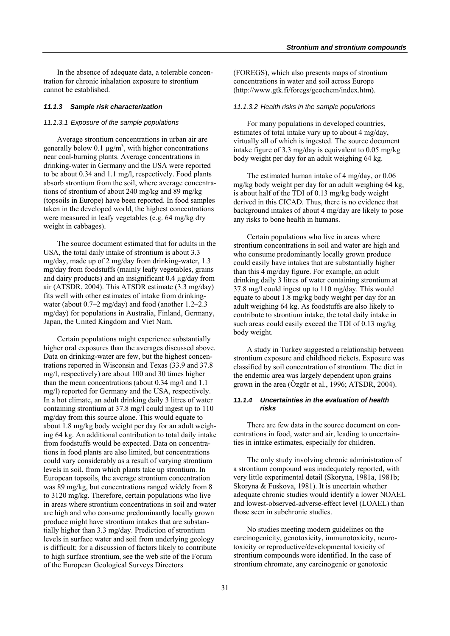In the absence of adequate data, a tolerable concentration for chronic inhalation exposure to strontium cannot be established.

#### *11.1.3 Sample risk characterization*

#### *11.1.3.1 Exposure of the sample populations*

 Average strontium concentrations in urban air are generally below 0.1  $\mu$ g/m<sup>3</sup>, with higher concentrations near coal-burning plants. Average concentrations in drinking-water in Germany and the USA were reported to be about 0.34 and 1.1 mg/l, respectively. Food plants absorb strontium from the soil, where average concentrations of strontium of about 240 mg/kg and 89 mg/kg (topsoils in Europe) have been reported. In food samples taken in the developed world, the highest concentrations were measured in leafy vegetables (e.g. 64 mg/kg dry weight in cabbages).

 The source document estimated that for adults in the USA, the total daily intake of strontium is about 3.3 mg/day, made up of 2 mg/day from drinking-water, 1.3 mg/day from foodstuffs (mainly leafy vegetables, grains and dairy products) and an insignificant 0.4 µg/day from air (ATSDR, 2004). This ATSDR estimate (3.3 mg/day) fits well with other estimates of intake from drinkingwater (about 0.7–2 mg/day) and food (another 1.2–2.3 mg/day) for populations in Australia, Finland, Germany, Japan, the United Kingdom and Viet Nam.

 Certain populations might experience substantially higher oral exposures than the averages discussed above. Data on drinking-water are few, but the highest concentrations reported in Wisconsin and Texas (33.9 and 37.8 mg/l, respectively) are about 100 and 30 times higher than the mean concentrations (about 0.34 mg/l and 1.1 mg/l) reported for Germany and the USA, respectively. In a hot climate, an adult drinking daily 3 litres of water containing strontium at 37.8 mg/l could ingest up to 110 mg/day from this source alone. This would equate to about 1.8 mg/kg body weight per day for an adult weighing 64 kg. An additional contribution to total daily intake from foodstuffs would be expected. Data on concentrations in food plants are also limited, but concentrations could vary considerably as a result of varying strontium levels in soil, from which plants take up strontium. In European topsoils, the average strontium concentration was 89 mg/kg, but concentrations ranged widely from 8 to 3120 mg/kg. Therefore, certain populations who live in areas where strontium concentrations in soil and water are high and who consume predominantly locally grown produce might have strontium intakes that are substantially higher than 3.3 mg/day. Prediction of strontium levels in surface water and soil from underlying geology is difficult; for a discussion of factors likely to contribute to high surface strontium, see the web site of the Forum of the European Geological Surveys Directors

(FOREGS), which also presents maps of strontium concentrations in water and soil across Europe (http://www.gtk.fi/foregs/geochem/index.htm).

#### *11.1.3.2 Health risks in the sample populations*

 For many populations in developed countries, estimates of total intake vary up to about 4 mg/day, virtually all of which is ingested. The source document intake figure of 3.3 mg/day is equivalent to 0.05 mg/kg body weight per day for an adult weighing 64 kg.

 The estimated human intake of 4 mg/day, or 0.06 mg/kg body weight per day for an adult weighing 64 kg, is about half of the TDI of 0.13 mg/kg body weight derived in this CICAD. Thus, there is no evidence that background intakes of about 4 mg/day are likely to pose any risks to bone health in humans.

 Certain populations who live in areas where strontium concentrations in soil and water are high and who consume predominantly locally grown produce could easily have intakes that are substantially higher than this 4 mg/day figure. For example, an adult drinking daily 3 litres of water containing strontium at 37.8 mg/l could ingest up to 110 mg/day. This would equate to about 1.8 mg/kg body weight per day for an adult weighing 64 kg. As foodstuffs are also likely to contribute to strontium intake, the total daily intake in such areas could easily exceed the TDI of 0.13 mg/kg body weight.

 A study in Turkey suggested a relationship between strontium exposure and childhood rickets. Exposure was classified by soil concentration of strontium. The diet in the endemic area was largely dependent upon grains grown in the area (Özgür et al., 1996; ATSDR, 2004).

#### *11.1.4 Uncertainties in the evaluation of health risks*

 There are few data in the source document on concentrations in food, water and air, leading to uncertainties in intake estimates, especially for children.

 The only study involving chronic administration of a strontium compound was inadequately reported, with very little experimental detail (Skoryna, 1981a, 1981b; Skoryna & Fuskova, 1981). It is uncertain whether adequate chronic studies would identify a lower NOAEL and lowest-observed-adverse-effect level (LOAEL) than those seen in subchronic studies.

 No studies meeting modern guidelines on the carcinogenicity, genotoxicity, immunotoxicity, neurotoxicity or reproductive/developmental toxicity of strontium compounds were identified. In the case of strontium chromate, any carcinogenic or genotoxic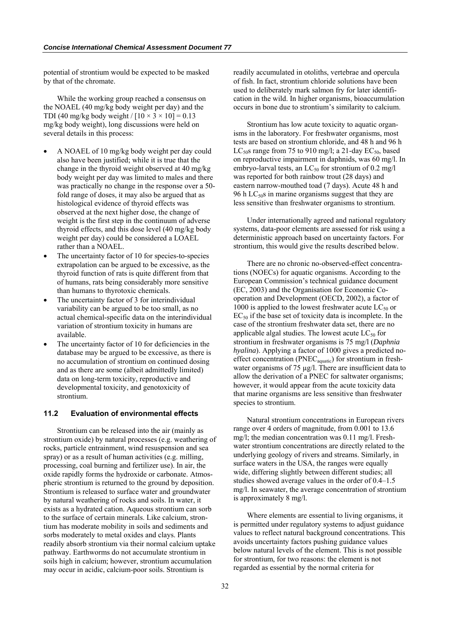potential of strontium would be expected to be masked by that of the chromate.

 While the working group reached a consensus on the NOAEL (40 mg/kg body weight per day) and the TDI (40 mg/kg body weight /  $[10 \times 3 \times 10] = 0.13$ mg/kg body weight), long discussions were held on several details in this process:

- A NOAEL of 10 mg/kg body weight per day could also have been justified; while it is true that the change in the thyroid weight observed at 40 mg/kg body weight per day was limited to males and there was practically no change in the response over a 50 fold range of doses, it may also be argued that as histological evidence of thyroid effects was observed at the next higher dose, the change of weight is the first step in the continuum of adverse thyroid effects, and this dose level (40 mg/kg body weight per day) could be considered a LOAEL rather than a NOAEL.
- The uncertainty factor of 10 for species-to-species extrapolation can be argued to be excessive, as the thyroid function of rats is quite different from that of humans, rats being considerably more sensitive than humans to thyrotoxic chemicals.
- The uncertainty factor of 3 for interindividual variability can be argued to be too small, as no actual chemical-specific data on the interindividual variation of strontium toxicity in humans are available.
- The uncertainty factor of 10 for deficiencies in the database may be argued to be excessive, as there is no accumulation of strontium on continued dosing and as there are some (albeit admittedly limited) data on long-term toxicity, reproductive and developmental toxicity, and genotoxicity of strontium.

#### **11.2 Evaluation of environmental effects**

 Strontium can be released into the air (mainly as strontium oxide) by natural processes (e.g. weathering of rocks, particle entrainment, wind resuspension and sea spray) or as a result of human activities (e.g. milling, processing, coal burning and fertilizer use). In air, the oxide rapidly forms the hydroxide or carbonate. Atmospheric strontium is returned to the ground by deposition. Strontium is released to surface water and groundwater by natural weathering of rocks and soils. In water, it exists as a hydrated cation. Aqueous strontium can sorb to the surface of certain minerals. Like calcium, strontium has moderate mobility in soils and sediments and sorbs moderately to metal oxides and clays. Plants readily absorb strontium via their normal calcium uptake pathway. Earthworms do not accumulate strontium in soils high in calcium; however, strontium accumulation may occur in acidic, calcium-poor soils. Strontium is

readily accumulated in otoliths, vertebrae and opercula of fish. In fact, strontium chloride solutions have been used to deliberately mark salmon fry for later identification in the wild. In higher organisms, bioaccumulation occurs in bone due to strontium's similarity to calcium.

 Strontium has low acute toxicity to aquatic organisms in the laboratory. For freshwater organisms, most tests are based on strontium chloride, and 48 h and 96 h LC<sub>50</sub>s range from 75 to 910 mg/l; a 21-day EC<sub>50</sub>, based on reproductive impairment in daphnids, was 60 mg/l. In embryo-larval tests, an  $LC_{50}$  for strontium of 0.2 mg/l was reported for both rainbow trout (28 days) and eastern narrow-mouthed toad (7 days). Acute 48 h and 96 h  $LC_{50}$ s in marine organisms suggest that they are less sensitive than freshwater organisms to strontium.

 Under internationally agreed and national regulatory systems, data-poor elements are assessed for risk using a deterministic approach based on uncertainty factors. For strontium, this would give the results described below.

 There are no chronic no-observed-effect concentrations (NOECs) for aquatic organisms. According to the European Commission's technical guidance document (EC, 2003) and the Organisation for Economic Cooperation and Development (OECD, 2002), a factor of 1000 is applied to the lowest freshwater acute  $LC_{50}$  or  $EC_{50}$  if the base set of toxicity data is incomplete. In the case of the strontium freshwater data set, there are no applicable algal studies. The lowest acute  $LC_{50}$  for strontium in freshwater organisms is 75 mg/l (*Daphnia hyalina*). Applying a factor of 1000 gives a predicted noeffect concentration ( $PNEC_{\text{aquatic}}$ ) for strontium in freshwater organisms of 75 µg/l. There are insufficient data to allow the derivation of a PNEC for saltwater organisms; however, it would appear from the acute toxicity data that marine organisms are less sensitive than freshwater species to strontium.

 Natural strontium concentrations in European rivers range over 4 orders of magnitude, from 0.001 to 13.6 mg/l; the median concentration was 0.11 mg/l. Freshwater strontium concentrations are directly related to the underlying geology of rivers and streams. Similarly, in surface waters in the USA, the ranges were equally wide, differing slightly between different studies; all studies showed average values in the order of 0.4–1.5 mg/l. In seawater, the average concentration of strontium is approximately 8 mg/l.

 Where elements are essential to living organisms, it is permitted under regulatory systems to adjust guidance values to reflect natural background concentrations. This avoids uncertainty factors pushing guidance values below natural levels of the element. This is not possible for strontium, for two reasons: the element is not regarded as essential by the normal criteria for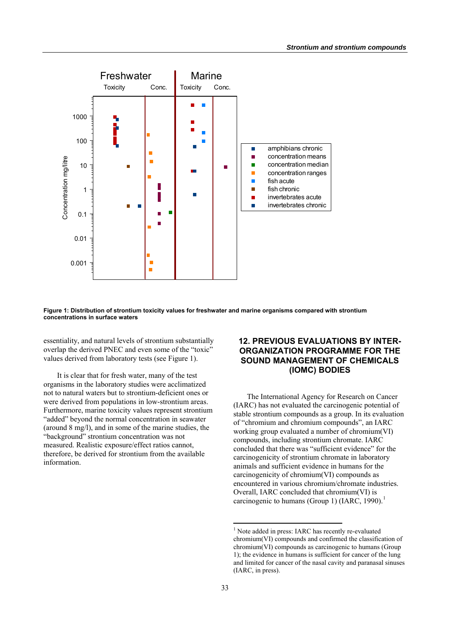<span id="page-36-0"></span>

**Figure 1: Distribution of strontium toxicity values for freshwater and marine organisms compared with strontium concentrations in surface waters** 

essentiality, and natural levels of strontium substantially overlap the derived PNEC and even some of the "toxic" values derived from laboratory tests (see Figure 1).

organisms in the laboratory studies were acclimatized not to natural waters but to strontium-deficient ones or were derived from populations in low-strontium areas. Furthermore, marine toxicity values represent strontium "added" beyond the normal concentration in seawater (around 8 mg/l), and in some of the marine studies, the "background" strontium concentration was not measured. Realistic exposure/effect ratios cannot, therefore, be derived for strontium from the available information.

# **12. PREVIOUS EVALUATIONS BY INTER-ORGANIZATION PROGRAMME FOR THE SOUND MANAGEMENT OF CHEMICALS (IOMC) BODIES** It is clear that for fresh water, many of the test

The International Agency for Research on Cancer (IARC) has not evaluated the carcinogenic potential of stable strontium compounds as a group. In its evaluation of "chromium and chromium compounds", an IARC working group evaluated a number of chromium(VI) compounds, including strontium chromate. IARC concluded that there was "sufficient evidence" for the carcinogenicity of strontium chromate in laboratory animals and sufficient evidence in humans for the carcinogenicity of chromium(VI) compounds as encountered in various chromium/chromate industries. Overall, IARC concluded that chromium(VI) is carcinogenic to humans (Group [1](#page-36-0))  $(IRC, 1990)$ .<sup>1</sup>

1

<sup>&</sup>lt;sup>1</sup> Note added in press: IARC has recently re-evaluated chromium(VI) compounds and confirmed the classification of chromium(VI) compounds as carcinogenic to humans (Group 1); the evidence in humans is sufficient for cancer of the lung and limited for cancer of the nasal cavity and paranasal sinuses (IARC, in press).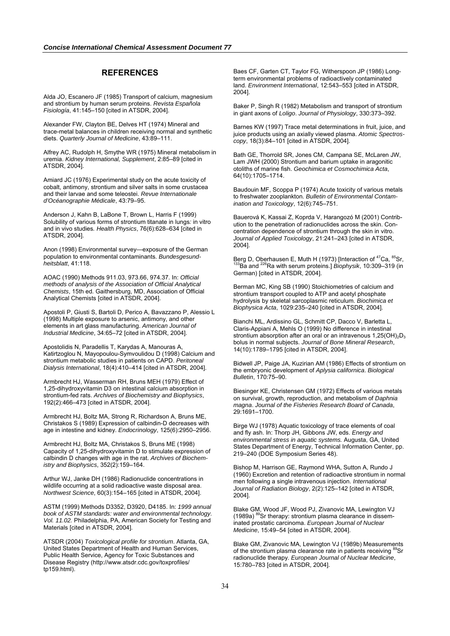2004]. Alda JO, Escanero JF (1985) Transport of calcium, magnesium and strontium by human serum proteins. *Revista Española Fisiología*, 41:145–150 [cited in ATSDR, 2004]. Baker P, Singh R (1982) Metabolism and transport of strontium

Alexander FW, Clayton BE, Delves HT (1974) Mineral and trace-metal balances in children receiving normal and synthetic diets. *Quarterly Journal of Medicine*, 43:89–111.

Alfrey AC, Rudolph H, Smythe WR (1975) Mineral metabolism in uremia. *Kidney International, Supplement*, 2:85–89 [cited in ATSDR, 2004].

64(10):1705–1714. Amiard JC (1976) Experimental study on the acute toxicity of cobalt, antimony, strontium and silver salts in some crustacea and their larvae and some teleostei. *Revue Internationale d'Océanographie Médicale*, 43:79–95.

Anderson J, Kahn B, LaBone T, Brown L, Harris F (1999) Solubility of various forms of strontium titanate in lungs*:* in vitro and in vivo studies*. Health Physics*, 76(6):628–634 [cited in ATSDR, 2004].

2004]. Anon (1998) Environmental survey—exposure of the German population to environmental contaminants. *Bundesgesundheitsblatt*, 41:118.

German) [cited in ATSDR, 2004]. AOAC (1990) Methods 911.03, 973.66, 974.37. In: *Official methods of analysis of the Association of Official Analytical Chemists*, 15th ed. Gaithersburg, MD, Association of Official Analytical Chemists [cited in ATSDR, 2004].

(1998) Multiple exposure to arsenic, antimony, and other elements in art glass manufacturing. *American Journal of Industrial Medicine*, 34:65–72 [cited in ATSDR, 2004].

14(10):1789–1795 [cited in ATSDR, 2004]. Apostolidis N, Paradellis T, Karydas A, Manouras A, Katirtzoglou N, Mayopoulou-Symvoulidou D (1998) Calcium and strontium metabolic studies in patients on CAPD. *Peritoneal Dialysis International*, 18(4):410–414 [cited in ATSDR, 2004]. Bidwell JP, Paige JA, Kuzirian AM (1986) Effects of strontium on

Armbrecht HJ, Wasserman RH, Bruns MEH (1979) Effect of 1,25-dihydroxyvitamin D3 on intestinal calcium absorption in strontium-fed rats. *Archives of Biochemistry and Biophysics*, 192(2):466–473 [cited in ATSDR, 2004].

Armbrecht HJ, Boltz MA, Strong R, Richardson A, Bruns ME, Christakos S (1989) Expression of calbindin-D decreases with age in intestine and kidney. *Endocrinology*, 125(6):2950–2956. Birge WJ (1978) Aquatic toxicology of trace elements of coal

Armbrecht HJ, Boltz MA, Christakos S, Bruns ME (1998) Capacity of 1,25-dihydroxyvitamin D to stimulate expression of calbindin D changes with age in the rat. *Archives of Biochemistry and Biophysics*, 352(2):159–164. Bishop M, Harrison GE, Raymond WHA, Sutton A, Rundo J

Arthur WJ, Janke DH (1986) Radionuclide concentrations in wildlife occurring at a solid radioactive waste disposal area. *Northwest Science*, 60(3):154–165 [cited in ATSDR, 2004].

ASTM (1999) Methods D3352, D3920, D4185. In: *1999 annual book of ASTM standards: water and environmental technology. Vol. 11.02.* Philadelphia, PA, American Society for Testing and Materials [cited in ATSDR, 2004].

ATSDR (2004) *Toxicological profile for strontium*. Atlanta, GA, United States Department of Health and Human Services, Public Health Service, Agency for Toxic Substances and Disease Registry (http://www.atsdr.cdc.gov/toxprofiles/ tp159.html).

REFERENCES Baes CF, Garten CT, Taylor FG, Witherspoon JP (1986) Longterm environmental problems of radioactively contaminated land. *Environment International*, 12:543–553 [cited in ATSDR,

in giant axons of *Loligo*. *Journal of Physiology*, 330:373–392.

Barnes KW (1997) Trace metal determinations in fruit, juice, and juice products using an axially viewed plasma. *Atomic Spectroscopy*, 18(3):84–101 [cited in ATSDR, 2004].

Bath GE, Thorrold SR, Jones CM, Campana SE, McLaren JW, Lam JWH (2000) Strontium and barium uptake in aragonitic otoliths of marine fish. *Geochimica et Cosmochimica Acta*,

Baudouin MF, Scoppa P (1974) Acute toxicity of various metals to freshwater zooplankton. *Bulletin of Environmental Contamination and Toxicology*, 12(6):745–751.

Bauerová K, Kassai Z, Koprda V, Harangozó M (2001) Contribution to the penetration of radionuclides across the skin. Concentration dependence of strontium through the skin in vitro. *Journal of Applied Toxicology*, 21:241–243 [cited in ATSDR,

Berg D, Oberhausen E, Muth H (1973) [Interaction of <sup>47</sup>Ca, <sup>85</sup>Sr, 133 Ba and <sup>226</sup> Ra with serum proteins.] *Biophysik*, 10:309–319 (in

Berman MC, King SB (1990) Stoichiometries of calcium and strontium transport coupled to ATP and acetyl phosphate hydrolysis by skeletal sarcoplasmic reticulum. *Biochimica et Biophysica Acta*, 1029:235–240 [cited in ATSDR, 2004]. Apostoli P, Giusti S, Bartoli D, Perico A, Bavazzano P, Alessio L

> Bianchi ML, Ardissino GL, Schmitt CP, Dacco V, Barletta L, Claris-Appiani A, Mehls O (1999) No difference in intestinal strontium absorption after an oral or an intravenous  $1,25(OH)_{2}D_{3}$ bolus in normal subjects. *Journal of Bone Mineral Research*,

> the embryonic development of *Aplysia californica*. *Biological*

Biesinger KE, Christensen GM (1972) Effects of various metals on survival, growth, reproduction, and metabolism of *Daphnia magna*. *Journal of the Fisheries Research Board of Canada*,

and fly ash. In: Thorp JH, Gibbons JW, eds. *Energy and environmental stress in aquatic systems.* Augusta, GA, United States Department of Energy, Technical Information Center, pp. 219–240 (DOE Symposium Series 48).

(1960) Excretion and retention of radioactive strontium in normal men following a single intravenous injection. *International Journal of Radiation Biology*, 2(2):125–142 [cited in ATSDR, 2004].

Blake GM, Wood JF, Wood PJ, Zivanovic MA, Lewington VJ (1989a) 89Sr therapy: strontium plasma clearance in disseminated prostatic carcinoma. *European Journal of Nuclear Medicine*, 15:49–54 [cited in ATSDR, 2004].

Blake GM, Zivanovic MA, Lewington VJ (1989b) Measurements of the strontium plasma clearance rate in patients receiving <sup>8</sup> radionuclide therapy. *European Journal of Nuclear Medicine*, 15:780–783 [cited in ATSDR, 2004].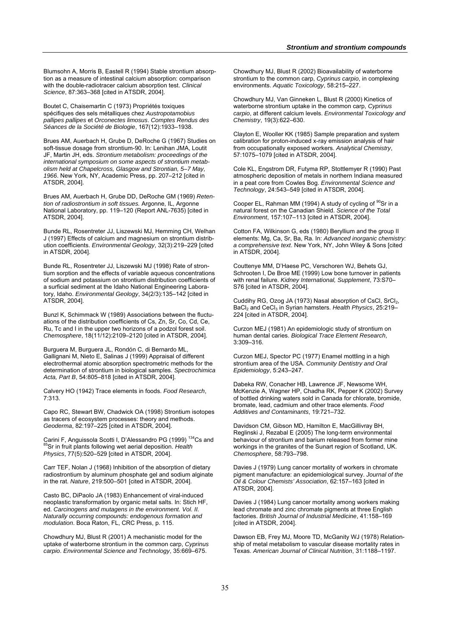Blumsohn A, Morris B, Eastell R (1994) Stable strontium absorption as a measure of intestinal calcium absorption: comparison with the double-radiotracer calcium absorption test. *Clinical Science*, 87:363–368 [cited in ATSDR, 2004].

Boutet C, Chaisemartin C (1973) Propriétés toxiques spécifiques des sels métalliques chez *Austropotamobius pallipes pallipes* et *Orconectes limosus*. *Comptes Rendus des Séances de la Société de Biologie*, 167(12):1933–1938.

Brues AM, Auerbach H, Grube D, DeRoche G (1967) Studies on soft-tissue dosage from strontium-90. In: Lenihan JMA, Loutit JF, Martin JH, eds. *Strontium metabolism: proceedings of the international symposium on some aspects of strontium metabolism held at Chapelcross, Glasgow and Strontian, 5–7 May, 1966*. New York, NY, Academic Press, pp. 207–212 [cited in ATSDR, 2004].

Brues AM, Auerbach H, Grube DD, DeRoche GM (1969) *Retention of radiostrontium in soft tissues.* Argonne, IL, Argonne National Laboratory, pp. 119–120 (Report ANL-7635) [cited in ATSDR, 2004].

Bunde RL, Rosentreter JJ, Liszewski MJ, Hemming CH, Welhan J (1997) Effects of calcium and magnesium on strontium distribution coefficients. *Environmental Geology*, 32(3):219–229 [cited in ATSDR, 2004].

Bunde RL, Rosentreter JJ, Liszewski MJ (1998) Rate of strontium sorption and the effects of variable aqueous concentrations of sodium and potassium on strontium distribution coefficients of a surficial sediment at the Idaho National Engineering Laboratory, Idaho. *Environmental Geology*, 34(2/3):135–142 [cited in

Bunzl K, Schimmack W (1989) Associations between the fluctu-<br>
224 [cited in ATSDR, 2004]. ations of the distribution coefficients of Cs, Zn, Sr, Co, Cd, Ce, Ru, Tc and I in the upper two horizons of a podzol forest soil. *Chemosphere*, 18(11/12):2109–2120 [cited in ATSDR, 2004].

Burguera M, Burguera JL, Rondón C, di Bernardo ML, Gallignani M, Nieto E, Salinas J (1999) Appraisal of different electrothermal atomic absorption spectrometric methods for the determination of strontium in biological samples. *Spectrochimica Acta, Part B*, 54:805–818 [cited in ATSDR, 2004].

Calvery HO (1942) Trace elements in foods. *Food Research*, 7:313.

Capo RC, Stewart BW, Chadwick OA (1998) Strontium isotopes as tracers of ecosystem processes: theory and methods.<br>Geoderma, 82:197-225 [cited in ATSDR, 2004].

Carini F, Anguissola Scotti I, D'Alessandro PG (1999) <sup>134</sup>Cs and <sup>85</sup>Sr in fruit plants following wet aerial deposition. *Health Physics*, 77(5):520–529 [cited in ATSDR, 2004].

Carr TEF, Nolan J (1968) Inhibition of the absorption of dietary radiostrontium by aluminum phosphate gel and sodium alginate in the rat. *Nature*, 219:500–501 [cited in ATSDR, 2004].

Casto BC, DiPaolo JA (1983) Enhancement of viral-induced neoplastic transformation by organic metal salts. In: Stich HF, ed. *Carcinogens and mutagens in the environment. Vol. II. Naturally occurring compounds: endogenous formation and modulation*. Boca Raton, FL, CRC Press, p. 115.

Chowdhury MJ, Blust R (2001) A mechanistic model for the uptake of waterborne strontium in the common carp, *Cyprinus carpio*. *Environmental Science and Technology*, 35:669–675.

Chowdhury MJ, Blust R (2002) Bioavailability of waterborne strontium to the common carp, *Cyprinus carpio*, in complexing environments. *Aquatic Toxicology*, 58:215–227.

Chowdhury MJ, Van Ginneken L, Blust R (2000) Kinetics of waterborne strontium uptake in the common carp, *Cyprinus carpio*, at different calcium levels. *Environmental Toxicology and Chemistry*, 19(3):622–630.

Clayton E, Wooller KK (1985) Sample preparation and system calibration for proton-induced x-ray emission analysis of hair from occupationally exposed workers. *Analytical Chemistry*, 57:1075–1079 [cited in ATSDR, 2004].

Cole KL, Engstrom DR, Futyma RP, Stottlemyer R (1990) Past atmospheric deposition of metals in northern Indiana measured in a peat core from Cowles Bog. *Environmental Science and Technology*, 24:543–549 [cited in ATSDR, 2004].

Cooper EL, Rahman MM (1994) A study of cycling of  $90$ Sr in a natural forest on the Canadian Shield. *Science of the Total Environment*, 157:107–113 [cited in ATSDR, 2004].

Cotton FA, Wilkinson G, eds (1980) Beryllium and the group II elements: Mg, Ca, Sr, Ba, Ra. In: *Advanced inorganic chemistry: a comprehensive text*. New York, NY, John Wiley & Sons [cited in ATSDR, 2004].

Couttenye MM, D'Haese PC, Verschoren WJ, Behets GJ, Schrooten I, De Broe ME (1999) Low bone turnover in patients with renal failure. *Kidney International, Supplement*, 73:S70– S76 [cited in ATSDR, 2004].

Cuddihy RG, Ozog JA (1973) Nasal absorption of CsCl, SrCl<sub>2</sub>, BaCl<sub>2</sub> and CeCl<sub>3</sub> in Syrian hamsters. *Health Physics*, 25:219-

Curzon MEJ (1981) An epidemiologic study of strontium on human dental caries. *Biological Trace Element Research*, 3:309–316.

Curzon MEJ, Spector PC (1977) Enamel mottling in a high strontium area of the USA. *Community Dentistry and Oral Epidemiology*, 5:243–247.

Dabeka RW, Conacher HB, Lawrence JF, Newsome WH, McKenzie A, Wagner HP, Chadha RK, Pepper K (2002) Survey of bottled drinking waters sold in Canada for chlorate, bromide, bromate, lead, cadmium and other trace elements. *Food Additives and Contaminants*, 19:721–732.

Davidson CM, Gibson MD, Hamilton E, MacGillivray BH, Reglinski J, Rezabal E (2005) The long-term environmental behaviour of strontium and barium released from former mine workings in the granites of the Sunart region of Scotland, UK. *Chemosphere*, 58:793–798.

Davies J (1979) Lung cancer mortality of workers in chromate pigment manufacture: an epidemiological survey. *Journal of the Oil & Colour Chemists' Association*, 62:157–163 [cited in ATSDR, 2004].

Davies J (1984) Lung cancer mortality among workers making lead chromate and zinc chromate pigments at three English factories. *British Journal of Industrial Medicine*, 41:158–169 [cited in ATSDR, 2004].

Dawson EB, Frey MJ, Moore TD, McGanity WJ (1978) Relationship of metal metabolism to vascular disease mortality rates in Texas. *American Journal of Clinical Nutrition*, 31:1188–1197.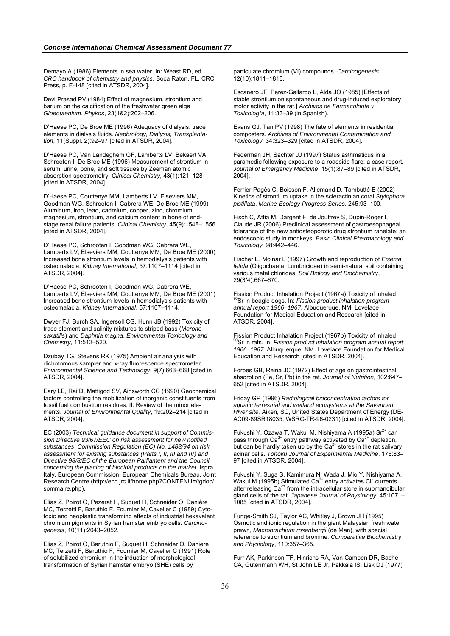Demayo A (1986) Elements in sea water. In: Weast RD, ed. *CRC handbook of chemistry and physics*. Boca Raton, FL, CRC Press, p. F-148 [cited in ATSDR, 2004].

Devi Prasad PV (1984) Effect of magnesium, strontium and barium on the calcification of the freshwater green alga *Gloeotaenium*. *Phykos*, 23(1&2):202–206.

D'Haese PC, De Broe ME (1996) Adequacy of dialysis: trace elements in dialysis fluids. *Nephrology, Dialysis, Transplantation*, 11(Suppl. 2):92–97 [cited in ATSDR, 2004].

D'Haese PC, Van Landeghem GF, Lamberts LV, Bekaert VA, Schrooten I, De Broe ME (1996) Measurement of strontium in serum, urine, bone, and soft tissues by Zeeman atomic absorption spectrometry. *Clinical Chemistry*, 43(1):121–128 [cited in ATSDR, 2004].

D'Haese PC, Couttenye MM, Lamberts LV, Elseviers MM, Goodman WG, Schrooten I, Cabrera WE, De Broe ME (1999) Aluminum, iron, lead, cadmium, copper, zinc, chromium, magnesium, strontium, and calcium content in bone of endstage renal failure patients. *Clinical Chemistry*, 45(9):1548–1556 [cited in ATSDR, 2004].

D'Haese PC, Schrooten I, Goodman WG, Cabrera WE, Lamberts LV, Elseviers MM, Couttenye MM, De Broe ME (2000) Increased bone strontium levels in hemodialysis patients with osteomalacia. *Kidney International*, 57:1107–1114 [cited in ATSDR, 2004].

D'Haese PC, Schrooten I, Goodman WG, Cabrera WE, Lamberts LV, Elseviers MM, Couttenye MM, De Broe ME (2001) Increased bone strontium levels in hemodialysis patients with osteomalacia. *Kidney International*, 57:1107–1114.

Dwyer FJ, Burch SA, Ingersoll CG, Hunn JB (1992) Toxicity of trace element and salinity mixtures to striped bass (*Morone saxatilis*) and *Daphnia magna*. *Environmental Toxicology and Chemistry*, 11:513–520.

Dzubay TG, Stevens RK (1975) Ambient air analysis with dichotomous sampler and x-ray fluorescence spectrometer. *Environmental Science and Technology*, 9(7):663–668 [cited in ATSDR, 2004].

Eary LE, Rai D, Mattigod SV, Ainsworth CC (1990) Geochemical factors controlling the mobilization of inorganic constituents from fossil fuel combustion residues: II. Review of the minor elements. *Journal of Environmental Quality*, 19:202–214 [cited in ATSDR, 2004].

EC (2003) *Technical guidance document in support of Commission Directive 93/67/EEC on risk assessment for new notified substances*, *Commission Regulation (EC) No. 1488/94 on risk assessment for existing substances (Parts I, II, III and IV) and Directive 98/8/EC of the European Parliament and the Council concerning the placing of biocidal products on the market.* Ispra, Italy, European Commission, European Chemicals Bureau, Joint Research Centre (http://ecb.jrc.it/home.php?CONTENU=/tgdoc/ sommaire.php).

Elias Z, Poirot O, Pezerat H, Suquet H, Schneider O, Danière MC, Terzetti F, Baruthio F, Fournier M, Cavelier C (1989) Cytotoxic and neoplastic transforming effects of industrial hexavalent chromium pigments in Syrian hamster embryo cells. *Carcinogenesis*, 10(11):2043–2052.

Elias Z, Poirot O, Baruthio F, Suquet H, Schneider O, Daniere MC, Terzetti F, Baruthio F, Fournier M, Cavelier C (1991) Role of solubilized chromium in the induction of morphological transformation of Syrian hamster embryo (SHE) cells by

particulate chromium (VI) compounds. *Carcinogenesis*, 12(10):1811–1816.

Escanero JF, Perez-Gallardo L, Alda JO (1985) [Effects of stable strontium on spontaneous and drug-induced exploratory motor activity in the rat.] *Archivos de Farmacología y Toxicología*, 11:33–39 (in Spanish).

Evans GJ, Tan PV (1998) The fate of elements in residential composters. *Archives of Environmental Contamination and Toxicology*, 34:323–329 [cited in ATSDR, 2004].

Federman JH, Sachter JJ (1997) Status asthmaticus in a paramedic following exposure to a roadside flare: a case report. *Journal of Emergency Medicine*, 15(1):87–89 [cited in ATSDR, 2004].

Ferrier-Pagès C, Boisson F, Allemand D, Tambutté E (2002) Kinetics of strontium uptake in the scleractinian coral *Stylophora pistillata*. *Marine Ecology Progress Series*, 245:93–100.

Fisch C, Attia M, Dargent F, de Jouffrey S, Dupin-Roger I, Claude JR (2006) Preclinical assessment of gastroesophageal tolerance of the new antiosteoporotic drug strontium ranelate: an endoscopic study in monkeys. *Basic Clinical Pharmacology and Toxicology*, 98:442–446.

Fischer E, Molnár L (1997) Growth and reproduction of *Eisenia fetida* (Oligochaeta, Lumbricidae) in semi-natural soil containing various metal chlorides. *Soil Biology and Biochemistry*, 29(3/4):667–670.

Fission Product Inhalation Project (1967a) Toxicity of inhaled <sup>90</sup>Sr in beagle dogs. In: *Fission product inhalation program annual report 1966–1967*. Albuquerque, NM, Lovelace Foundation for Medical Education and Research [cited in ATSDR, 2004].

Fission Product Inhalation Project (1967b) Toxicity of inhaled <sup>90</sup>Sr in rats. In: *Fission product inhalation program annual report 1966–1967*. Albuquerque, NM, Lovelace Foundation for Medical Education and Research [cited in ATSDR, 2004].

Forbes GB, Reina JC (1972) Effect of age on gastrointestinal absorption (Fe, Sr, Pb) in the rat. *Journal of Nutrition*, 102:647– 652 [cited in ATSDR, 2004].

Friday GP (1996) *Radiological bioconcentration factors for aquatic terrestrial and wetland ecosystems at the Savannah River site.* Aiken, SC, United States Department of Energy (DE-AC09-89SR18035; WSRC-TR-96-0231) [cited in ATSDR, 2004].

Fukushi Y, Ozawa T, Wakui M, Nishiyama A (1995a) Sr<sup>2+</sup> can pass through Ca<sup>2+</sup> entry pathway activated by Ca<sup>2+</sup> depletion, but can be hardly taken up by the  $Ca<sup>2+</sup>$  stores in the rat salivary acinar cells. *Tohoku Journal of Experimental Medicine*, 176:83– 97 [cited in ATSDR, 2004].

Fukushi Y, Suga S, Kamimura N, Wada J, Mio Y, Nishiyama A,<br>Wakui M (1995b) Stimulated Ca<sup>2+</sup> entry activates Cl⊺currents after releasing  $Ca^{2+}$  from the intracellular store in submandibular gland cells of the rat. *Japanese Journal of Physiology*, 45:1071– 1085 [cited in ATSDR, 2004].

Funge-Smith SJ, Taylor AC, Whitley J, Brown JH (1995) Osmotic and ionic regulation in the giant Malaysian fresh water prawn, *Macrobrachium rosenbergii* (de Man), with special reference to strontium and bromine. *Comparative Biochemistry and Physiology*, 110:357–365.

Furr AK, Parkinson TF, Hinrichs RA, Van Campen DR, Bache CA, Gutenmann WH, St John LE Jr, Pakkala IS, Lisk DJ (1977)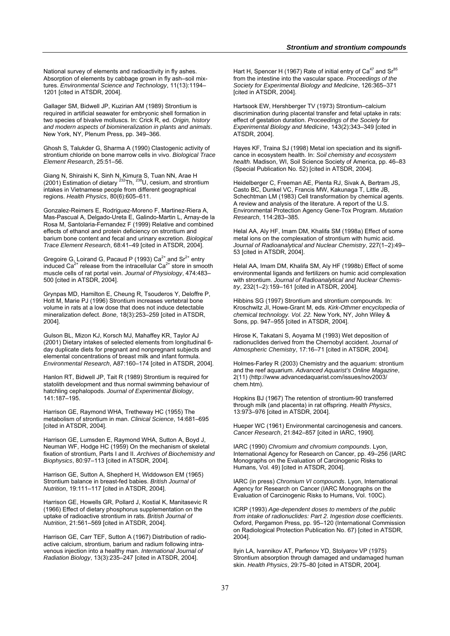Absorption of elements by cabbage grown in fly ash–soil mixtures. *Environmental Science and Technology*, 11(13):1194– 1201 [cited in ATSDR, 2004].

Gallager SM, Bidwell JP, Kuzirian AM (1989) Strontium is required in artificial seawater for embryonic shell formation in two species of bivalve molluscs. In: Crick R, ed. *Origin, history and modern aspects of biomineralization in plants and animals*. New York, NY, Plenum Press, pp. 349–366.

Ghosh S, Talukder G, Sharma A (1990) Clastogenic activity of strontium chloride on bone marrow cells in vivo. *Biological Trace Element Research*, 25:51–56.

Giang N, Shiraishi K, Sinh N, Kimura S, Tuan NN, Arae H<br>(2001) Estimation of dietary <sup>232</sup>Th, <sup>238</sup>U, cesium, and strontium intakes in Vietnamese people from different geographical regions. *Health Physics*, 80(6):605–611.

Gonzalez-Reimers E, Rodriguez-Moreno F, Martinez-Riera A, Mas-Pascual A, Delgado-Ureta E, Galindo-Martin L, Arnay-de la Rosa M, Santolaria-Fernandez F (1999) Relative and combined effects of ethanol and protein deficiency on strontium and barium bone content and fecal and urinary excretion. *Biological Trace Element Research*, 68:41–49 [cited in ATSDR, 2004].

Gregoire G, Loirand G, Pacaud P (1993) Ca<sup>2+</sup> and Sr<sup>2+</sup> entry induced Ca<sup>2+</sup> release from the intracellular Ca<sup>2+</sup> store in smooth muscle cells of rat portal vein. *Journal of Physiology*, 474:483– 500 [cited in ATSDR, 2004].

Grynpas MD, Hamilton E, Cheung R, Tsouderos Y, Deloffre P, Hott M, Marie PJ (1996) Strontium increases vertebral bone volume in rats at a low dose that does not induce detectable mineralization defect. *Bone*, 18(3):253–259 [cited in ATSDR, 2004].

Gulson BL, Mizon KJ, Korsch MJ, Mahaffey KR, Taylor AJ (2001) Dietary intakes of selected elements from longitudinal 6 day duplicate diets for pregnant and nonpregnant subjects and elemental concentrations of breast milk and infant formula. *Environmental Research*, A87:160–174 [cited in ATSDR, 2004].

Hanlon RT, Bidwell JP, Tait R (1989) Strontium is required for statolith development and thus normal swimming behaviour of hatchling cephalopods. *Journal of Experimental Biology*, 141:187–195. Hopkins BJ (1967) The retention of strontium-90 transferred

Harrison GE, Raymond WHA, Tretheway HC (1955) The metabolism of strontium in man. *Clinical Science*, 14:681–695

Harrison GE, Lumsden E, Raymond WHA, Sutton A, Boyd J, Neuman WF, Hodge HC (1959) On the mechanism of skeletal fixation of strontium, Parts I and II. *Archives of Biochemistry and Biophysics*, 80:97–113 [cited in ATSDR, 2004].

Harrison GE, Sutton A, Shepherd H, Widdowson EM (1965) Strontium balance in breast-fed babies. *British Journal of Nutrition*, 19:111–117 [cited in ATSDR, 2004].

Harrison GE, Howells GR, Pollard J, Kostial K, Manitasevic R (1966) Effect of dietary phosphorus supplementation on the uptake of radioactive strontium in rats. *British Journal of Nutrition*, 21:561–569 [cited in ATSDR, 2004].

Harrison GE, Carr TEF, Sutton A (1967) Distribution of radio-<br>2004]. active calcium, strontium, barium and radium following intravenous injection into a healthy man. *International Journal of Radiation Biology*, 13(3):235–247 [cited in ATSDR, 2004].

National survey of elements and radioactivity in fly ashes. Hart H, Spencer H (1967) Rate of initial entry of Ca<sup>47</sup> and Sr<sup>85</sup> from the intestine into the vascular space. *Proceedings of the Society for Experimental Biology and Medicine*, 126:365–371 [cited in ATSDR, 2004].

> Hartsook EW, Hershberger TV (1973) Strontium–calcium discrimination during placental transfer and fetal uptake in rats: effect of gestation duration. *Proceedings of the Society for Experimental Biology and Medicine*, 143(2):343–349 [cited in ATSDR, 2004].

Hayes KF, Traina SJ (1998) Metal ion speciation and its significance in ecosystem health. In: *Soil chemistry and ecosystem health.* Madison, WI, Soil Science Society of America, pp. 46–83 (Special Publication No. 52) [cited in ATSDR, 2004].

Heidelberger C, Freeman AE, Pienta RJ, Sivak A, Bertram JS, Casto BC, Dunkel VC, Francis MW, Kakunaga T, Little JB, Schechtman LM (1983) Cell transformation by chemical agents. A review and analysis of the literature. A report of the U.S. Environmental Protection Agency Gene-Tox Program. *Mutation Research*, 114:283–385.

Helal AA, Aly HF, Imam DM, Khalifa SM (1998a) Effect of some metal ions on the complexation of strontium with humic acid. *Journal of Radioanalytical and Nuclear Chemistry*, 227(1–2):49– 53 [cited in ATSDR, 2004].

Helal AA, Imam DM, Khalifa SM, Aly HF (1998b) Effect of some environmental ligands and fertilizers on humic acid complexation with strontium. *Journal of Radioanalytical and Nuclear Chemistry*, 232(1–2):159–161 [cited in ATSDR, 2004].

Hibbins SG (1997) Strontium and strontium compounds. In: Kroschwitz JI, Howe-Grant M, eds. *Kirk-Othmer encyclopedia of chemical technology. Vol. 22.* New York, NY, John Wiley & Sons, pp. 947–955 [cited in ATSDR, 2004].

Hirose K, Takatani S, Aoyama M (1993) Wet deposition of radionuclides derived from the Chernobyl accident. *Journal of Atmospheric Chemistry*, 17:16–71 [cited in ATSDR, 2004].

Holmes-Farley R (2003) Chemistry and the aquarium: strontium and the reef aquarium. *Advanced Aquarist's Online Magazine*, 2(11) (http://www.advancedaquarist.com/issues/nov2003/ chem.htm).

through milk (and placenta) in rat offspring. *Health Physics*,

Hueper WC (1961) Environmental carcinogenesis and cancers. *Cancer Research*, 21:842–857 [cited in IARC, 1990].

IARC (1990) *Chromium and chromium compounds*. Lyon, International Agency for Research on Cancer, pp. 49–256 (IARC Monographs on the Evaluation of Carcinogenic Risks to Humans, Vol. 49) [cited in ATSDR, 2004].

IARC (in press) *Chromium VI compounds*. Lyon, International Agency for Research on Cancer (IARC Monographs on the Evaluation of Carcinogenic Risks to Humans, Vol. 100C).

ICRP (1993) *Age-dependent doses to members of the public from intake of radionuclides: Part 2. Ingestion dose coefficients*. Oxford, Pergamon Press, pp. 95–120 (International Commission on Radiological Protection Publication No. 67) [cited in ATSDR,

Ilyin LA, Ivannikov AT, Parfenov YD, Stolyarov VP (1975) Strontium absorption through damaged and undamaged human skin. *Health Physics*, 29:75–80 [cited in ATSDR, 2004].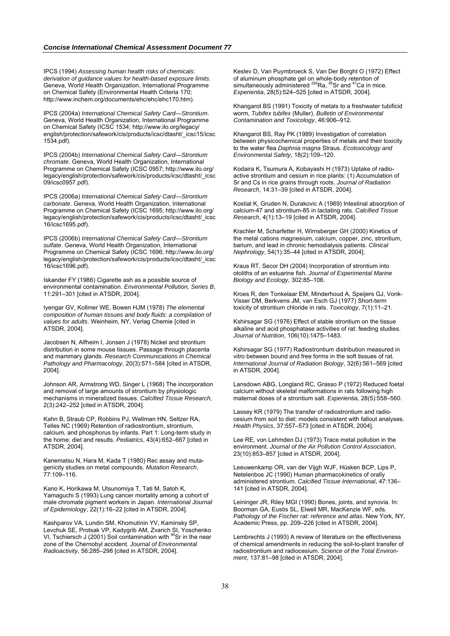IPCS (1994) *Assessing human health risks of chemicals: derivation of guidance values for health-based exposure limits.* Geneva, World Health Organization, International Programme on Chemical Safety (Environmental Health Criteria 170; http://www.inchem.org/documents/ehc/ehc/ehc170.htm).

IPCS (2004a) *International Chemical Safety Card—Strontium*. Geneva, World Health Organization, International Programme on Chemical Safety (ICSC 1534; http://www.ilo.org/legacy/ english/protection/safework/cis/products/icsc/dtasht/\_icsc15/icsc 1534.pdf).

IPCS (2004b) *International Chemical Safety Card—Strontium chromate*. Geneva, World Health Organization, International Programme on Chemical Safety (ICSC 0957; http://www.ilo.org/ legacy/english/protection/safework/cis/products/icsc/dtasht/\_icsc 09/icsc0957.pdf).

IPCS (2006a) *International Chemical Safety Card—Strontium carbonate*. Geneva, World Health Organization, International Programme on Chemical Safety (ICSC 1695; http://www.ilo.org/ legacy/english/protection/safework/cis/products/icsc/dtasht/\_icsc 16/icsc1695.pdf).

IPCS (2006b) *International Chemical Safety Card—Strontium sulfate*. Geneva, World Health Organization, International Programme on Chemical Safety (ICSC 1696; http://www.ilo.org/ legacy/english/protection/safework/cis/products/icsc/dtasht/\_icsc 16/icsc1696.pdf).

Iskander FY (1986) Cigarette ash as a possible source of environmental contamination. *Environmental Pollution, Series B*, 11:291–301 [cited in ATSDR, 2004].

Iyengar GV, Kollmer WE, Bowen HJM (1978) *The elemental composition of human tissues and body fluids: a compilation of values for adults*. Weinheim, NY, Verlag Chemie [cited in ATSDR, 2004].

Jacobsen N, Alfheim I, Jonsen J (1978) Nickel and strontium distribution in some mouse tissues. Passage through placenta and mammary glands. *Research Communications in Chemical Pathology and Pharmacology*, 20(3):571–584 [cited in ATSDR, 2004].

Johnson AR, Armstrong WD, Singer L (1968) The incorporation and removal of large amounts of strontium by physiologic mechanisms in mineralized tissues. *Calcified Tissue Research*, 2(3):242–252 [cited in ATSDR, 2004].

Kahn B, Straub CP, Robbins PJ, Wellman HN, Seltzer RA, Telles NC (1969) Retention of radiostrontium, strontium, calcium, and phosphorus by infants. Part 1: Long-term study in the home; diet and results. *Pediatrics*, 43(4):652–667 [cited in ATSDR, 2004].

Kanematsu N, Hara M, Kada T (1980) Rec assay and mutagenicity studies on metal compounds. *Mutation Research*, 77:109–116.

Kano K, Horikawa M, Utsunomiya T, Tati M, Satoh K, Yamaguchi S (1993) Lung cancer mortality among a cohort of male chromate pigment workers in Japan. *International Journal of Epidemiology*, 22(1):16–22 [cited in ATSDR, 2004].

Kashparov VA, Lundin SM, Khomutinin YV, Kaminsky SP, Levchuk SE, Protsak VP, Kadygrib AM, Zvarich SI, Yoschenko<br>VI, Tschiersch J (2001) Soil contamination with <sup>90</sup>Sr in the near zone of the Chernobyl accident. *Journal of Environmental Radioactivity*, 56:285–298 [cited in ATSDR, 2004].

Keslev D, Van Puymbroeck S, Van Der Borght O (1972) Effect of aluminum phosphate gel on whole-body retention of simultaneously administered <sup>226</sup>Ra, <sup>85</sup>Sr and <sup>47</sup>Ca in mice. *Experientia*, 28(5):524–525 [cited in ATSDR, 2004].

Khangarot BS (1991) Toxicity of metals to a freshwater tubificid worm, *Tubifex tubifex* (Muller). *Bulletin of Environmental Contamination and Toxicology*, 46:906–912.

Khangarot BS, Ray PK (1989) Investigation of correlation between physicochemical properties of metals and their toxicity to the water flea *Daphnia magna* Straus. *Ecotoxicology and Environmental Safety*, 18(2):109–120.

Kodaira K, Tsumura A, Kobayashi H (1973) Uptake of radioactive strontium and cesium in rice plants: (1) Accumulation of Sr and Cs in rice grains through roots. *Journal of Radiation Research*, 14:31–39 [cited in ATSDR, 2004].

Kostial K, Gruden N, Durakovic A (1969) Intestinal absorption of calcium-47 and strontium-85 in lactating rats. *Calcified Tissue Research*, 4(1):13–19 [cited in ATSDR, 2004].

Krachler M, Scharfetter H, Wirnsberger GH (2000) Kinetics of the metal cations magnesium, calcium, copper, zinc, strontium, barium, and lead in chronic hemodialysis patients. *Clinical Nephrology*, 54(1):35–44 [cited in ATSDR, 2004].

Kraus RT, Secor DH (2004) Incorporation of strontium into otoliths of an estuarine fish. *Journal of Experimental Marine Biology and Ecology*, 302:85–106.

Kroes R, den Tonkelaar EM, Minderhoud A, Speijers GJ, Vonk-Visser DM, Berkvens JM, van Esch GJ (1977) Short-term toxicity of strontium chloride in rats. *Toxicology*, 7(1):11–21.

Kshirsagar SG (1976) Effect of stable strontium on the tissue alkaline and acid phosphatase activities of rat: feeding studies. *Journal of Nutrition*, 106(10):1475–1483.

Kshirsagar SG (1977) Radiostrontium distribution measured in vitro between bound and free forms in the soft tissues of rat. *International Journal of Radiation Biology*, 32(6):561–569 [cited in ATSDR, 2004].

Lansdown ABG, Longland RC, Grasso P (1972) Reduced foetal calcium without skeletal malformations in rats following high maternal doses of a strontium salt. *Experientia*, 28(5):558–560.

Lassey KR (1979) The transfer of radiostrontium and radiocesium from soil to diet: models consistent with fallout analyses. *Health Physics*, 37:557–573 [cited in ATSDR, 2004].

Lee RE, von Lehmden DJ (1973) Trace metal pollution in the environment. *Journal of the Air Pollution Control Association*, 23(10):853–857 [cited in ATSDR, 2004].

Leeuwenkamp OR, van der Vijgh WJF, Hüsken BCP, Lips P, Netelenbos JC (1990) Human pharmacokinetics of orally administered strontium. *Calcified Tissue International*, 47:136– 141 [cited in ATSDR, 2004].

Leininger JR, Riley MGI (1990) Bones, joints, and synovia. In: Boorman GA, Eustis SL, Elwell MR, MacKenzie WF, eds. *Pathology of the Fischer rat: reference and atlas*. New York, NY, Academic Press, pp. 209–226 [cited in ATSDR, 2004].

Lembrechts J (1993) A review of literature on the effectiveness of chemical amendments in reducing the soil-to-plant transfer of radiostrontium and radiocesium. *Science of the Total Environment*, 137:81–98 [cited in ATSDR, 2004].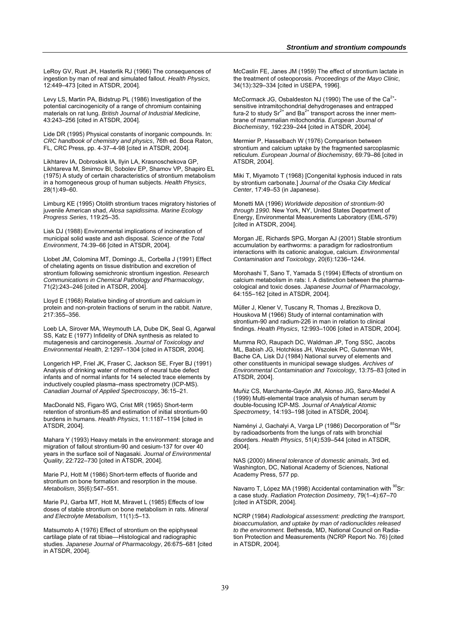LeRoy GV, Rust JH, Hasterlik RJ (1966) The consequences of ingestion by man of real and simulated fallout. *Health Physics*, 12:449–473 [cited in ATSDR, 2004].

Levy LS, Martin PA, Bidstrup PL (1986) Investigation of the potential carcinogenicity of a range of chromium containing materials on rat lung. *British Journal of Industrial Medicine*, 43:243–256 [cited in ATSDR, 2004].

Lide DR (1995) Physical constants of inorganic compounds. In: *CRC handbook of chemistry and physics*, 76th ed. Boca Raton, FL, CRC Press, pp. 4-37–4-98 [cited in ATSDR, 2004].

Likhtarev IA, Dobroskok IA, Ilyin LA, Krasnoschekova GP, ATSDR, 2004]. Likhtareva M, Smirnov BI, Sobolev EP, Shamov VP, Shapiro EL (1975) A study of certain characteristics of strontium metabolism in a homogeneous group of human subjects. *Health Physics*, 28(1):49–60.

Limburg KE (1995) Otolith strontium traces migratory histories of juvenile American shad, *Alosa sapidissima*. *Marine Ecology Progress Series*, 119:25–35.

Lisk DJ (1988) Environmental implications of incineration of municipal solid waste and ash disposal. *Science of the Total Environment*, 74:39–66 [cited in ATSDR, 2004].

Llobet JM, Colomina MT, Domingo JL, Corbella J (1991) Effect of chelating agents on tissue distribution and excretion of strontium following semichronic strontium ingestion. *Research Communications in Chemical Pathology and Pharmacology*, 71(2):243–246 [cited in ATSDR, 2004].

Lloyd E (1968) Relative binding of strontium and calcium in protein and non-protein fractions of serum in the rabbit. *Nature*, 217:355–356.

SS, Katz E (1977) Infidelity of DNA synthesis as related to mutagenesis and carcinogenesis. *Journal of Toxicology and Environmental Health*, 2:1297–1304 [cited in ATSDR, 2004].

Longerich HP, Friel JK, Fraser C, Jackson SE, Fryer BJ (1991) Analysis of drinking water of mothers of neural tube defect infants and of normal infants for 14 selected trace elements by inductively coupled plasma-mass spectrometry (ICP-MS).<br>Canadian Journal of Applied Spectroscopy, 36:15-21.

MacDonald NS, Figaro WG, Crist MR (1965) Short-term retention of strontium-85 and estimation of initial strontium-90 burdens in humans. *Health Physics*, 11:1187–1194 [cited in

Mahara Y (1993) Heavy metals in the environment: storage and migration of fallout strontium-90 and cesium-137 for over 40 years in the surface soil of Nagasaki. *Journal of Environmental Quality*, 22:722–730 [cited in ATSDR, 2004]. NAS (2000) *Mineral tolerance of domestic animals*, 3rd ed.

Marie PJ, Hott M (1986) Short-term effects of fluoride and strontium on bone formation and resorption in the mouse. Metabolism, 35(6):547–551. **90 Navarro T, López MA (1998) Accidental contamination with <sup>90</sup>Sr:** 90 Navarro T, López MA (1998) Accidental contamination with <sup>90</sup>Sr:

Marie PJ, Garba MT, Hott M, Miravet L (1985) Effects of low doses of stable strontium on bone metabolism in rats. *Mineral and Electrolyte Metabolism*, 11(1):5–13. NCRP (1984) *Radiological assessment: predicting the transport,* 

Matsumoto A (1976) Effect of strontium on the epiphyseal cartilage plate of rat tibiae—Histological and radiographic studies. *Japanese Journal of Pharmacology*, 26:675–681 [cited in ATSDR, 2004].

McCaslin FE, Janes JM (1959) The effect of strontium lactate in the treatment of osteoporosis. *Proceedings of the Mayo Clinic*, 34(13):329–334 [cited in USEPA, 1996].

McCormack JG, Osbaldeston NJ (1990) The use of the Ca<sup>2+</sup>sensitive intramitochondrial dehydrogenases and entrapped fura-2 to study  $\text{Sr}^{2+}$  and  $\text{Ba}^{2+}$  transport across the inner membrane of mammalian mitochondria. *European Journal of Biochemistry*, 192:239–244 [cited in ATSDR, 2004].

Mermier P, Hasselbach W (1976) Comparison between strontium and calcium uptake by the fragmented sarcoplasmic reticulum. *European Journal of Biochemistry*, 69:79–86 [cited in

Miki T, Miyamoto T (1968) [Congenital kyphosis induced in rats by strontium carbonate.] *Journal of the Osaka City Medical Center*, 17:49–53 (in Japanese).

Monetti MA (1996) *Worldwide deposition of strontium-90 through 1990*. New York, NY, United States Department of Energy, Environmental Measurements Laboratory (EML-579) [cited in ATSDR, 2004].

Morgan JE, Richards SPG, Morgan AJ (2001) Stable strontium accumulation by earthworms: a paradigm for radiostrontium interactions with its cationic analogue, calcium. *Environmental* 

Morohashi T, Sano T, Yamada S (1994) Effects of strontium on calcium metabolism in rats: I. A distinction between the pharmacological and toxic doses. *Japanese Journal of Pharmacology*, 64:155–162 [cited in ATSDR, 2004].

Müller J, Klener V, Tuscany R, Thomas J, Brezikova D, Houskova M (1966) Study of internal contamination with strontium-90 and radium-226 in man in relation to clinical Loeb LA, Sirover MA, Weymouth LA, Dube DK, Seal G, Agarwal findings. *Health Physics*, 12:993–1006 [cited in ATSDR, 2004].

> Mumma RO, Raupach DC, Waldman JP, Tong SSC, Jacobs ML, Babish JG, Hotchkiss JH, Wszolek PC, Gutenman WH, Bache CA, Lisk DJ (1984) National survey of elements and other constituents in municipal sewage sludges. *Archives of Environmental Contamination and Toxicology*, 13:75–83 [cited in ATSDR, 2004].

*Canadian Journal of Applied Spectroscopy*, 36:15–21. Muňiz CS, Marchante-Gayón JM, Alonso JIG, Sanz-Medel A (1999) Multi-elemental trace analysis of human serum by double-focusing ICP-MS. *Journal of Analytical Atomic Spectrometry*, 14:193-198 [cited in ATSDR, 2004].

Naményi J, Gachalyi A, Varga LP (1986) Decorporation of 85Sr by radioadsorbents from the lungs of rats with bronchial disorders. *Health Physics*, 51(4):539–544 [cited in ATSDR, 2004].

Washington, DC, National Academy of Sciences, National Academy Press, 577 pp.

a case study. *Radiation Protection Dosimetry*, 79(1–4):67–70

*bioaccumulation, and uptake by man of radionuclides released to the environment.* Bethesda, MD, National Council on Radiation Protection and Measurements (NCRP Report No. 76) [cited in ATSDR, 2004].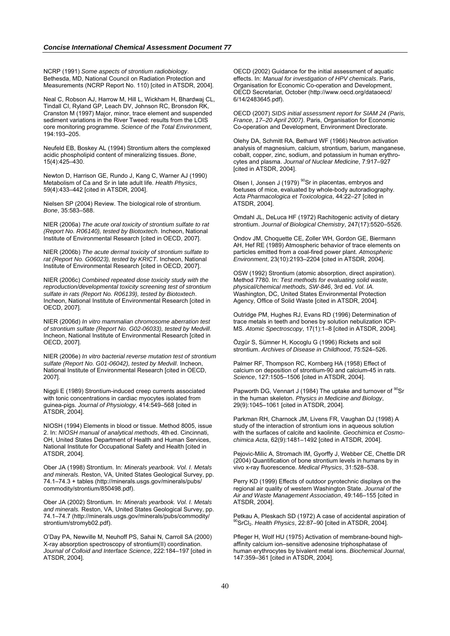NCRP (1991) *Some aspects of strontium radiobiology*. Bethesda, MD, National Council on Radiation Protection and Measurements (NCRP Report No. 110) [cited in ATSDR, 2004].

Neal C, Robson AJ, Harrow M, Hill L, Wickham H, Bhardwaj CL, 6/14/2483645.pdf). Tindall CI, Ryland GP, Leach DV, Johnson RC, Bronsdon RK, Cranston M (1997) Major, minor, trace element and suspended sediment variations in the River Tweed: results from the LOIS core monitoring programme. *Science of the Total Environment*, 194:193–205.

Neufeld EB, Boskey AL (1994) Strontium alters the complexed acidic phospholipid content of mineralizing tissues. *Bone*, 15(4):425–430.

Newton D, Harrison GE, Rundo J, Kang C, Warner AJ (1990) Metabolism of Ca and Sr in late adult life. *Health Physics*, 59(4):433–442 [cited in ATSDR, 2004].

Nielsen SP (2004) Review. The biological role of strontium. ATSDR, 2004]. *Bone*, 35:583–588.

*(Report No. R06140), tested by Biotoxtech*. Incheon, National Institute of Environmental Research [cited in OECD, 2007]. Ondov JM, Choquette CE, Zoller WH, Gordon GE, Biermann

NIER (2006b) *The acute dermal toxicity of strontium sulfate to rat (Report No. G06023), tested by KRICT*. Incheon, National Institute of Environmental Research [cited in OECD, 2007].

NIER (2006c) *Combined repeated dose toxicity study with the reproduction/developmental toxicity screening test of strontium sulfate in rats (Report No. R06139), tested by Biotoxtech*. Incheon, National Institute of Environmental Research [cited in OECD, 2007].

NIER (2006d) *In vitro mammalian chromosome aberration test of strontium sulfate (Report No. G02-06033), tested by Medvill*. Incheon, National Institute of Environmental Research [cited in OECD, 2007]. Özgür S, Sümner H, Kocoglu G (1996) Rickets and soil

NIER (2006e) *In vitro bacterial reverse mutation test of strontium sulfate (Report No. G01-06042), tested by Medvill*. Incheon, National Institute of Environmental Research [cited in OECD, 2007].

Niggli E (1989) Strontium-induced creep currents associated with tonic concentrations in cardiac myocytes isolated from guinea-pigs. *Journal of Physiology*, 414:549–568 [cited in ATSDR, 2004].

NIOSH (1994) Elements in blood or tissue. Method 8005, issue 2. In: *NIOSH manual of analytical methods*, 4th ed. Cincinnati, OH, United States Department of Health and Human Services, National Institute for Occupational Safety and Health [cited in ATSDR, 2004]. Pejovic-Milic A, Stromach IM, Gyorffy J, Webber CE, Chettle DR

Ober JA (1998) Strontium. In: *Minerals yearbook. Vol. I. Metals and minerals.* Reston, VA, United States Geological Survey, pp. 74.1–74.3 + tables (http://minerals.usgs.gov/minerals/pubs/ commodity/strontium/850498.pdf).

Ober JA (2002) Strontium. In: *Minerals yearbook. Vol. I. Metals* ATSDR, 2004]. *and minerals.* Reston, VA, United States Geological Survey, pp. 74.1–74.7 (http://minerals.usgs.gov/minerals/pubs/commodity/ strontium/stromyb02.pdf).

O'Day PA, Newville M, Neuhoff PS, Sahai N, Carroll SA (2000) X-ray absorption spectroscopy of strontium(II) coordination. *Journal of Colloid and Interface Science*, 222:184–197 [cited in ATSDR, 2004].

OECD (2002) Guidance for the initial assessment of aquatic effects. In: *Manual for investigation of HPV chemicals*. Paris, Organisation for Economic Co-operation and Development, OECD Secretariat, October (http://www.oecd.org/dataoecd/

OECD (2007) *SIDS initial assessment report for SIAM 24 (Paris, France, 17–20 April 2007)*. Paris, Organisation for Economic Co-operation and Development, Environment Directorate.

Olehy DA, Schmitt RA, Bethard WF (1966) Neutron activation analysis of magnesium, calcium, strontium, barium, manganese, cobalt, copper, zinc, sodium, and potassium in human erythrocytes and plasma. *Journal of Nuclear Medicine*, 7:917–927 [cited in ATSDR, 2004].

Olsen I, Jonsen J (1979) <sup>90</sup>Sr in placentas, embryos and foetuses of mice, evaluated by whole-body autoradiography. *Acta Pharmacologica et Toxicologica*, 44:22–27 [cited in

Omdahl JL, DeLuca HF (1972) Rachitogenic activity of dietary NIER (2006a) *The acute oral toxicity of strontium sulfate to rat* strontium. *Journal of Biological Chemistry*, 247(17):5520–5526.

> AH, Hef RE (1989) Atmospheric behavior of trace elements on particles emitted from a coal-fired power plant. *Atmospheric Environment*, 23(10):2193–2204 [cited in ATSDR, 2004].

OSW (1992) Strontium (atomic absorption, direct aspiration). Method 7780. In: *Test methods for evaluating solid waste, physical/chemical methods, SW-846*, 3rd ed. *Vol. IA.*  Washington, DC, United States Environmental Protection Agency, Office of Solid Waste [cited in ATSDR, 2004].

Outridge PM, Hughes RJ, Evans RD (1996) Determination of trace metals in teeth and bones by solution nebulization ICP-MS. *Atomic Spectroscopy*, 17(1):1–8 [cited in ATSDR, 2004].

strontium. *Archives of Disease in Childhood*, 75:524–526.

Palmer RF, Thompson RC, Kornberg HA (1958) Effect of calcium on deposition of strontium-90 and calcium-45 in rats. *Science*, 127:1505–1506 [cited in ATSDR, 2004].

Papworth DG, Vennart J (1984) The uptake and turnover of <sup>90</sup>Sr in the human skeleton. *Physics in Medicine and Biology*, 29(9):1045–1061 [cited in ATSDR, 2004].

Parkman RH, Charnock JM, Livens FR, Vaughan DJ (1998) A study of the interaction of strontium ions in aqueous solution with the surfaces of calcite and kaolinite. *Geochimica et Cosmochimica Acta*, 62(9):1481–1492 [cited in ATSDR, 2004].

(2004) Quantification of bone strontium levels in humans by in<br>vivo x-ray fluorescence. Medical Physics, 31:528-538.

Perry KD (1999) Effects of outdoor pyrotechnic displays on the regional air quality of western Washington State. *Journal of the Air and Waste Management Association*, 49:146–155 [cited in

Petkau A, Pleskach SD (1972) A case of accidental aspiration of 90SrCl2. *Health Physics*, 22:87–90 [cited in ATSDR, 2004].

Pfleger H, Wolf HU (1975) Activation of membrane-bound highaffinity calcium ion–sensitive adenosine triphosphatase of human erythrocytes by bivalent metal ions. *Biochemical Journal*, 147:359–361 [cited in ATSDR, 2004].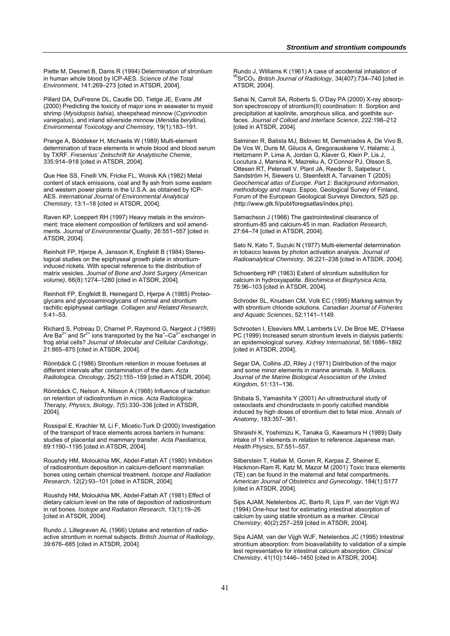Piette M, Desmet B, Dams R (1994) Determination of strontium in human whole blood by ICP-AES. *Science of the Total Environment*, 141:269–273 [cited in ATSDR, 2004].

Pillard DA, DuFresne DL, Caudle DD, Tietge JE, Evans JM (2000) Predicting the toxicity of major ions in seawater to mysid shrimp (*Mysidopsis bahia*), sheepshead minnow (*Cyprinodon variegatus*), and inland silverside minnow (*Menidia beryllina*). *Environmental Toxicology and Chemistry*, 19(1):183–191.

Prange A, Böddeker H, Michaelis W (1989) Multi-element determination of trace elements in whole blood and blood serum by TXRF. *Fresenius' Zeitschrift für Analytische Chemie*, 335:914–918 [cited in ATSDR, 2004].

Que Hee SS, Finelli VN, Fricke FL, Wolnik KA (1982) Metal content of stack emissions, coal and fly ash from some eastern and western power plants in the U.S.A. as obtained by ICP-AES. *International Journal of Environmental Analytical Chemistry*, 13:1–18 [cited in ATSDR, 2004].

Raven KP, Loeppert RH (1997) Heavy metals in the environment: trace element composition of fertilizers and soil amendments. *Journal of Environmental Quality*, 26:551–557 [cited in ATSDR, 2004].

Reinholt FP, Hjerpe A, Jansson K, Engfeldt B (1984) Stereological studies on the epiphyseal growth plate in strontiuminduced rickets. With special reference to the distribution of matrix vesicles. *Journal of Bone and Joint Surgery (American volume)*, 66(8):1274–1280 [cited in ATSDR, 2004].

Reinholt FP, Engfeldt B, Heinegard D, Hjerpe A (1985) Proteoglycans and glycosaminoglycans of normal and strontium rachitic epiphyseal cartilage. *Collagen and Related Research*, 5:41–53.

Richard S, Potreau D, Charnet P, Raymond G, Nargeot J (1989) Are Ba<sup>2+</sup> and Sr<sup>2+</sup> ions transported by the Na<sup>+</sup>-Ca<sup>2+</sup> exchanger in frog atrial cells? *Journal of Molecular and Cellular Cardiology*, 21:865–875 [cited in ATSDR, 2004].

Rönnbäck C (1986) Strontium retention in mouse foetuses at different intervals after contamination of the dam. *Acta Radiologica. Oncology*, 25(2):155–159 [cited in ATSDR, 2004].

Rönnbäck C, Nelson A, Nilsson A (1968) Influence of lactation on retention of radiostrontium in mice. *Acta Radiologica: Therapy, Physics, Biology*, 7(5):330–336 [cited in ATSDR, 2004].

Rossipal E, Krachler M, Li F, Micetic-Turk D (2000) Investigation of the transport of trace elements across barriers in humans: studies of placental and mammary transfer. *Acta Paediatrica*, 89:1190–1195 [cited in ATSDR, 2004].

Roushdy HM, Moloukhia MK, Abdel-Fattah AT (1980) Inhibition of radiostrontium deposition in calcium-deficient mammalian bones using certain chemical treatment. *Isotope and Radiation Research*, 12(2):93–101 [cited in ATSDR, 2004].

Roushdy HM, Moloukhia MK, Abdel-Fattah AT (1981) Effect of dietary calcium level on the rate of deposition of radiostrontium in rat bones. *Isotope and Radiation Research*, 13(1):19–26 [cited in ATSDR, 2004].

Rundo J, Lillegraven AL (1966) Uptake and retention of radioactive strontium in normal subjects. *British Journal of Radiology*, 39:676–685 [cited in ATSDR, 2004].

Rundo J, Williams K (1961) A case of accidental inhalation of 90SrCO3. *British Journal of Radiology*, 34(407):734–740 [cited in ATSDR, 2004].

Sahai N, Carroll SA, Roberts S, O'Day PA (2000) X-ray absorption spectroscopy of strontium(II) coordination: II. Sorption and precipitation at kaolinite, amorphous silica, and goethite surfaces. *Journal of Colloid and Interface Science*, 222:198–212 [cited in ATSDR, 2004].

Salminen R, Batista MJ, Bidovec M, Demetriades A, De Vivo B, De Vos W, Duris M, Gilucis A, Gregorauskiene V, Halamic J, Heitzmann P, Lima A, Jordan G, Klaver G, Klein P, Lis J, Locutura J, Marsina K, Mazreku A, O'Connor PJ, Olsson S, Ottesen RT, Petersell V, Plant JA, Reeder S, Salpeteur I, Sandström H, Siewers U, Steenfeldt A, Tarvainen T (2005) *Geochemical atlas of Europe. Part 1: Background information, methodology and maps*. Espoo, Geological Survey of Finland, Forum of the European Geological Surveys Directors, 525 pp. (http://www.gtk.fi/publ/foregsatlas/index.php).

Samachson J (1966) The gastrointestinal clearance of strontium-85 and calcium-45 in man. *Radiation Research*, 27:64–74 [cited in ATSDR, 2004].

Sato N, Kato T, Suzuki N (1977) Multi-elemental determination in tobacco leaves by photon activation analysis. *Journal of Radioanalytical Chemistry*, 36:221–238 [cited in ATSDR, 2004].

Schoenberg HP (1963) Extent of strontium substitution for calcium in hydroxyapatite. *Biochimica et Biophysica Acta*, 75:96–103 [cited in ATSDR, 2004].

Schroder SL, Knudsen CM, Volk EC (1995) Marking salmon fry with strontium chloride solutions. *Canadian Journal of Fisheries and Aquatic Sciences*, 52:1141–1149.

Schrooten I, Elseviers MM, Lamberts LV, De Broe ME, D'Haese PC (1999) Increased serum strontium levels in dialysis patients: an epidemiological survey. *Kidney International*, 56:1886–1892 [cited in ATSDR, 2004].

Segar DA, Collins JD, Riley J (1971) Distribution of the major and some minor elements in marine animals. II. Molluscs. *Journal of the Marine Biological Association of the United Kingdom*, 51:131–136.

Shibata S, Yamashita Y (2001) An ultrastructural study of osteoclasts and chondroclasts in poorly calcified mandible induced by high doses of strontium diet to fetal mice. *Annals of Anatomy*, 183:357–361.

Shiraishi K, Yoshimizu K, Tanaka G, Kawamura H (1989) Daily intake of 11 elements in relation to reference Japanese man. *Health Physics*, 57:551–557.

Silberstein T, Hallak M, Gonen R, Karpas Z, Sheiner E, Hackmon-Ram R, Katz M, Mazor M (2001) Toxic trace elements (TE) can be found in the maternal and fetal compartments. *American Journal of Obstetrics and Gynecology*, 184(1):S177 [cited in ATSDR, 2004].

Sips AJAM, Netelenbos JC, Barto R, Lips P, van der Vijgh WJ (1994) One-hour test for estimating intestinal absorption of calcium by using stable strontium as a marker. *Clinical Chemistry*, 40(2):257–259 [cited in ATSDR, 2004].

Sips AJAM, van der Vijgh WJF, Netelenbos JC (1995) Intestinal strontium absorption: from bioavailability to validation of a simple test representative for intestinal calcium absorption. *Clinical Chemistry*, 41(10):1446–1450 [cited in ATSDR, 2004].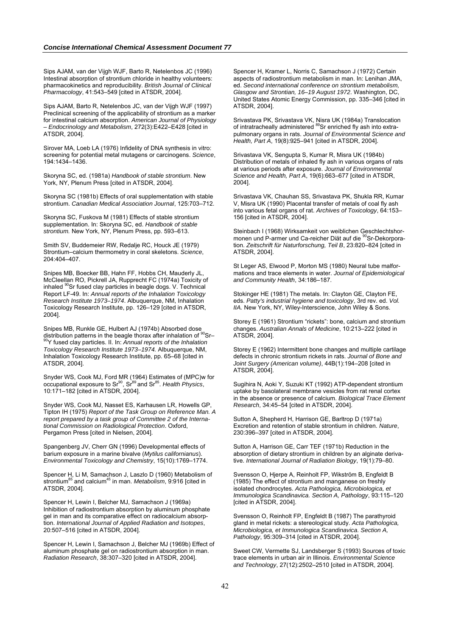Sips AJAM, van der Vijgh WJF, Barto R, Netelenbos JC (1996) Intestinal absorption of strontium chloride in healthy volunteers: pharmacokinetics and reproducibility. *British Journal of Clinical Pharmacology*, 41:543–549 [cited in ATSDR, 2004].

Sips AJAM, Barto R, Netelenbos JC, van der Vijgh WJF (1997). Preclinical screening of the applicability of strontium as a marker for intestinal calcium absorption. *American Journal of Physiology – Endocrinology and Metabolism*, 272(3):E422–E428 [cited in ATSDR, 2004].

Sirover MA, Loeb LA (1976) Infidelity of DNA synthesis in vitro: screening for potential metal mutagens or carcinogens. *Science*, 194:1434–1436.

Skoryna SC, ed. (1981a) *Handbook of stable strontium*. New York, NY, Plenum Press [cited in ATSDR, 2004].

Skoryna SC (1981b) Effects of oral supplementation with stable strontium. *Canadian Medical Association Journal*, 125:703–712.

Skoryna SC, Fuskova M (1981) Effects of stable strontium supplementation. In: Skoryna SC, ed. *Handbook of stable* 

Smith SV, Buddemeier RW, Redalje RC, Houck JE (1979) Strontium–calcium thermometry in coral skeletons. *Science*, 204:404–407.

Snipes MB, Boecker BB, Hahn FF, Hobbs CH, Mauderly JL, McCleellan RO, Pickrell JA, Rupprecht FC (1974a) Toxicity of inhaled <sup>90</sup>Sr fused clay particles in beagle dogs. V. Technical Report LF-49. In: *Annual reports of the Inhalation Toxicology Research Institute 1973–1974*. Albuquerque, NM, Inhalation Toxicology Research Institute, pp. 126–129 [cited in ATSDR, 2004].

Snipes MB, Runkle GE, Hulbert AJ (1974b) Absorbed dose distribution patterns in the beagle thorax after inhalation of <sup>90</sup>Sr–<br><sup>90</sup>Y fused clay particles. II. In: *Annual reports of the Inhalation Toxicology Research Institute 1973–1974.* Albuquerque, NM, Inhalation Toxicology Research Institute, pp. 65–68 [cited in ATSDR, 2004].

Snyder WS, Cook MJ, Ford MR (1964) Estimates of (MPC)w for occupational exposure to Sr<sup>90</sup>, Sr<sup>89</sup> and Sr<sup>85</sup>. Health Physics, 10:171–182 [cited in ATSDR, 2004].

Snyder WS, Cook MJ, Nasset ES, Karhausen LR, Howells GP, Tipton IH (1975) *Report of the Task Group on Reference Man. A report prepared by a task group of Committee 2 of the International Commission on Radiological Protection*. Oxford, Pergamon Press [cited in Nielsen, 2004].

Spangenberg JV, Cherr GN (1996) Developmental effects of barium exposure in a marine bivalve (*Mytilus californianus*). *Environmental Toxicology and Chemistry*, 15(10):1769–1774.

Spencer H, Li M, Samachson J, Laszlo D (1960) Metabolism of strontium<sup>85</sup> and calcium<sup>45</sup> in man. Metabolism, 9:916 [cited in ATSDR, 2004].

Spencer H, Lewin I, Belcher MJ, Samachson J (1969a) Inhibition of radiostrontium absorption by aluminum phosphate gel in man and its comparative effect on radiocalcium absorption. *International Journal of Applied Radiation and Isotopes*, 20:507–516 [cited in ATSDR, 2004].

Spencer H, Lewin I, Samachson J, Belcher MJ (1969b) Effect of aluminum phosphate gel on radiostrontium absorption in man. *Radiation Research*, 38:307–320 [cited in ATSDR, 2004].

Spencer H, Kramer L, Norris C, Samachson J (1972) Certain aspects of radiostrontium metabolism in man. In: Lenihan JMA, ed. *Second international conference on strontium metabolism, Glasgow and Strontian, 16–19 August 1972*. Washington, DC, United States Atomic Energy Commission, pp. 335–346 [cited in

Srivastava PK, Srivastava VK, Nisra UK (1984a) Translocation<br>of intratracheally administered <sup>89</sup>Sr enriched fly ash into extrapulmonary organs in rats. *Journal of Environmental Science and Health, Part A*, 19(8):925–941 [cited in ATSDR, 2004].

Srivastava VK, Sengupta S, Kumar R, Misra UK (1984b) Distribution of metals of inhaled fly ash in various organs of rats at various periods after exposure. *Journal of Environmental Science and Health, Part A*, 19(6):663–677 [cited in ATSDR, 2004].

Srivastava VK, Chauhan SS, Srivastava PK, Shukla RR, Kumar V, Misra UK (1990) Placental transfer of metals of coal fly ash into various fetal organs of rat. *Archives of Toxicology*, 64:153– 156 [cited in ATSDR, 2004].

Steinbach I (1968) Wirksamkeit von weiblichen Geschlechtshormonen und P-armer und Ca-reicher Diät auf die <sup>90</sup>Sr-Dekorporation. *Zeitschrift für Naturforschung, Teil B*, 23:820–824 [cited in ATSDR, 2004].

St Leger AS, Elwood P, Morton MS (1980) Neural tube malformations and trace elements in water. *Journal of Epidemiological and Community Health*, 34:186–187.

Stokinger HE (1981) The metals. In: Clayton GE, Clayton FE, eds. *Patty's industrial hygiene and toxicology*, 3rd rev. ed. *Vol. IIA.* New York, NY, Wiley-Interscience, John Wiley & Sons.

Storey E (1961) Strontium "rickets": bone, calcium and strontium changes. *Australian Annals of Medicine*, 10:213–222 [cited in ATSDR, 2004].

Storey E (1962) Intermittent bone changes and multiple cartilage defects in chronic strontium rickets in rats. *Journal of Bone and Joint Surgery (American volume)*, 44B(1):194–208 [cited in ATSDR, 2004].

Sugihira N, Aoki Y, Suzuki KT (1992) ATP-dependent strontium uptake by basolateral membrane vesicles from rat renal cortex in the absence or presence of calcium. *Biological Trace Element* 

Sutton A, Shepherd H, Harrison GE, Barltrop D (1971a) Excretion and retention of stable strontium in children. *Nature*, 230:396–397 [cited in ATSDR, 2004].

Sutton A, Harrison GE, Carr TEF (1971b) Reduction in the absorption of dietary strontium in children by an alginate derivative. *International Journal of Radiation Biology*, 19(1):79–80.

Svensson O, Hjerpe A, Reinholt FP, Wikström B, Engfeldt B (1985) The effect of strontium and manganese on freshly isolated chondrocytes. *Acta Pathologica, Microbiologica, et Immunologica Scandinavica. Section A, Pathology*, 93:115–120 [cited in ATSDR, 2004].

Svensson O, Reinholt FP, Engfeldt B (1987) The parathyroid gland in metal rickets: a stereological study. *Acta Pathologica, Microbiologica, et Immunologica Scandinavica. Section A, Pathology*, 95:309–314 [cited in ATSDR, 2004].

Sweet CW, Vermette SJ, Landsberger S (1993) Sources of toxic trace elements in urban air in Illinois. *Environmental Science and Technology*, 27(12):2502–2510 [cited in ATSDR, 2004].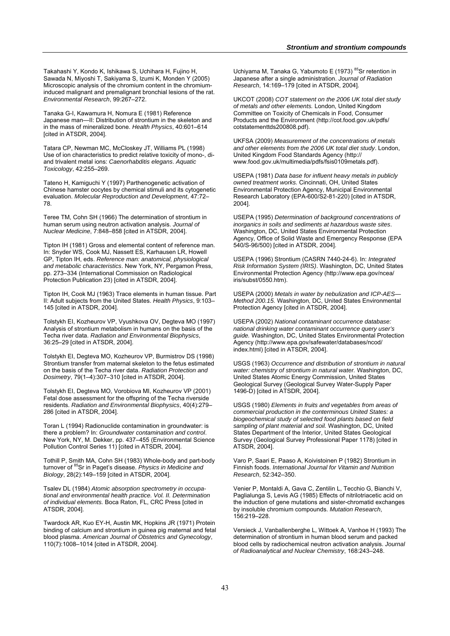Takahashi Y, Kondo K, Ishikawa S, Uchihara H, Fujino H, Sawada N, Miyoshi T, Sakiyama S, Izumi K, Monden Y (2005) Microscopic analysis of the chromium content in the chromiuminduced malignant and premalignant bronchial lesions of the rat. *Environmental Research*, 99:267–272.

Tanaka G-I, Kawamura H, Nomura E (1981) Reference Japanese man—II: Distribution of strontium in the skeleton and in the mass of mineralized bone. *Health Physics*, 40:601–614 [cited in ATSDR, 2004].

Tatara CP, Newman MC, McCloskey JT, Williams PL (1998) Use of ion characteristics to predict relative toxicity of mono-, diand trivalent metal ions: *Caenorhabditis elegans*. *Aquatic Toxicology*, 42:255–269.

Tateno H, Kamiguchi Y (1997) Parthenogenetic activation of Chinese hamster oocytes by chemical stimuli and its cytogenetic evaluation. *Molecular Reproduction and Development*, 47:72– 78.

Teree TM, Cohn SH (1966) The determination of strontium in human serum using neutron activation analysis. *Journal of Nuclear Medicine*, 7:848–858 [cited in ATSDR, 2004].

Tipton IH (1981) Gross and elemental content of reference man. In: Snyder WS, Cook MJ, Nassett ES, Karhausen LR, Howell GP, Tipton IH, eds. *Reference man: anatomical, physiological and metabolic characteristics*. New York, NY, Pergamon Press, pp. 273–334 (International Commission on Radiological Protection Publication 23) [cited in ATSDR, 2004].

Tipton IH, Cook MJ (1963) Trace elements in human tissue. Part II: Adult subjects from the United States. *Health Physics*, 9:103– 145 [cited in ATSDR, 2004].

Tolstykh EI, Kozheurov VP, Vyushkova OV, Degteva MO (1997) Analysis of strontium metabolism in humans on the basis of the Techa river data. *Radiation and Environmental Biophysics*, 36:25–29 [cited in ATSDR, 2004].

Tolstykh EI, Degteva MO, Kozheurov VP, Burmistrov DS (1998) Strontium transfer from maternal skeleton to the fetus estimated on the basis of the Techa river data. *Radiation Protection and Dosimetry*, 79(1–4):307–310 [cited in ATSDR, 2004].

Tolstykh EI, Degteva MO, Vorobiova MI, Kozheurov VP (2001) Fetal dose assessment for the offspring of the Techa riverside residents. *Radiation and Environmental Biophysics*, 40(4):279– 286 [cited in ATSDR, 2004].

Toran L (1994) Radionuclide contamination in groundwater: is there a problem? In: *Groundwater contamination and control*. New York, NY, M. Dekker, pp. 437–455 (Environmental Science Pollution Control Series 11) [cited in ATSDR, 2004].

Tothill P, Smith MA, Cohn SH (1983) Whole-body and part-body turnover of 85Sr in Paget's disease. *Physics in Medicine and Biology*, 28(2):149–159 [cited in ATSDR, 2004].

Tsalev DL (1984) *Atomic absorption spectrometry in occupational and environmental health practice. Vol. II. Determination of individual elements.* Boca Raton, FL, CRC Press [cited in ATSDR, 2004].

Twardock AR, Kuo EY-H, Austin MK, Hopkins JR (1971) Protein binding of calcium and strontium in guinea pig maternal and fetal blood plasma. *American Journal of Obstetrics and Gynecology*, 110(7):1008–1014 [cited in ATSDR, 2004].

Uchiyama M, Tanaka G, Yabumoto E (1973)  $85$  retention in Japanese after a single administration. *Journal of Radiation Research*, 14:169–179 [cited in ATSDR, 2004].

UKCOT (2008) *COT statement on the 2006 UK total diet study of metals and other elements.* London, United Kingdom Committee on Toxicity of Chemicals in Food, Consumer Products and the Environment (http://cot.food.gov.uk/pdfs/ cotstatementtds200808.pdf).

UKFSA (2009) *Measurement of the concentrations of metals and other elements from the 2006 UK total diet study*. London, United Kingdom Food Standards Agency (http:// www.food.gov.uk/multimedia/pdfs/fsis0109metals.pdf).

USEPA (1981) *Data base for influent heavy metals in publicly owned treatment works.* Cincinnati, OH, United States Environmental Protection Agency, Municipal Environmental Research Laboratory (EPA-600/S2-81-220) [cited in ATSDR, 2004].

USEPA (1995) *Determination of background concentrations of inorganics in soils and sediments at hazardous waste sites*. Washington, DC, United States Environmental Protection Agency, Office of Solid Waste and Emergency Response (EPA 540/S-96/500) [cited in ATSDR, 2004].

USEPA (1996) Strontium (CASRN 7440-24-6). In: *Integrated Risk Information System (IRIS)*. Washington, DC, United States Environmental Protection Agency (http://www.epa.gov/ncea/ iris/subst/0550.htm).

USEPA (2000) *Metals in water by nebulization and ICP-AES— Method 200.15.* Washington, DC, United States Environmental Protection Agency [cited in ATSDR, 2004].

USEPA (2002) *National contaminant occurrence database: national drinking water contaminant occurrence query user's guide.* Washington, DC, United States Environmental Protection Agency (http://www.epa.gov/safewater/databases/ncod/ index.html) [cited in ATSDR, 2004].

USGS (1963) *Occurrence and distribution of strontium in natural water: chemistry of strontium in natural water.* Washington, DC, United States Atomic Energy Commission, United States Geological Survey (Geological Survey Water-Supply Paper<br>1496-D) [cited in ATSDR, 2004].

USGS (1980) *Elements in fruits and vegetables from areas of commercial production in the conterminous United States: a biogeochemical study of selected food plants based on field sampling of plant material and soil.* Washington, DC, United States Department of the Interior, United States Geological Survey (Geological Survey Professional Paper 1178) [cited in ATSDR, 2004].

Varo P, Saari E, Paaso A, Koivistoinen P (1982) Strontium in Finnish foods. *International Journal for Vitamin and Nutrition Research*, 52:342–350.

Venier P, Montaldi A, Gava C, Zentilin L, Tecchio G, Bianchi V, Paglialunga S, Levis AG (1985) Effects of nitrilotriacetic acid on the induction of gene mutations and sister-chromatid exchanges by insoluble chromium compounds. *Mutation Research*, 156:219–228.

Versieck J, Vanballenberghe L, Wittoek A, Vanhoe H (1993) The determination of strontium in human blood serum and packed blood cells by radiochemical neutron activation analysis. *Journal of Radioanalytical and Nuclear Chemistry*, 168:243–248.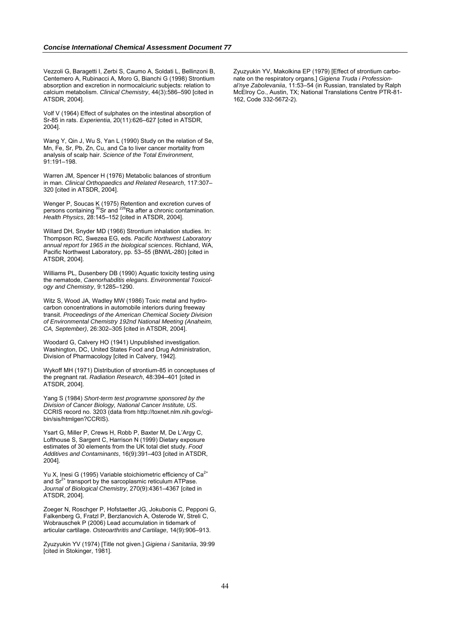Vezzoli G, Baragetti I, Zerbi S, Caumo A, Soldati L, Bellinzoni B, Centemero A, Rubinacci A, Moro G, Bianchi G (1998) Strontium absorption and excretion in normocalciuric subjects: relation to calcium metabolism. *Clinical Chemistry*, 44(3):586–590 [cited in ATSDR, 2004].

Volf V (1964) Effect of sulphates on the intestinal absorption of Sr-85 in rats. *Experientia*, 20(11):626–627 [cited in ATSDR, 2004].

Wang Y, Qin J, Wu S, Yan L (1990) Study on the relation of Se, Mn, Fe, Sr, Pb, Zn, Cu, and Ca to liver cancer mortality from analysis of scalp hair. *Science of the Total Environment*, 91:191–198.

Warren JM, Spencer H (1976) Metabolic balances of strontium in man. *Clinical Orthopaedics and Related Research*, 117:307– 320 [cited in ATSDR, 2004].

Wenger P, Soucas K (1975) Retention and excretion curves of<br>persons containing <sup>90</sup>Sr and <sup>226</sup>Ra after a chronic contamination. *Health Physics*, 28:145–152 [cited in ATSDR, 2004].

Willard DH, Snyder MD (1966) Strontium inhalation studies. In: Thompson RC, Swezea EG, eds. *Pacific Northwest Laboratory annual report for 1965 in the biological sciences*. Richland, WA, Pacific Northwest Laboratory, pp. 53–55 (BNWL-280) [cited in ATSDR, 2004].

Williams PL, Dusenbery DB (1990) Aquatic toxicity testing using the nematode, *Caenorhabditis elegans*. *Environmental Toxicology and Chemistry*, 9:1285–1290.

Witz S, Wood JA, Wadley MW (1986) Toxic metal and hydrocarbon concentrations in automobile interiors during freeway transit. *Proceedings of the American Chemical Society Division of Environmental Chemistry 192nd National Meeting (Anaheim, CA, September)*, 26:302–305 [cited in ATSDR, 2004].

Woodard G, Calvery HO (1941) Unpublished investigation. Washington, DC, United States Food and Drug Administration, Division of Pharmacology [cited in Calvery, 1942].

Wykoff MH (1971) Distribution of strontium-85 in conceptuses of the pregnant rat. *Radiation Research*, 48:394–401 [cited in ATSDR, 2004].

Yang S (1984) *Short-term test programme sponsored by the Division of Cancer Biology, National Cancer Institute, US*. CCRIS record no. 3203 (data from http://toxnet.nlm.nih.gov/cgibin/sis/htmlgen?CCRIS).

Ysart G, Miller P, Crews H, Robb P, Baxter M, De L'Argy C, Lofthouse S, Sargent C, Harrison N (1999) Dietary exposure estimates of 30 elements from the UK total diet study. *Food Additives and Contaminants*, 16(9):391–403 [cited in ATSDR, 2004].

Yu X, Inesi G (1995) Variable stoichiometric efficiency of  $Ca^{2+}$ and  $Sr<sup>2+</sup>$  transport by the sarcoplasmic reticulum ATPase. *Journal of Biological Chemistry*, 270(9):4361–4367 [cited in ATSDR, 2004].

Zoeger N, Roschger P, Hofstaetter JG, Jokubonis C, Pepponi G, Falkenberg G, Fratzl P, Berzlanovich A, Osterode W, Streli C, Wobrauschek P (2006) Lead accumulation in tidemark of articular cartilage. *Osteoarthritis and Cartilage*, 14(9):906–913.

Zyuzyukin YV (1974) [Title not given.] *Gigiena i Sanitariia*, 39:99 [cited in Stokinger, 1981].

Zyuzyukin YV, Makolkina EP (1979) [Effect of strontium carbonate on the respiratory organs.] *Gigiena Truda i Professional'nye Zabolevaniia*, 11:53–54 (in Russian, translated by Ralph McElroy Co., Austin, TX; National Translations Centre PTR-81- 162, Code 332-5672-2).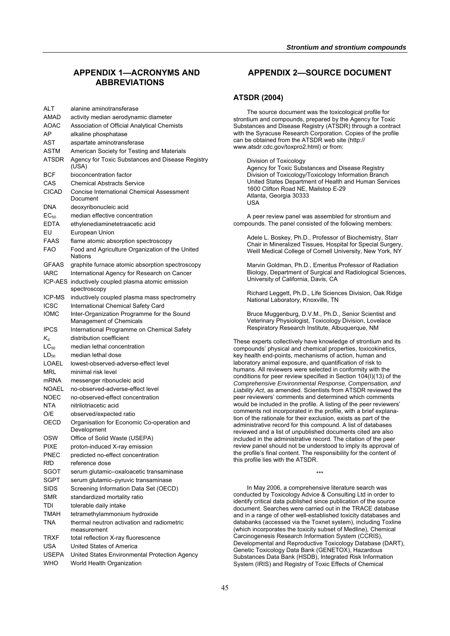## **APPENDIX 1—ACRONYMS AND ABBREVIATIONS**

| <b>ALT</b>                           | alanine aminotransferase                                              | The source document was the toxicological profile for-                                                                                                                                     |
|--------------------------------------|-----------------------------------------------------------------------|--------------------------------------------------------------------------------------------------------------------------------------------------------------------------------------------|
| AMAD                                 | activity median aerodynamic diameter                                  | strontium and compounds, prepared by the Agency for To                                                                                                                                     |
| <b>AOAC</b>                          | Association of Official Analytical Chemists                           | Substances and Disease Registry (ATSDR) through a co                                                                                                                                       |
| AΡ                                   | alkaline phosphatase                                                  | with the Syracuse Research Corporation. Copies of the p                                                                                                                                    |
| AST                                  | aspartate aminotransferase                                            | can be obtained from the ATSDR web site (http://                                                                                                                                           |
| <b>ASTM</b>                          | American Society for Testing and Materials                            | www.atsdr.cdc.gov/toxpro2.html) or from:                                                                                                                                                   |
| ATSDR                                | Agency for Toxic Substances and Disease Registry<br>(USA)             | Division of Toxicology<br>Agency for Toxic Substances and Disease Registry                                                                                                                 |
| BCF                                  | bioconcentration factor                                               | Division of Toxicology/Toxicology Information Brand                                                                                                                                        |
| CAS                                  | <b>Chemical Abstracts Service</b>                                     | United States Department of Health and Human Sei                                                                                                                                           |
| <b>CICAD</b>                         | Concise International Chemical Assessment<br>Document                 | 1600 Clifton Road NE, Mailstop E-29<br>Atlanta, Georgia 30333<br>USA                                                                                                                       |
| DNA                                  | deoxyribonucleic acid                                                 |                                                                                                                                                                                            |
| $EC_{50}$                            | median effective concentration                                        | A peer review panel was assembled for strontium at                                                                                                                                         |
| <b>EDTA</b>                          | ethylenediaminetetraacetic acid                                       | compounds. The panel consisted of the following membe                                                                                                                                      |
| EU                                   | European Union                                                        |                                                                                                                                                                                            |
| <b>FAAS</b>                          | flame atomic absorption spectroscopy                                  | Adele L. Boskey, Ph.D., Professor of Biochemistry,<br>Chair in Mineralized Tissues, Hospital for Special St                                                                                |
| <b>FAO</b>                           | Food and Agriculture Organization of the United<br>Nations            | Weill Medical College of Cornell University, New Yo                                                                                                                                        |
| <b>GFAAS</b>                         | graphite furnace atomic absorption spectroscopy                       | Marvin Goldman, Ph.D., Emeritus Professor of Radi                                                                                                                                          |
| <b>IARC</b>                          | International Agency for Research on Cancer                           | Biology, Department of Surgical and Radiological So                                                                                                                                        |
|                                      | ICP-AES inductively coupled plasma atomic emission<br>spectroscopy    | University of California, Davis, CA<br>Richard Leggett, Ph.D., Life Sciences Division, Oak                                                                                                 |
| ICP-MS                               | inductively coupled plasma mass spectrometry                          | National Laboratory, Knoxville, TN                                                                                                                                                         |
| <b>ICSC</b>                          | International Chemical Safety Card                                    |                                                                                                                                                                                            |
| <b>IOMC</b>                          | Inter-Organization Programme for the Sound<br>Management of Chemicals | Bruce Muggenburg, D.V.M., Ph.D., Senior Scientist<br>Veterinary Physiologist, Toxicology Division, Lovela                                                                                  |
| <b>IPCS</b>                          | International Programme on Chemical Safety                            | Respiratory Research Institute, Albuquerque, NM                                                                                                                                            |
| $\kappa_{\!\scriptscriptstyle\rm d}$ | distribution coefficient                                              | These experts collectively have knowledge of strontium a                                                                                                                                   |
| $LC_{50}$                            | median lethal concentration                                           | compounds' physical and chemical properties, toxicokine                                                                                                                                    |
| $LD_{50}$                            | median lethal dose                                                    | key health end-points, mechanisms of action, human and                                                                                                                                     |
| LOAEL                                | lowest-observed-adverse-effect level                                  | laboratory animal exposure, and quantification of risk to                                                                                                                                  |
| <b>MRL</b>                           | minimal risk level                                                    | humans. All reviewers were selected in conformity with the                                                                                                                                 |
| <b>mRNA</b>                          | messenger ribonucleic acid                                            | conditions for peer review specified in Section 104(I)(13)<br>Comprehensive Environmental Response, Compensation                                                                           |
| <b>NOAEL</b>                         | no-observed-adverse-effect level                                      | Liability Act, as amended. Scientists from ATSDR review                                                                                                                                    |
| <b>NOEC</b>                          | no-observed-effect concentration                                      | peer reviewers' comments and determined which comme                                                                                                                                        |
| NTA                                  | nitrilotriacetic acid                                                 | would be included in the profile. A listing of the peer revie                                                                                                                              |
| O/E                                  | observed/expected ratio                                               | comments not incorporated in the profile, with a brief exp                                                                                                                                 |
| OECD                                 | Organisation for Economic Co-operation and<br>Development             | tion of the rationale for their exclusion, exists as part of the<br>administrative record for this compound. A list of databas<br>reviewed and a list of unpublished documents cited are a |
| <b>OSW</b>                           | Office of Solid Waste (USEPA)                                         | included in the administrative record. The citation of the p                                                                                                                               |
| <b>PIXE</b>                          | proton-induced X-ray emission                                         | review panel should not be understood to imply its appro                                                                                                                                   |
| <b>PNEC</b>                          | predicted no-effect concentration                                     | the profile's final content. The responsibility for the conter                                                                                                                             |
| RfD                                  | reference dose                                                        | this profile lies with the ATSDR.                                                                                                                                                          |
| SGOT                                 | serum glutamic-oxaloacetic transaminase                               | ***                                                                                                                                                                                        |
| <b>SGPT</b>                          | serum glutamic-pyruvic transaminase                                   |                                                                                                                                                                                            |
| <b>SIDS</b>                          | Screening Information Data Set (OECD)                                 | In May 2006, a comprehensive literature search was                                                                                                                                         |
| <b>SMR</b>                           | standardized mortality ratio                                          | conducted by Toxicology Advice & Consulting Ltd in orde                                                                                                                                    |
| TDI                                  | tolerable daily intake                                                | identify critical data published since publication of the sourch<br>document. Searches were carried out in the TRACE data                                                                  |
| <b>TMAH</b>                          | tetramethylammonium hydroxide                                         | and in a range of other well-established toxicity database                                                                                                                                 |
| TNA                                  | thermal neutron activation and radiometric                            | databanks (accessed via the Toxnet system), including T                                                                                                                                    |
|                                      | measurement                                                           | (which incorporates the toxicity subset of Medline), Chem                                                                                                                                  |
| <b>TRXF</b>                          | total reflection X-ray fluorescence                                   | Carcinogenesis Research Information System (CCRIS),                                                                                                                                        |
| USA                                  | United States of America                                              | Developmental and Reproductive Toxicology Database (<br>Genetic Toxicology Data Bank (GENETOX), Hazardous                                                                                  |
| <b>USEPA</b>                         | United States Environmental Protection Agency                         | Substances Data Bank (HSDB), Integrated Risk Informat                                                                                                                                      |
| <b>WHO</b>                           | World Health Organization                                             | System (IRIS) and Registry of Toxic Effects of Chemical                                                                                                                                    |

#### **APPENDIX 2—SOURCE DOCUMENT**

#### **ATSDR (2004)**

The source document was the toxicological profile for strontium and compounds, prepared by the Agency for Toxic Substances and Disease Registry (ATSDR) through a contract with the Syracuse Research Corporation. Copies of the profile can be obtained from the ATSDR web site (http:// www.atsdr.cdc.gov/toxpro2.html) or from:

Division of Toxicology/Toxicology Information Branch United States Department of Health and Human Services 1600 Clifton Road NE, Mailstop E-29 Atlanta, Georgia 30333 USA

Adele L. Boskey, Ph.D., Professor of Biochemistry, Starr Chair in Mineralized Tissues, Hospital for Special Surgery, Weill Medical College of Cornell University, New York, NY

Marvin Goldman, Ph.D., Emeritus Professor of Radiation Biology, Department of Surgical and Radiological Sciences, University of California, Davis, CA

Richard Leggett, Ph.D., Life Sciences Division, Oak Ridge National Laboratory, Knoxville, TN

Bruce Muggenburg, D.V.M., Ph.D., Senior Scientist and Veterinary Physiologist, Toxicology Division, Lovelace Respiratory Research Institute, Albuquerque, NM

These experts collectively have knowledge of strontium and its compounds' physical and chemical properties, toxicokinetics, key health end-points, mechanisms of action, human and laboratory animal exposure, and quantification of risk to humans. All reviewers were selected in conformity with the conditions for peer review specified in Section 104(I)(13) of the *Comprehensive Environmental Response, Compensation, and Liability Act*, as amended. Scientists from ATSDR reviewed the peer reviewers' comments and determined which comments would be included in the profile. A listing of the peer reviewers' comments not incorporated in the profile, with a brief explanation of the rationale for their exclusion, exists as part of the administrative record for this compound. A list of databases reviewed and a list of unpublished documents cited are also included in the administrative record. The citation of the peer review panel should not be understood to imply its approval of the profile's final content. The responsibility for the content of this profile lies with the ATSDR.

 In May 2006, a comprehensive literature search was conducted by Toxicology Advice & Consulting Ltd in order to identify critical data published since publication of the source document. Searches were carried out in the TRACE database and in a range of other well-established toxicity databases and databanks (accessed via the Toxnet system), including Toxline (which incorporates the toxicity subset of Medline), Chemical Carcinogenesis Research Information System (CCRIS), Developmental and Reproductive Toxicology Database (DART), Genetic Toxicology Data Bank (GENETOX), Hazardous Substances Data Bank (HSDB), Integrated Risk Information System (IRIS) and Registry of Toxic Effects of Chemical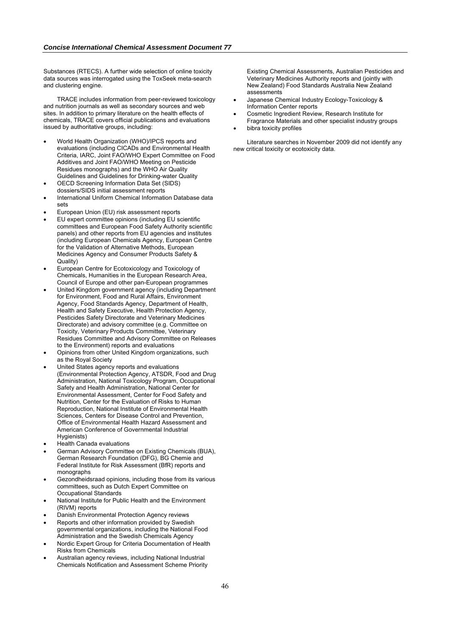Substances (RTECS). A further wide selection of online toxicity data sources was interrogated using the ToxSeek meta-search and clustering engine.

TRACE includes information from peer-reviewed toxicology and nutrition journals as well as secondary sources and web sites. In addition to primary literature on the health effects of chemicals, TRACE covers official publications and evaluations issued by authoritative groups, including:

- World Health Organization (WHO)/IPCS reports and evaluations (including CICADs and Environmental Health Criteria, IARC, Joint FAO/WHO Expert Committee on Food Additives and Joint FAO/WHO Meeting on Pesticide Residues monographs) and the WHO Air Quality Guidelines and Guidelines for Drinking-water Quality
- OECD Screening Information Data Set (SIDS) dossiers/SIDS initial assessment reports
- International Uniform Chemical Information Database data sets
- European Union (EU) risk assessment reports
- EU expert committee opinions (including EU scientific committees and European Food Safety Authority scientific panels) and other reports from EU agencies and institutes (including European Chemicals Agency, European Centre for the Validation of Alternative Methods, European Medicines Agency and Consumer Products Safety & Quality)
- European Centre for Ecotoxicology and Toxicology of Chemicals, Humanities in the European Research Area, Council of Europe and other pan-European programmes
- United Kingdom government agency (including Department for Environment, Food and Rural Affairs, Environment Agency, Food Standards Agency, Department of Health, Health and Safety Executive, Health Protection Agency, Pesticides Safety Directorate and Veterinary Medicines Directorate) and advisory committee (e.g. Committee on Toxicity, Veterinary Products Committee, Veterinary Residues Committee and Advisory Committee on Releases to the Environment) reports and evaluations
- Opinions from other United Kingdom organizations, such as the Royal Society
- United States agency reports and evaluations (Environmental Protection Agency, ATSDR, Food and Drug Administration, National Toxicology Program, Occupational Safety and Health Administration, National Center for Environmental Assessment, Center for Food Safety and Nutrition, Center for the Evaluation of Risks to Human Reproduction, National Institute of Environmental Health Sciences, Centers for Disease Control and Prevention, Office of Environmental Health Hazard Assessment and American Conference of Governmental Industrial Hygienists)
- Health Canada evaluations
- German Advisory Committee on Existing Chemicals (BUA), German Research Foundation (DFG), BG Chemie and Federal Institute for Risk Assessment (BfR) reports and monographs
- Gezondheidsraad opinions, including those from its various committees, such as Dutch Expert Committee on Occupational Standards
- National Institute for Public Health and the Environment (RIVM) reports
- Danish Environmental Protection Agency reviews
- Reports and other information provided by Swedish governmental organizations, including the National Food Administration and the Swedish Chemicals Agency
- Nordic Expert Group for Criteria Documentation of Health Risks from Chemicals
- Australian agency reviews, including National Industrial Chemicals Notification and Assessment Scheme Priority

Existing Chemical Assessments, Australian Pesticides and Veterinary Medicines Authority reports and (jointly with New Zealand) Food Standards Australia New Zealand assessments

- Japanese Chemical Industry Ecology-Toxicology & Information Center reports
- Cosmetic Ingredient Review, Research Institute for
- Fragrance Materials and other specialist industry groups bibra toxicity profiles

Literature searches in November 2009 did not identify any new critical toxicity or ecotoxicity data.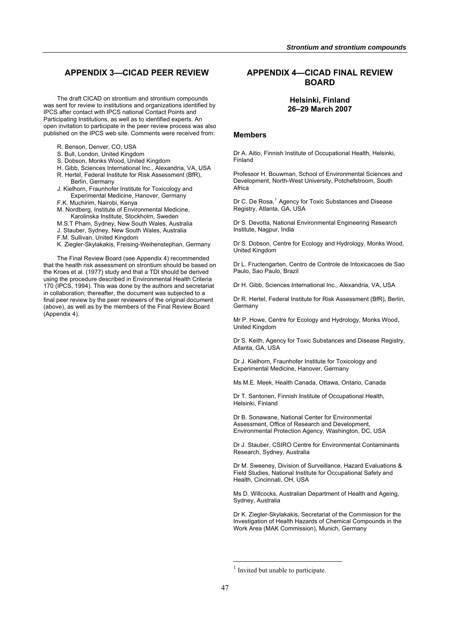## <span id="page-50-0"></span>**APPENDIX 3—CICAD PEER REVIEW APPENDIX 4—CICAD FINAL REVIEW**

 The draft CICAD on strontium and strontium compounds was sent for review to institutions and organizations identified by IPCS after contact with IPCS national Contact Points and Participating Institutions, as well as to identified experts. An open invitation to participate in the peer review process was also published on the IPCS web site. Comments were received from:

- R. Benson, Denver, CO, USA
- S. Bull, London, United Kingdom
- S. Dobson, Monks Wood, United Kingdom
- H. Gibb, Sciences International Inc., Alexandria, VA, USA
- R. Hertel, Federal Institute for Risk Assessment (BfR),
- Berlin, Germany
- J. Kielhorn, Fraunhofer Institute for Toxicology and
- F.K. Muchirim, Nairobi, Kenya
- M. Nordberg, Institute of Environmental Medicine, Karolinska Institute, Stockholm, Sweden
- M.S.T Pham, Sydney, New South Wales, Australia
- J. Stauber, Sydney, New South Wales, Australia
- F.M. Sullivan, United Kingdom
- 
- K. Ziegler-Skylakakis, Freising-Weihenstephan, Germany

The Final Review Board (see Appendix 4) recommended that the health risk assessment on strontium should be based on the Kroes et al. (1977) study and that a TDI should be derived using the procedure described in Environmental Health Criteria 170 (IPCS, 1994). This was done by the authors and secretariat in collaboration; thereafter, the document was subjected to a final peer review by the peer reviewers of the original document (above), as well as by the members of the Final Review Board (Appendix 4).

# **BOARD**

#### **Helsinki, Finland 26–29 March 2007**

#### **Members**

Dr A. Aitio, Finnish Institute of Occupational Health, Helsinki, Finland

Professor H. Bouwman, School of Environmental Sciences and Development, North-West University, Potchefstroom, South Africa

Dr C. De Rosa,<sup>[1](#page-50-0)</sup> Agency for Toxic Substances and Disease Registry, Atlanta, GA, USA

Dr S. Devotta, National Environmental Engineering Research Institute, Nagpur, India

Dr S. Dobson, Centre for Ecology and Hydrology, Monks Wood, United Kingdom

Dr L. Fructengarten, Centro de Controle de Intoxicacoes de Sao Paulo, Sao Paulo, Brazil

Dr H. Gibb, Sciences International Inc., Alexandria, VA, USA

Dr R. Hertel, Federal Institute for Risk Assessment (BfR), Berlin, Germany

Mr P. Howe, Centre for Ecology and Hydrology, Monks Wood, United Kingdom

Dr S. Keith, Agency for Toxic Substances and Disease Registry, Atlanta, GA, USA

Dr J. Kielhorn, Fraunhofer Institute for Toxicology and Experimental Medicine, Hanover, Germany

Ms M.E. Meek, Health Canada, Ottawa, Ontario, Canada

Dr T. Santonen, Finnish Institute of Occupational Health, Helsinki, Finland

Dr B. Sonawane, National Center for Environmental Assessment, Office of Research and Development, Environmental Protection Agency, Washington, DC, USA

Dr J. Stauber, CSIRO Centre for Environmental Contaminants Research, Sydney, Australia

Dr M. Sweeney, Division of Surveillance, Hazard Evaluations & Field Studies, National Institute for Occupational Safety and Health, Cincinnati, OH, USA

Ms D. Willcocks, Australian Department of Health and Ageing, Sydney, Australia

Dr K. Ziegler-Skylakakis, Secretariat of the Commission for the Investigation of Health Hazards of Chemical Compounds in the Work Area (MAK Commission), Munich, Germany

1

 $<sup>1</sup>$  Invited but unable to participate.</sup>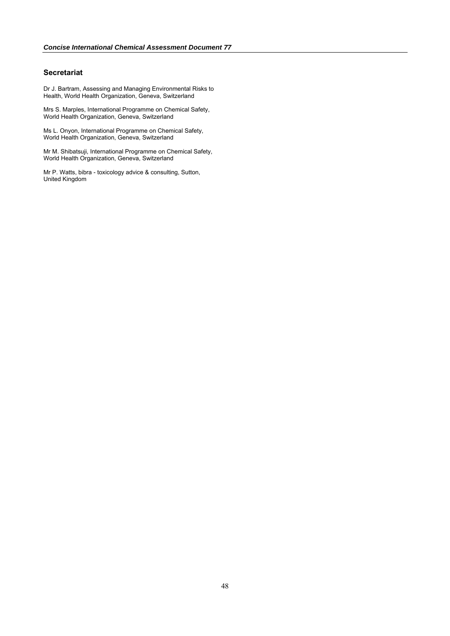#### **Secretariat**

Dr J. Bartram, Assessing and Managing Environmental Risks to Health, World Health Organization, Geneva, Switzerland

Mrs S. Marples, International Programme on Chemical Safety, World Health Organization, Geneva, Switzerland

Ms L. Onyon, International Programme on Chemical Safety, World Health Organization, Geneva, Switzerland

Mr M. Shibatsuji, International Programme on Chemical Safety, World Health Organization, Geneva, Switzerland

Mr P. Watts, bibra - toxicology advice & consulting, Sutton, United Kingdom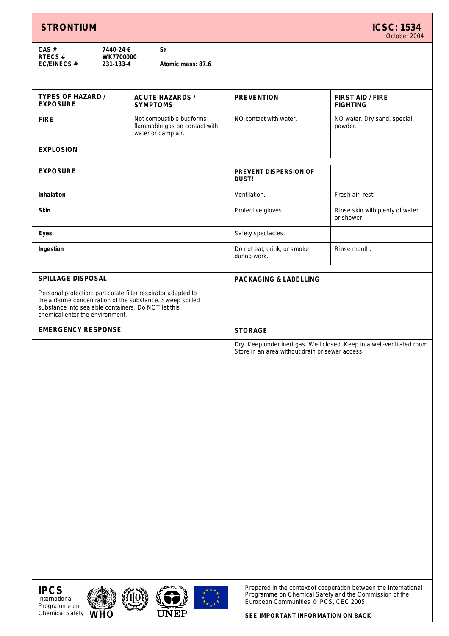# **STRONTIUM ICSC: 1534**

| CAS#<br>7440-24-6<br>RTECS#<br>WK7700000<br><b>EC/EINECS#</b><br>231-133-4                                                                                                                                            | Sr<br>Atomic mass: 87.6                                                          |                                                 |                                                                         |  |
|-----------------------------------------------------------------------------------------------------------------------------------------------------------------------------------------------------------------------|----------------------------------------------------------------------------------|-------------------------------------------------|-------------------------------------------------------------------------|--|
| <b>TYPES OF HAZARD /</b><br><b>EXPOSURE</b>                                                                                                                                                                           | <b>ACUTE HAZARDS /</b><br><b>SYMPTOMS</b>                                        | <b>PREVENTION</b>                               | <b>FIRST AID / FIRE</b><br><b>FIGHTING</b>                              |  |
| <b>FIRE</b>                                                                                                                                                                                                           | Not combustible but forms<br>flammable gas on contact with<br>water or damp air. | NO contact with water.                          | NO water. Dry sand, special<br>powder.                                  |  |
| <b>EXPLOSION</b>                                                                                                                                                                                                      |                                                                                  |                                                 |                                                                         |  |
| <b>EXPOSURE</b>                                                                                                                                                                                                       |                                                                                  | PREVENT DISPERSION OF<br><b>DUST!</b>           |                                                                         |  |
| Inhalation                                                                                                                                                                                                            |                                                                                  | Ventilation.                                    | Fresh air, rest.                                                        |  |
| Skin                                                                                                                                                                                                                  |                                                                                  | Protective gloves.                              | Rinse skin with plenty of water<br>or shower.                           |  |
| Eyes                                                                                                                                                                                                                  |                                                                                  | Safety spectacles.                              |                                                                         |  |
| Ingestion                                                                                                                                                                                                             |                                                                                  | Do not eat, drink, or smoke<br>during work.     | Rinse mouth.                                                            |  |
| SPILLAGE DISPOSAL                                                                                                                                                                                                     |                                                                                  | <b>PACKAGING &amp; LABELLING</b>                |                                                                         |  |
| Personal protection: particulate filter respirator adapted to<br>the airborne concentration of the substance. Sweep spilled<br>substance into sealable containers. Do NOT let this<br>chemical enter the environment. |                                                                                  |                                                 |                                                                         |  |
| <b>EMERGENCY RESPONSE</b>                                                                                                                                                                                             |                                                                                  | <b>STORAGE</b>                                  |                                                                         |  |
|                                                                                                                                                                                                                       |                                                                                  | Store in an area without drain or sewer access. | Dry. Keep under inert gas. Well closed. Keep in a well-ventilated room. |  |



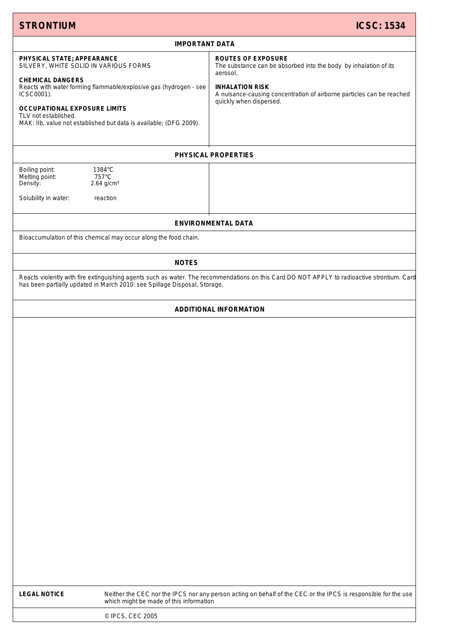# **STRONTIUM ICSC: 1534**

| <b>IMPORTANT DATA</b>                                                                          |                                                                           |                                                                                                                                             |  |
|------------------------------------------------------------------------------------------------|---------------------------------------------------------------------------|---------------------------------------------------------------------------------------------------------------------------------------------|--|
| PHYSICAL STATE; APPEARANCE<br>SILVERY, WHITE SOLID IN VARIOUS FORMS<br><b>CHEMICAL DANGERS</b> |                                                                           | <b>ROUTES OF EXPOSURE</b><br>The substance can be absorbed into the body by inhalation of its<br>aerosol.                                   |  |
| ICSC0001).<br><b>OCCUPATIONAL EXPOSURE LIMITS</b>                                              | Reacts with water forming flammable/explosive gas (hydrogen - see         | <b>INHALATION RISK</b><br>A nuisance-causing concentration of airborne particles can be reached<br>quickly when dispersed.                  |  |
| TLV not established.                                                                           | MAK: IIb, value not established but data is available; (DFG 2009).        |                                                                                                                                             |  |
|                                                                                                |                                                                           | PHYSICAL PROPERTIES                                                                                                                         |  |
| Boiling point:<br>Melting point:<br>Density:                                                   | 1384°C<br>757°C<br>$2.64$ g/cm <sup>3</sup>                               |                                                                                                                                             |  |
| Solubility in water:                                                                           | reaction                                                                  |                                                                                                                                             |  |
|                                                                                                |                                                                           | <b>ENVIRONMENTAL DATA</b>                                                                                                                   |  |
|                                                                                                | Bioaccumulation of this chemical may occur along the food chain.          |                                                                                                                                             |  |
|                                                                                                | <b>NOTES</b>                                                              |                                                                                                                                             |  |
|                                                                                                | has been partially updated in March 2010: see Spillage Disposal, Storage. | Reacts violently with fire extinguishing agents such as water. The recommendations on this Card DO NOT APPLY to radioactive strontium. Card |  |
|                                                                                                |                                                                           | <b>ADDITIONAL INFORMATION</b>                                                                                                               |  |
|                                                                                                |                                                                           |                                                                                                                                             |  |
|                                                                                                |                                                                           |                                                                                                                                             |  |
|                                                                                                |                                                                           |                                                                                                                                             |  |
|                                                                                                |                                                                           |                                                                                                                                             |  |
|                                                                                                |                                                                           |                                                                                                                                             |  |
|                                                                                                |                                                                           |                                                                                                                                             |  |
|                                                                                                |                                                                           |                                                                                                                                             |  |
|                                                                                                |                                                                           |                                                                                                                                             |  |
|                                                                                                |                                                                           |                                                                                                                                             |  |
|                                                                                                |                                                                           |                                                                                                                                             |  |
|                                                                                                |                                                                           |                                                                                                                                             |  |
|                                                                                                |                                                                           |                                                                                                                                             |  |
|                                                                                                |                                                                           |                                                                                                                                             |  |
|                                                                                                |                                                                           |                                                                                                                                             |  |
|                                                                                                |                                                                           |                                                                                                                                             |  |
|                                                                                                |                                                                           |                                                                                                                                             |  |
|                                                                                                |                                                                           |                                                                                                                                             |  |
| <b>LEGAL NOTICE</b>                                                                            | which might be made of this information                                   | Neither the CEC nor the IPCS nor any person acting on behalf of the CEC or the IPCS is responsible for the use                              |  |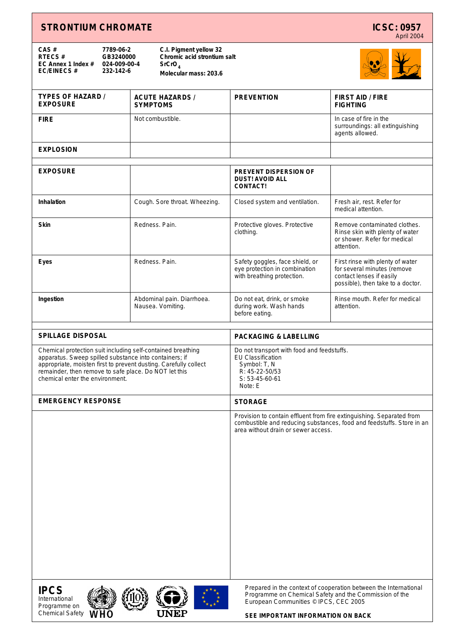# **STRONTIUM CHROMATE ICSC: 0957**

### **CAS # 7789-06-2 GB3240000**<br>024-009-00-4 **EC Annex 1 Index # 024-009-00<br>
<b>EC/EINECS #** 232-142-6 **EC/EINECS #**

**C.I. Pigment yellow 32 Chromic acid strontium salt SrCrO<sup>4</sup> Molecular mass: 203.6**



| <b>TYPES OF HAZARD /</b><br><b>EXPOSURE</b>                                                                                                                                                                                                                                           | <b>ACUTE HAZARDS /</b><br><b>SYMPTOMS</b>       | <b>PREVENTION</b>                                                                                                                | <b>FIRST AID / FIRE</b><br><b>FIGHTING</b>                                                                                       |
|---------------------------------------------------------------------------------------------------------------------------------------------------------------------------------------------------------------------------------------------------------------------------------------|-------------------------------------------------|----------------------------------------------------------------------------------------------------------------------------------|----------------------------------------------------------------------------------------------------------------------------------|
| <b>FIRE</b>                                                                                                                                                                                                                                                                           | Not combustible.                                |                                                                                                                                  | In case of fire in the<br>surroundings: all extinguishing<br>agents allowed.                                                     |
| <b>EXPLOSION</b>                                                                                                                                                                                                                                                                      |                                                 |                                                                                                                                  |                                                                                                                                  |
| <b>EXPOSURE</b>                                                                                                                                                                                                                                                                       |                                                 | <b>PREVENT DISPERSION OF</b><br><b>DUST! AVOID ALL</b><br><b>CONTACT!</b>                                                        |                                                                                                                                  |
| <b>Inhalation</b>                                                                                                                                                                                                                                                                     | Cough. Sore throat. Wheezing.                   | Closed system and ventilation.                                                                                                   | Fresh air, rest. Refer for<br>medical attention.                                                                                 |
| <b>Skin</b>                                                                                                                                                                                                                                                                           | Redness. Pain.                                  | Protective gloves. Protective<br>clothing.                                                                                       | Remove contaminated clothes.<br>Rinse skin with plenty of water<br>or shower. Refer for medical<br>attention.                    |
| <b>Eyes</b>                                                                                                                                                                                                                                                                           | Redness. Pain.                                  | Safety goggles, face shield, or<br>eye protection in combination<br>with breathing protection.                                   | First rinse with plenty of water<br>for several minutes (remove<br>contact lenses if easily<br>possible), then take to a doctor. |
| Ingestion                                                                                                                                                                                                                                                                             | Abdominal pain. Diarrhoea.<br>Nausea. Vomiting. | Do not eat, drink, or smoke<br>during work. Wash hands<br>before eating.                                                         | Rinse mouth. Refer for medical<br>attention.                                                                                     |
| <b>SPILLAGE DISPOSAL</b>                                                                                                                                                                                                                                                              |                                                 | <b>PACKAGING &amp; LABELLING</b>                                                                                                 |                                                                                                                                  |
| Chemical protection suit including self-contained breathing<br>apparatus. Sweep spilled substance into containers; if<br>appropriate, moisten first to prevent dusting. Carefully collect<br>remainder, then remove to safe place. Do NOT let this<br>chemical enter the environment. |                                                 | Do not transport with food and feedstuffs.<br>EU Classification<br>Symbol: T, N<br>R: 45-22-50/53<br>$S: 53-45-60-61$<br>Note: E |                                                                                                                                  |
| <b>EMERGENCY RESPONSE</b>                                                                                                                                                                                                                                                             |                                                 | <b>STORAGE</b>                                                                                                                   |                                                                                                                                  |
|                                                                                                                                                                                                                                                                                       |                                                 | Provision to contain effluent from fire extinguishing. Separated from<br>area without drain or sewer access.                     | combustible and reducing substances, food and feedstuffs. Store in an                                                            |
| <b>IPCS</b><br>International                                                                                                                                                                                                                                                          | $\gg$ (for (a)                                  | Programme on Chemical Safety and the Commission of the<br>European Communities © IDCS CEC 2005                                   | Prepared in the context of cooperation between the International                                                                 |

**AR** Programme on Chemical Safety WHO





Programme on Chemical Safety and the Commission of the European Communities © IPCS, CEC 2005

**SEE IMPORTANT INFORMATION ON BACK**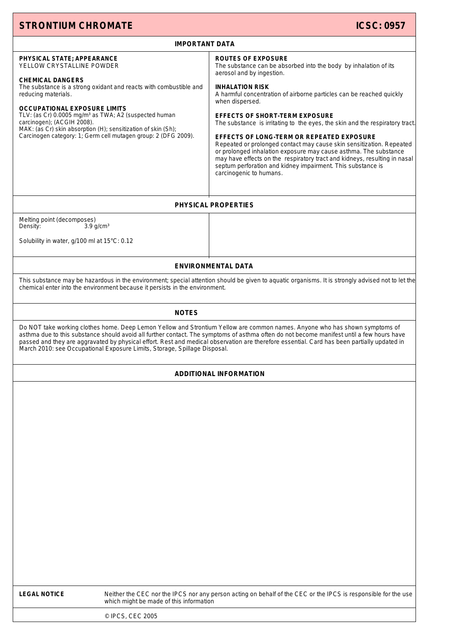| <b>STRONTIUM CHROMATE</b>                                                                                                                                                                                                                                                                                                                                                                                                                                   | <b>ICSC: 0957</b>                                                                                                                                                                                                                                                                                                                                                                                                                                                                                                                                                                                                                                                                                                                        |
|-------------------------------------------------------------------------------------------------------------------------------------------------------------------------------------------------------------------------------------------------------------------------------------------------------------------------------------------------------------------------------------------------------------------------------------------------------------|------------------------------------------------------------------------------------------------------------------------------------------------------------------------------------------------------------------------------------------------------------------------------------------------------------------------------------------------------------------------------------------------------------------------------------------------------------------------------------------------------------------------------------------------------------------------------------------------------------------------------------------------------------------------------------------------------------------------------------------|
| <b>IMPORTANT DATA</b>                                                                                                                                                                                                                                                                                                                                                                                                                                       |                                                                                                                                                                                                                                                                                                                                                                                                                                                                                                                                                                                                                                                                                                                                          |
| PHYSICAL STATE; APPEARANCE<br>YELLOW CRYSTALLINE POWDER<br><b>CHEMICAL DANGERS</b><br>The substance is a strong oxidant and reacts with combustible and<br>reducing materials.<br><b>OCCUPATIONAL EXPOSURE LIMITS</b><br>TLV: (as Cr) 0.0005 mg/m <sup>3</sup> as TWA; A2 (suspected human<br>carcinogen); (ACGIH 2008).<br>MAK: (as Cr) skin absorption (H); sensitization of skin (Sh);<br>Carcinogen category: 1; Germ cell mutagen group: 2 (DFG 2009). | <b>ROUTES OF EXPOSURE</b><br>The substance can be absorbed into the body by inhalation of its<br>aerosol and by ingestion.<br><b>INHALATION RISK</b><br>A harmful concentration of airborne particles can be reached quickly<br>when dispersed.<br><b>EFFECTS OF SHORT-TERM EXPOSURE</b><br>The substance is irritating to the eyes, the skin and the respiratory tract.<br>EFFECTS OF LONG-TERM OR REPEATED EXPOSURE<br>Repeated or prolonged contact may cause skin sensitization. Repeated<br>or prolonged inhalation exposure may cause asthma. The substance<br>may have effects on the respiratory tract and kidneys, resulting in nasal<br>septum perforation and kidney impairment. This substance is<br>carcinogenic to humans. |
|                                                                                                                                                                                                                                                                                                                                                                                                                                                             | <b>PHYSICAL PROPERTIES</b>                                                                                                                                                                                                                                                                                                                                                                                                                                                                                                                                                                                                                                                                                                               |
| Melting point (decomposes)<br>$3.9$ g/cm <sup>3</sup><br>Density:<br>Solubility in water, g/100 ml at 15°C: 0.12                                                                                                                                                                                                                                                                                                                                            |                                                                                                                                                                                                                                                                                                                                                                                                                                                                                                                                                                                                                                                                                                                                          |
|                                                                                                                                                                                                                                                                                                                                                                                                                                                             | <b>ENVIRONMENTAL DATA</b>                                                                                                                                                                                                                                                                                                                                                                                                                                                                                                                                                                                                                                                                                                                |
| chemical enter into the environment because it persists in the environment.                                                                                                                                                                                                                                                                                                                                                                                 | This substance may be hazardous in the environment; special attention should be given to aquatic organisms. It is strongly advised not to let the                                                                                                                                                                                                                                                                                                                                                                                                                                                                                                                                                                                        |
| <b>NOTES</b>                                                                                                                                                                                                                                                                                                                                                                                                                                                |                                                                                                                                                                                                                                                                                                                                                                                                                                                                                                                                                                                                                                                                                                                                          |
| March 2010: see Occupational Exposure Limits, Storage, Spillage Disposal.                                                                                                                                                                                                                                                                                                                                                                                   | Do NOT take working clothes home. Deep Lemon Yellow and Strontium Yellow are common names. Anyone who has shown symptoms of<br>asthma due to this substance should avoid all further contact. The symptoms of asthma often do not become manifest until a few hours have<br>passed and they are aggravated by physical effort. Rest and medical observation are therefore essential. Card has been partially updated in                                                                                                                                                                                                                                                                                                                  |
|                                                                                                                                                                                                                                                                                                                                                                                                                                                             | <b>ADDITIONAL INFORMATION</b>                                                                                                                                                                                                                                                                                                                                                                                                                                                                                                                                                                                                                                                                                                            |
|                                                                                                                                                                                                                                                                                                                                                                                                                                                             |                                                                                                                                                                                                                                                                                                                                                                                                                                                                                                                                                                                                                                                                                                                                          |

LEGAL NOTICE Neither the CEC nor the IPCS nor any person acting on behalf of the CEC or the IPCS is responsible for the use which might be made of this information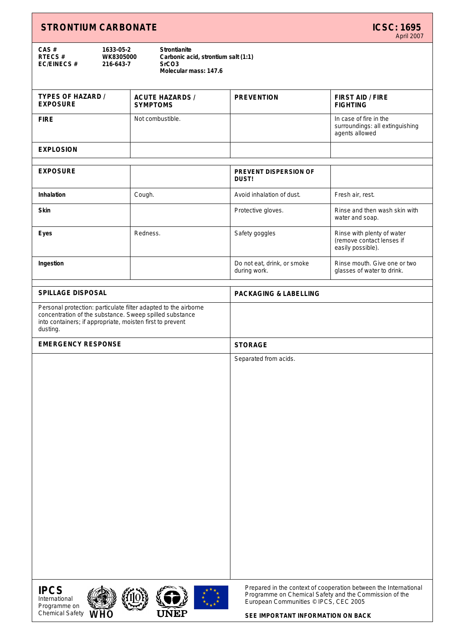# **STRONTIUM CARBONATE ICSC: 1695**

|                                                                                                                                                                                                     |                                           |                                             | $I$ $V$ $I$ $II$ $L$ $U$ $V$ $I$                                             |  |
|-----------------------------------------------------------------------------------------------------------------------------------------------------------------------------------------------------|-------------------------------------------|---------------------------------------------|------------------------------------------------------------------------------|--|
| CAS#<br>1633-05-2<br><b>Strontianite</b><br>RTECS#<br>Carbonic acid, strontium salt (1:1)<br>WK8305000<br><b>EC/EINECS #</b><br>216-643-7<br>SrCO <sub>3</sub><br>Molecular mass: 147.6             |                                           |                                             |                                                                              |  |
| <b>TYPES OF HAZARD /</b><br><b>EXPOSURE</b>                                                                                                                                                         | <b>ACUTE HAZARDS /</b><br><b>SYMPTOMS</b> | <b>PREVENTION</b>                           | <b>FIRST AID / FIRE</b><br><b>FIGHTING</b>                                   |  |
| <b>FIRE</b>                                                                                                                                                                                         | Not combustible.                          |                                             | In case of fire in the<br>surroundings: all extinguishing<br>agents allowed  |  |
| <b>EXPLOSION</b>                                                                                                                                                                                    |                                           |                                             |                                                                              |  |
| <b>EXPOSURE</b>                                                                                                                                                                                     |                                           | PREVENT DISPERSION OF<br><b>DUST!</b>       |                                                                              |  |
| Inhalation                                                                                                                                                                                          | Cough.                                    | Avoid inhalation of dust.                   | Fresh air, rest.                                                             |  |
| <b>Skin</b>                                                                                                                                                                                         |                                           | Protective gloves.                          | Rinse and then wash skin with<br>water and soap.                             |  |
| <b>Eyes</b>                                                                                                                                                                                         | Redness.                                  | Safety goggles                              | Rinse with plenty of water<br>(remove contact lenses if<br>easily possible). |  |
| Ingestion                                                                                                                                                                                           |                                           | Do not eat, drink, or smoke<br>during work. | Rinse mouth. Give one or two<br>glasses of water to drink.                   |  |
| <b>SPILLAGE DISPOSAL</b>                                                                                                                                                                            |                                           | <b>PACKAGING &amp; LABELLING</b>            |                                                                              |  |
| Personal protection: particulate filter adapted to the airborne<br>concentration of the substance. Sweep spilled substance<br>into containers; if appropriate, moisten first to prevent<br>dusting. |                                           |                                             |                                                                              |  |
| <b>EMERGENCY RESPONSE</b>                                                                                                                                                                           |                                           | <b>STORAGE</b>                              |                                                                              |  |
|                                                                                                                                                                                                     |                                           | Separated from acids.                       |                                                                              |  |





Prepared in the context of cooperation between the International Programme on Chemical Safety and the Commission of the European Communities © IPCS, CEC 2005

**SEE IMPORTANT INFORMATION ON BACK**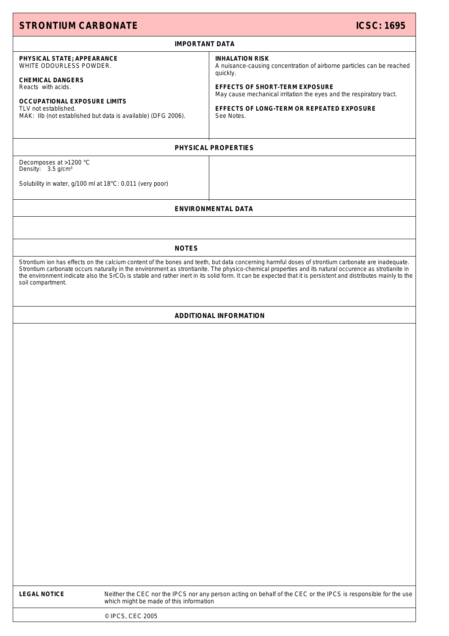# **STRONTIUM CARBONATE ICSC: 1695**

| <b>IMPORTANT DATA</b>                                                                                                                                                                                                                                                                                                                                                                                                                                                                                      |                                                                                                                                |  |  |  |
|------------------------------------------------------------------------------------------------------------------------------------------------------------------------------------------------------------------------------------------------------------------------------------------------------------------------------------------------------------------------------------------------------------------------------------------------------------------------------------------------------------|--------------------------------------------------------------------------------------------------------------------------------|--|--|--|
| PHYSICAL STATE; APPEARANCE<br>WHITE ODOURLESS POWDER.                                                                                                                                                                                                                                                                                                                                                                                                                                                      | <b>INHALATION RISK</b><br>A nuisance-causing concentration of airborne particles can be reached<br>quickly.                    |  |  |  |
| <b>CHEMICAL DANGERS</b><br>Reacts with acids.                                                                                                                                                                                                                                                                                                                                                                                                                                                              | <b>EFFECTS OF SHORT-TERM EXPOSURE</b>                                                                                          |  |  |  |
| <b>OCCUPATIONAL EXPOSURE LIMITS</b><br>TLV not established.<br>MAK: IIb (not established but data is available) (DFG 2006).                                                                                                                                                                                                                                                                                                                                                                                | May cause mechanical irritation the eyes and the respiratory tract.<br>EFFECTS OF LONG-TERM OR REPEATED EXPOSURE<br>See Notes. |  |  |  |
|                                                                                                                                                                                                                                                                                                                                                                                                                                                                                                            |                                                                                                                                |  |  |  |
|                                                                                                                                                                                                                                                                                                                                                                                                                                                                                                            | PHYSICAL PROPERTIES                                                                                                            |  |  |  |
| Decomposes at >1200 °C<br>Density: 3.5 g/cm <sup>3</sup>                                                                                                                                                                                                                                                                                                                                                                                                                                                   |                                                                                                                                |  |  |  |
| Solubility in water, g/100 ml at 18°C: 0.011 (very poor)                                                                                                                                                                                                                                                                                                                                                                                                                                                   |                                                                                                                                |  |  |  |
|                                                                                                                                                                                                                                                                                                                                                                                                                                                                                                            | <b>ENVIRONMENTAL DATA</b>                                                                                                      |  |  |  |
|                                                                                                                                                                                                                                                                                                                                                                                                                                                                                                            |                                                                                                                                |  |  |  |
| <b>NOTES</b>                                                                                                                                                                                                                                                                                                                                                                                                                                                                                               |                                                                                                                                |  |  |  |
| Strontium ion has effects on the calcium content of the bones and teeth, but data concerning harmful doses of strontium carbonate are inadequate.<br>Strontium carbonate occurs naturally in the environment as strontianite. The physico-chemical properties and its natural occurence as strotianite in<br>the environment indicate also the SrCO <sub>3</sub> is stable and rather inert in its solid form. It can be expected that it is persistent and distributes mainly to the<br>soil compartment. |                                                                                                                                |  |  |  |
|                                                                                                                                                                                                                                                                                                                                                                                                                                                                                                            | <b>ADDITIONAL INFORMATION</b>                                                                                                  |  |  |  |
|                                                                                                                                                                                                                                                                                                                                                                                                                                                                                                            |                                                                                                                                |  |  |  |
|                                                                                                                                                                                                                                                                                                                                                                                                                                                                                                            |                                                                                                                                |  |  |  |
|                                                                                                                                                                                                                                                                                                                                                                                                                                                                                                            |                                                                                                                                |  |  |  |
|                                                                                                                                                                                                                                                                                                                                                                                                                                                                                                            |                                                                                                                                |  |  |  |
|                                                                                                                                                                                                                                                                                                                                                                                                                                                                                                            |                                                                                                                                |  |  |  |
|                                                                                                                                                                                                                                                                                                                                                                                                                                                                                                            |                                                                                                                                |  |  |  |
|                                                                                                                                                                                                                                                                                                                                                                                                                                                                                                            |                                                                                                                                |  |  |  |
|                                                                                                                                                                                                                                                                                                                                                                                                                                                                                                            |                                                                                                                                |  |  |  |
|                                                                                                                                                                                                                                                                                                                                                                                                                                                                                                            |                                                                                                                                |  |  |  |
|                                                                                                                                                                                                                                                                                                                                                                                                                                                                                                            |                                                                                                                                |  |  |  |
|                                                                                                                                                                                                                                                                                                                                                                                                                                                                                                            |                                                                                                                                |  |  |  |
|                                                                                                                                                                                                                                                                                                                                                                                                                                                                                                            |                                                                                                                                |  |  |  |
|                                                                                                                                                                                                                                                                                                                                                                                                                                                                                                            |                                                                                                                                |  |  |  |
|                                                                                                                                                                                                                                                                                                                                                                                                                                                                                                            |                                                                                                                                |  |  |  |
|                                                                                                                                                                                                                                                                                                                                                                                                                                                                                                            |                                                                                                                                |  |  |  |
| <b>LEGAL NOTICE</b><br>which might be made of this information                                                                                                                                                                                                                                                                                                                                                                                                                                             | Neither the CEC nor the IPCS nor any person acting on behalf of the CEC or the IPCS is responsible for the use                 |  |  |  |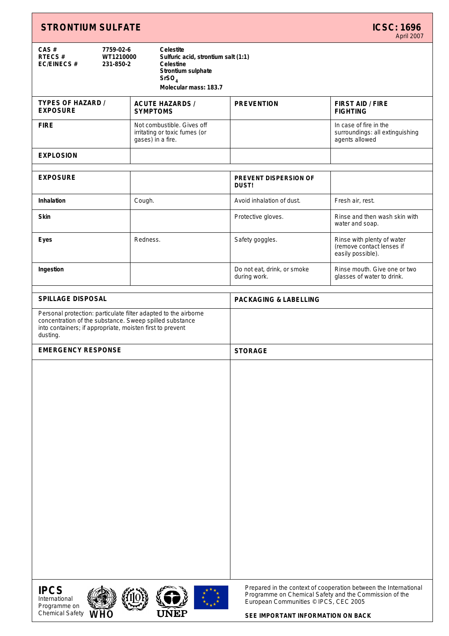# **STRONTIUM SULFATE**

| <b>ICSC: 1696</b> |  |            |  |
|-------------------|--|------------|--|
|                   |  | April 2007 |  |

| <b>EC/EINECS#</b><br>231-850-2                                                                                                                                                                      | Celestine<br>Strontium sulphate<br>SrSO <sub>4</sub><br>Molecular mass: 183.7    |                                             |                                                                              |  |
|-----------------------------------------------------------------------------------------------------------------------------------------------------------------------------------------------------|----------------------------------------------------------------------------------|---------------------------------------------|------------------------------------------------------------------------------|--|
| <b>TYPES OF HAZARD /</b><br><b>EXPOSURE</b>                                                                                                                                                         | <b>ACUTE HAZARDS /</b><br><b>SYMPTOMS</b>                                        | <b>PREVENTION</b>                           | <b>FIRST AID / FIRE</b><br><b>FIGHTING</b>                                   |  |
| <b>FIRE</b>                                                                                                                                                                                         | Not combustible. Gives off<br>irritating or toxic fumes (or<br>gases) in a fire. |                                             | In case of fire in the<br>surroundings: all extinguishing<br>agents allowed  |  |
| <b>EXPLOSION</b>                                                                                                                                                                                    |                                                                                  |                                             |                                                                              |  |
| <b>EXPOSURE</b>                                                                                                                                                                                     |                                                                                  | PREVENT DISPERSION OF<br><b>DUST!</b>       |                                                                              |  |
| Inhalation                                                                                                                                                                                          | Cough.                                                                           | Avoid inhalation of dust.                   | Fresh air, rest.                                                             |  |
| Skin                                                                                                                                                                                                |                                                                                  | Protective gloves.                          | Rinse and then wash skin with<br>water and soap.                             |  |
| <b>Eyes</b>                                                                                                                                                                                         | Redness.                                                                         | Safety goggles.                             | Rinse with plenty of water<br>(remove contact lenses if<br>easily possible). |  |
| Ingestion                                                                                                                                                                                           |                                                                                  | Do not eat, drink, or smoke<br>during work. | Rinse mouth. Give one or two<br>glasses of water to drink.                   |  |
| SPILLAGE DISPOSAL                                                                                                                                                                                   |                                                                                  | <b>PACKAGING &amp; LABELLING</b>            |                                                                              |  |
| Personal protection: particulate filter adapted to the airborne<br>concentration of the substance. Sweep spilled substance<br>into containers; if appropriate, moisten first to prevent<br>dusting. |                                                                                  |                                             |                                                                              |  |
| <b>EMERGENCY RESPONSE</b>                                                                                                                                                                           |                                                                                  | <b>STORAGE</b>                              |                                                                              |  |
|                                                                                                                                                                                                     |                                                                                  |                                             |                                                                              |  |





 $\widehat{\mathcal{A}}$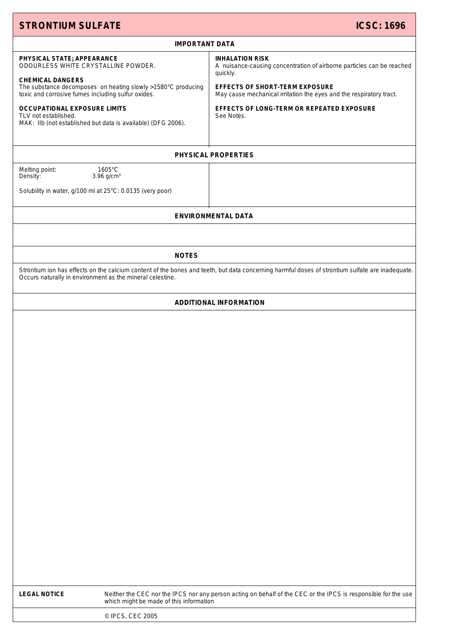# **STRONTIUM SULFATE ICSC: 1696**

| <b>IMPORTANT DATA</b>                                                                                                                                                                                        |                                                                                                                |  |  |  |
|--------------------------------------------------------------------------------------------------------------------------------------------------------------------------------------------------------------|----------------------------------------------------------------------------------------------------------------|--|--|--|
| PHYSICAL STATE; APPEARANCE<br>ODOURLESS WHITE CRYSTALLINE POWDER.                                                                                                                                            | <b>INHALATION RISK</b><br>A nuisance-causing concentration of airborne particles can be reached<br>quickly.    |  |  |  |
| <b>CHEMICAL DANGERS</b><br>The substance decomposes on heating slowly >1580°C producing<br>toxic and corrosive fumes including sulfur oxides.                                                                | <b>EFFECTS OF SHORT-TERM EXPOSURE</b><br>May cause mechanical irritation the eyes and the respiratory tract.   |  |  |  |
| <b>OCCUPATIONAL EXPOSURE LIMITS</b><br>TLV not established.<br>MAK: IIb (not established but data is available) (DFG 2006).                                                                                  | EFFECTS OF LONG-TERM OR REPEATED EXPOSURE<br>See Notes.                                                        |  |  |  |
|                                                                                                                                                                                                              | <b>PHYSICAL PROPERTIES</b>                                                                                     |  |  |  |
| 1605°C<br>Melting point:<br>3.96 g/cm <sup>3</sup><br>Density:                                                                                                                                               |                                                                                                                |  |  |  |
| Solubility in water, g/100 ml at 25°C: 0.0135 (very poor)                                                                                                                                                    |                                                                                                                |  |  |  |
|                                                                                                                                                                                                              | <b>ENVIRONMENTAL DATA</b>                                                                                      |  |  |  |
|                                                                                                                                                                                                              |                                                                                                                |  |  |  |
| <b>NOTES</b>                                                                                                                                                                                                 |                                                                                                                |  |  |  |
| Strontium ion has effects on the calcium content of the bones and teeth, but data concerning harmful doses of strontium sulfate are inadequate.<br>Occurs naturally in environment as the mineral celestine. |                                                                                                                |  |  |  |
|                                                                                                                                                                                                              | <b>ADDITIONAL INFORMATION</b>                                                                                  |  |  |  |
|                                                                                                                                                                                                              |                                                                                                                |  |  |  |
| <b>LEGAL NOTICE</b><br>which might be made of this information                                                                                                                                               | Neither the CEC nor the IPCS nor any person acting on behalf of the CEC or the IPCS is responsible for the use |  |  |  |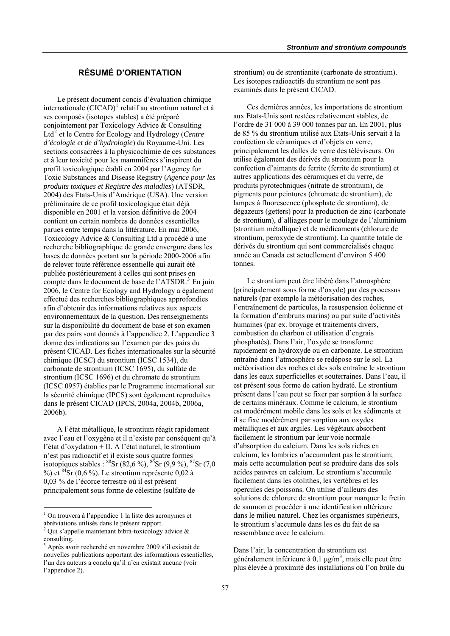## <span id="page-60-0"></span>**RÉSUMÉ D'ORIENTATION**

Le présent document concis d'évaluation chimique internationale (CICAD)<sup>[1](#page-60-0)</sup> relatif au strontium naturel et à Ces dernières années, les importations de strontium ses composés (isotopes stables) a été préparé conjointement par Toxicology Advice & Consulting Ltd<sup>[2](#page-60-0)</sup> et le Centre for Ecology and Hydrology (*Centre d'écologie et de d'hydrologie*) du Royaume-Uni. Les sections consacrées à la physicochimie de ces substances et à leur toxicité pour les mammifères s'inspirent du profil toxicologique établi en 2004 par l'Agency for Toxic Substances and Disease Registry (*Agence pour les produits toxiques et Registre des maladies*) (ATSDR, 2004) des Etats-Unis d'Amérique (USA). Une version préliminaire de ce profil toxicologique était déjà disponible en 2001 et la version définitive de 2004 contient un certain nombres de données essentielles parues entre temps dans la littérature. En mai 2006, Toxicology Advice & Consulting Ltd a procédé à une recherche bibliographique de grande envergure dans les bases de données portant sur la période 2000-2006 afin de relever toute référence essentielle qui aurait été publiée postérieurement à celles qui sont prises en compte dans le document de base de l'ATSDR.<sup>[3](#page-60-0)</sup> En juin Le strontium peut être libéré dans l'atmosphère 2006, le Centre for Ecology and Hydrology a également effectué des recherches bibliographiques approfondies afin d'obtenir des informations relatives aux aspects environnementaux de la question. Des renseignements sur la disponibilité du document de base et son examen par des pairs sont donnés à l'appendice 2. L'appendice 3 donne des indications sur l'examen par des pairs du présent CICAD. Les fiches internationales sur la sécurité chimique (ICSC) du strontium (ICSC 1534), du carbonate de strontium (ICSC 1695), du sulfate de strontium (ICSC 1696) et du chromate de strontium (ICSC 0957) établies par le Programme international sur la sécurité chimique (IPCS) sont également reproduites dans le présent CICAD (IPCS, 2004a, 2004b, 2006a, 2006b).

A l'état métallique, le strontium réagit rapidement avec l'eau et l'oxygène et il n'existe par conséquent qu'à l'état d'oxydation + II. A l'état naturel, le strontium n'est pas radioactif et il existe sous quatre formes isotopiques stables :  ${}^{88}Sr$  (82,6 %),  ${}^{86}Sr$  (9,9 %),  ${}^{87}Sr$  (7,0 %) et  ${}^{84}$ Sr (0,6 %). Le strontium représente 0,02 à 0,03 % de l'écorce terrestre où il est présent principalement sous forme de célestine (sulfate de

 $\overline{a}$ 

strontium) ou de strontianite (carbonate de strontium). Les isotopes radioactifs du strontium ne sont pas examinés dans le présent CICAD.

aux Etats-Unis sont restées relativement stables, de l'ordre de 31 000 à 39 000 tonnes par an. En 2001, plus de 85 % du strontium utilisé aux Etats-Unis servait à la confection de céramiques et d'objets en verre, principalement les dalles de verre des téléviseurs. On utilise également des dérivés du strontium pour la confection d'aimants de ferrite (ferrite de strontium) et autres applications des céramiques et du verre, de produits pyrotechniques (nitrate de strontium), de pigments pour peintures (chromate de strontium), de lampes à fluorescence (phosphate de strontium), de dégazeurs (getters) pour la production de zinc (carbonate de strontium), d'alliages pour le moulage de l'aluminium (strontium métallique) et de médicaments (chlorure de strontium, peroxyde de strontium). La quantité totale de dérivés du strontium qui sont commercialisés chaque année au Canada est actuellement d'environ 5 400 tonnes.

(principalement sous forme d'oxyde) par des processus naturels (par exemple la météorisation des roches, l'entraînement de particules, la resuspension éolienne et la formation d'embruns marins) ou par suite d'activités humaines (par ex. broyage et traitements divers, combustion du charbon et utilisation d'engrais phosphatés). Dans l'air, l'oxyde se transforme rapidement en hydroxyde ou en carbonate. Le strontium entraîné dans l'atmosphère se redépose sur le sol. La météorisation des roches et des sols entraîne le strontium dans les eaux superficielles et souterraines. Dans l'eau, il est présent sous forme de cation hydraté. Le strontium présent dans l'eau peut se fixer par sorption à la surface de certains minéraux. Comme le calcium, le strontium est modérément mobile dans les sols et les sédiments et il se fixe modérément par sorption aux oxydes métalliques et aux argiles. Les végétaux absorbent facilement le strontium par leur voie normale d'absorption du calcium. Dans les sols riches en calcium, les lombrics n'accumulent pas le strontium; mais cette accumulation peut se produire dans des sols acides pauvres en calcium. Le strontium s'accumule facilement dans les otolithes, les vertèbres et les opercules des poissons. On utilise d'ailleurs des solutions de chlorure de strontium pour marquer le fretin de saumon et procéder à une identification ultérieure dans le milieu naturel. Chez les organismes supérieurs, le strontium s'accumule dans les os du fait de sa ressemblance avec le calcium.

Dans l'air, la concentration du strontium est généralement inférieure à 0,1 μg/m<sup>3</sup>, mais elle peut être plus élevée à proximité des installations où l'on brûle du

<sup>1</sup> On trouvera à l'appendice 1 la liste des acronymes et abréviations utilisés dans le présent rapport. 2

 $2$  Qui s'appelle maintenant bibra-toxicology advice  $\&$ consulting.

Après avoir recherché en novembre 2009 s'il existait de nouvelles publications apportant des informations essentielles, l'un des auteurs a conclu qu'il n'en existait aucune (voir l'appendice 2).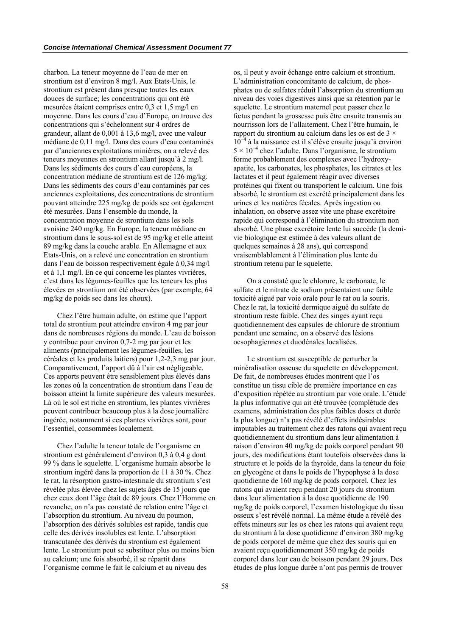charbon. La teneur moyenne de l'eau de mer en strontium est d'environ 8 mg/l. Aux Etats-Unis, le strontium est présent dans presque toutes les eaux douces de surface; les concentrations qui ont été mesurées étaient comprises entre 0,3 et 1,5 mg/l en moyenne. Dans les cours d'eau d'Europe, on trouve des concentrations qui s'échelonnent sur 4 ordres de grandeur, allant de 0,001 à 13,6 mg/l, avec une valeur médiane de 0,11 mg/l. Dans des cours d'eau contaminés par d'anciennes exploitations minières, on a relevé des teneurs moyennes en strontium allant jusqu'à 2 mg/l. Dans les sédiments des cours d'eau européens, la concentration médiane de strontium est de 126 mg/kg. Dans les sédiments des cours d'eau contaminés par ces anciennes exploitations, des concentrations de strontium pouvant atteindre 225 mg/kg de poids sec ont également été mesurées. Dans l'ensemble du monde, la concentration moyenne de strontium dans les sols avoisine 240 mg/kg. En Europe, la teneur médiane en strontium dans le sous-sol est de 95 mg/kg et elle atteint 89 mg/kg dans la couche arable. En Allemagne et aux Etats-Unis, on a relevé une concentration en strontium dans l'eau de boisson respectivement égale à 0,34 mg/l et à 1,1 mg/l. En ce qui concerne les plantes vivrières, c'est dans les légumes-feuilles que les teneurs les plus élevées en strontium ont été observées (par exemple, 64 mg/kg de poids sec dans les choux).

Chez l'être humain adulte, on estime que l'apport total de strontium peut atteindre environ 4 mg par jour dans de nombreuses régions du monde. L'eau de boisson y contribue pour environ 0,7-2 mg par jour et les aliments (principalement les légumes-feuilles, les céréales et les produits laitiers) pour 1,2-2,3 mg par jour. Comparativement, l'apport dû à l'air est négligeable. Ces apports peuvent être sensiblement plus élevés dans les zones où la concentration de strontium dans l'eau de boisson atteint la limite supérieure des valeurs mesurées. Là où le sol est riche en strontium, les plantes vivrières peuvent contribuer beaucoup plus à la dose journalière ingérée, notamment si ces plantes vivrières sont, pour l'essentiel, consommées localement.

Chez l'adulte la teneur totale de l'organisme en strontium est généralement d'environ 0,3 à 0,4 g dont 99 % dans le squelette. L'organisme humain absorbe le strontium ingéré dans la proportion de 11 à 30 %. Chez le rat, la résorption gastro-intestinale du strontium s'est révélée plus élevée chez les sujets âgés de 15 jours que chez ceux dont l'âge était de 89 jours. Chez l'Homme en revanche, on n'a pas constaté de relation entre l'âge et l'absorption du strontium. Au niveau du poumon, l'absorption des dérivés solubles est rapide, tandis que celle des dérivés insolubles est lente. L'absorption transcutanée des dérivés du strontium est également lente. Le strontium peut se substituer plus ou moins bien au calcium; une fois absorbé, il se répartit dans l'organisme comme le fait le calcium et au niveau des

os, il peut y avoir échange entre calcium et strontium. L'administration concomitante de calcium, de phosphates ou de sulfates réduit l'absorption du strontium au niveau des voies digestives ainsi que sa rétention par le squelette. Le strontium maternel peut passer chez le fœtus pendant la grossesse puis être ensuite transmis au nourrisson lors de l'allaitement. Chez l'être humain, le rapport du strontium au calcium dans les os est de  $3 \times$ 10<sup>−</sup><sup>4</sup> à la naissance est il s'élève ensuite jusqu'à environ 5 × 10<sup>−</sup><sup>4</sup> chez l'adulte. Dans l'organisme, le strontium forme probablement des complexes avec l'hydroxyapatite, les carbonates, les phosphates, les citrates et les lactates et il peut également réagir avec diverses protéines qui fixent ou transportent le calcium. Une fois absorbé, le strontium est excrété principalement dans les urines et les matières fécales. Après ingestion ou inhalation, on observe assez vite une phase excrétoire rapide qui correspond à l'élimination du strontium non absorbé. Une phase excrétoire lente lui succède (la demivie biologique est estimée à des valeurs allant de quelques semaines à 28 ans), qui correspond vraisemblablement à l'élimination plus lente du strontium retenu par le squelette.

On a constaté que le chlorure, le carbonate, le sulfate et le nitrate de sodium présentaient une faible toxicité aiguë par voie orale pour le rat ou la souris. Chez le rat, la toxicité dermique aiguë du sulfate de strontium reste faible. Chez des singes ayant reçu quotidiennement des capsules de chlorure de strontium pendant une semaine, on a observé des lésions oesophagiennes et duodénales localisées.

Le strontium est susceptible de perturber la minéralisation osseuse du squelette en développement. De fait, de nombreuses études montrent que l'os constitue un tissu cible de première importance en cas d'exposition répétée au strontium par voie orale. L'étude la plus informative qui ait été trouvée (complétude des examens, administration des plus faibles doses et durée la plus longue) n'a pas révélé d'effets indésirables imputables au traitement chez des ratons qui avaient reçu quotidiennement du strontium dans leur alimentation à raison d'environ 40 mg/kg de poids corporel pendant 90 jours, des modifications étant toutefois observées dans la structure et le poids de la thyroïde, dans la teneur du foie en glycogène et dans le poids de l'hypophyse à la dose quotidienne de 160 mg/kg de poids corporel. Chez les ratons qui avaient reçu pendant 20 jours du strontium dans leur alimentation à la dose quotidienne de 190 mg/kg de poids corporel, l'examen histologique du tissu osseux s'est révélé normal. La même étude a révélé des effets mineurs sur les os chez les ratons qui avaient reçu du strontium à la dose quotidienne d'environ 380 mg/kg de poids corporel de même que chez des souris qui en avaient reçu quotidiennement 350 mg/kg de poids corporel dans leur eau de boisson pendant 29 jours. Des études de plus longue durée n'ont pas permis de trouver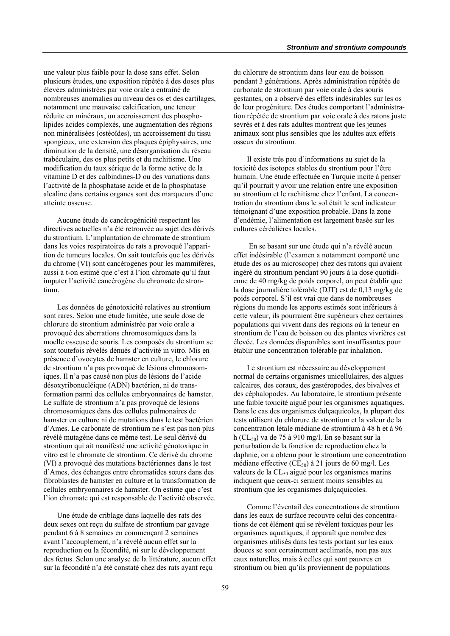une valeur plus faible pour la dose sans effet. Selon plusieurs études, une exposition répétée à des doses plus élevées administrées par voie orale a entraîné de nombreuses anomalies au niveau des os et des cartilages, notamment une mauvaise calcification, une teneur réduite en minéraux, un accroissement des phospholipides acides complexés, une augmentation des régions non minéralisées (ostéoïdes), un accroissement du tissu spongieux, une extension des plaques épiphysaires, une diminution de la densité, une désorganisation du réseau trabéculaire, des os plus petits et du rachitisme. Une modification du taux sérique de la forme active de la vitamine D et des calbindines-D ou des variations dans l'activité de la phosphatase acide et de la phosphatase alcaline dans certains organes sont des marqueurs d'une atteinte osseuse.

Aucune étude de cancérogénicité respectant les directives actuelles n'a été retrouvée au sujet des dérivés du strontium. L'implantation de chromate de strontium dans les voies respiratoires de rats a provoqué l'apparition de tumeurs locales. On sait toutefois que les dérivés du chrome (VI) sont cancérogènes pour les mammifères, aussi a t-on estimé que c'est à l'ion chromate qu'il faut imputer l'activité cancérogène du chromate de strontium.

Les données de génotoxicité relatives au strontium sont rares. Selon une étude limitée, une seule dose de chlorure de strontium administrée par voie orale a provoqué des aberrations chromosomiques dans la moelle osseuse de souris. Les composés du strontium se sont toutefois révélés dénués d'activité in vitro. Mis en présence d'ovocytes de hamster en culture, le chlorure de strontium n'a pas provoqué de lésions chromosomiques. Il n'a pas causé non plus de lésions de l'acide désoxyribonucléique (ADN) bactérien, ni de transformation parmi des cellules embryonnaires de hamster. Le sulfate de strontium n'a pas provoqué de lésions chromosomiques dans des cellules pulmonaires de hamster en culture ni de mutations dans le test bactérien d'Ames. Le carbonate de strontium ne s'est pas non plus révélé mutagène dans ce même test. Le seul dérivé du strontium qui ait manifesté une activité génotoxique in vitro est le chromate de strontium. Ce dérivé du chrome (VI) a provoqué des mutations bactériennes dans le test d'Ames, des échanges entre chromatides sœurs dans des fibroblastes de hamster en culture et la transformation de cellules embryonnaires de hamster. On estime que c'est l'ion chromate qui est responsable de l'activité observée.

Une étude de criblage dans laquelle des rats des deux sexes ont reçu du sulfate de strontium par gavage pendant 6 à 8 semaines en commençant 2 semaines avant l'accouplement, n'a révélé aucun effet sur la reproduction ou la fécondité, ni sur le développement des fœtus. Selon une analyse de la littérature, aucun effet sur la fécondité n'a été constaté chez des rats ayant reçu

du chlorure de strontium dans leur eau de boisson pendant 3 générations. Après administration répétée de carbonate de strontium par voie orale à des souris gestantes, on a observé des effets indésirables sur les os de leur progéniture. Des études comportant l'administration répétée de strontium par voie orale à des ratons juste sevrés et à des rats adultes montrent que les jeunes animaux sont plus sensibles que les adultes aux effets osseux du strontium.

Il existe très peu d'informations au sujet de la toxicité des isotopes stables du strontium pour l'être humain. Une étude effectuée en Turquie incite à penser qu'il pourrait y avoir une relation entre une exposition au strontium et le rachitisme chez l'enfant. La concentration du strontium dans le sol était le seul indicateur témoignant d'une exposition probable. Dans la zone d'endémie, l'alimentation est largement basée sur les cultures céréalières locales.

 En se basant sur une étude qui n'a révélé aucun effet indésirable (l'examen a notamment comporté une étude des os au microscope) chez des ratons qui avaient ingéré du strontium pendant 90 jours à la dose quotidienne de 40 mg/kg de poids corporel, on peut établir que la dose journalière tolérable (DJT) est de 0,13 mg/kg de poids corporel. S'il est vrai que dans de nombreuses régions du monde les apports estimés sont inférieurs à cette valeur, ils pourraient être supérieurs chez certaines populations qui vivent dans des régions où la teneur en strontium de l'eau de boisson ou des plantes vivrières est élevée. Les données disponibles sont insuffisantes pour établir une concentration tolérable par inhalation.

Le strontium est nécessaire au développement normal de certains organismes unicellulaires, des algues calcaires, des coraux, des gastéropodes, des bivalves et des céphalopodes. Au laboratoire, le strontium présente une faible toxicité aiguë pour les organismes aquatiques. Dans le cas des organismes dulçaquicoles, la plupart des tests utilisent du chlorure de strontium et la valeur de la concentration létale médiane de strontium à 48 h et à 96 h ( $CL_{50}$ ) va de 75 à 910 mg/l. En se basant sur la perturbation de la fonction de reproduction chez la daphnie, on a obtenu pour le strontium une concentration médiane effective (CE<sub>50</sub>) à 21 jours de 60 mg/l. Les valeurs de la  $CL_{50}$  aiguë pour les organismes marins indiquent que ceux-ci seraient moins sensibles au strontium que les organismes dulçaquicoles.

 Comme l'éventail des concentrations de strontium dans les eaux de surface recouvre celui des concentrations de cet élément qui se révèlent toxiques pour les organismes aquatiques, il apparaît que nombre des organismes utilisés dans les tests portant sur les eaux douces se sont certainement acclimatés, non pas aux eaux naturelles, mais à celles qui sont pauvres en strontium ou bien qu'ils proviennent de populations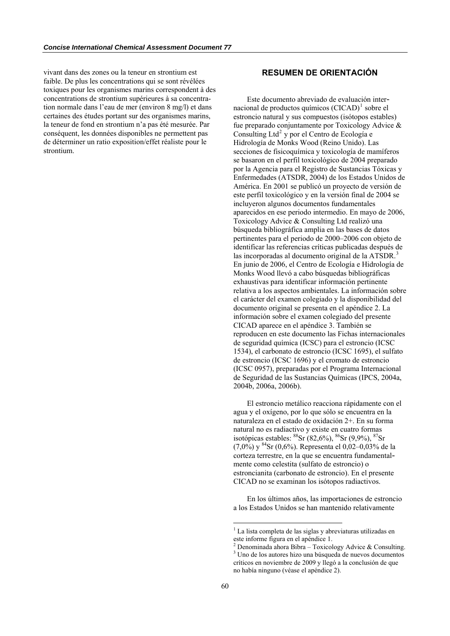<span id="page-63-0"></span>vivant dans des zones ou la teneur en strontium est faible. De plus les concentrations qui se sont révélées toxiques pour les organismes marins correspondent à des concentrations de strontium supérieures à sa concentration normale dans l'eau de mer (environ 8 mg/l) et dans certaines des études portant sur des organismes marins, la teneur de fond en strontium n'a pas été mesurée. Par conséquent, les données disponibles ne permettent pas de déterminer un ratio exposition/effet réaliste pour le strontium.

### **RESUMEN DE ORIENTACIÓN**

 Este documento abreviado de evaluación inter nacional de productos químicos  $(CICAD)^1$  $(CICAD)^1$  sobre el estroncio natural y sus compuestos (isótopos estables) fue preparado conjuntamente por Toxicology Advice & Consulting Ltd<sup>[2](#page-63-0)</sup> y por el Centro de Ecología e Hidrología de Monks Wood (Reino Unido). Las secciones de fisicoquímica y toxicología de mamíferos se basaron en el perfil toxicológico de 2004 preparado por la Agencia para el Registro de Sustancias Tóxicas y Enfermedades (ATSDR, 2004) de los Estados Unidos de América. En 2001 se publicó un proyecto de versión de este perfil toxicológico y en la versión final de 2004 se incluyeron algunos documentos fundamentales aparecidos en ese periodo intermedio. En mayo de 2006, Toxicology Advice & Consulting Ltd realizó una búsqueda bibliográfica amplia en las bases de datos pertinentes para el periodo de 2000–2006 con objeto de identificar las referencias críticas publicadas después de las incorporadas al documento original de la ATSDR.<sup>[3](#page-63-0)</sup> En junio de 2006, el Centro de Ecología e Hidrología de Monks Wood llevó a cabo búsquedas bibliográficas exhaustivas para identificar información pertinente relativa a los aspectos ambientales. La información sobre el carácter del examen colegiado y la disponibilidad del documento original se presenta en el apéndice 2. La información sobre el examen colegiado del presente CICAD aparece en el apéndice 3. También se reproducen en este documento las Fichas internacionales de seguridad química (ICSC) para el estroncio (ICSC 1534), el carbonato de estroncio (ICSC 1695), el sulfato de estroncio (ICSC 1696) y el cromato de estroncio (ICSC 0957), preparadas por el Programa Internacional de Seguridad de las Sustancias Químicas (IPCS, 2004a, 2004b, 2006a, 2006b).

 El estroncio metálico reacciona rápidamente con el agua y el oxígeno, por lo que sólo se encuentra en la naturaleza en el estado de oxidación 2+. En su forma natural no es radiactivo y existe en cuatro formas isotópicas estables:  ${}^{88}Sr(82,6%)$ ,  ${}^{86}Sr(9,9%)$ ,  ${}^{87}Sr$  $(7,0\%)$  y  $^{84}$ Sr  $(0,6\%)$ . Representa el 0,02–0,03% de la corteza terrestre, en la que se encuentra fundamental mente como celestita (sulfato de estroncio) o estroncianita (carbonato de estroncio). En el presente CICAD no se examinan los isótopos radiactivos.

 En los últimos años, las importaciones de estroncio a los Estados Unidos se han mantenido relativamente

<u>.</u>

<sup>1</sup> La lista completa de las siglas y abreviaturas utilizadas en este informe figura en el apéndice 1. 2

Denominada ahora Bibra – Toxicology Advice & Consulting. 3 Uno de los autores hizo una búsqueda de nuevos documentos críticos en noviembre de 2009 y llegó a la conclusión de que no había ninguno (véase el apéndice 2).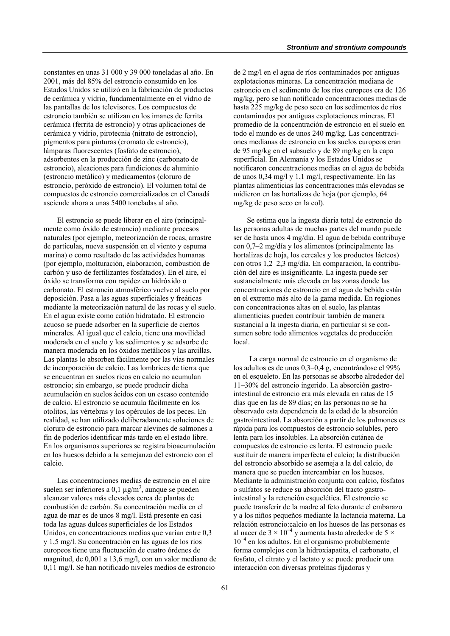constantes en unas 31 000 y 39 000 toneladas al año. En 2001, más del 85% del estroncio consumido en los Estados Unidos se utilizó en la fabricación de productos de cerámica y vidrio, fundamentalmente en el vidrio de las pantallas de los televisores. Los compuestos de estroncio también se utilizan en los imanes de ferrita cerámica (ferrita de estroncio) y otras aplicaciones de cerámica y vidrio, pirotecnia (nitrato de estroncio), pigmentos para pinturas (cromato de estroncio), lámparas fluorescentes (fosfato de estroncio), adsorbentes en la producción de zinc (carbonato de estroncio), aleaciones para fundiciones de aluminio (estroncio metálico) y medicamentos (cloruro de estroncio, peróxido de estroncio). El volumen total de compuestos de estroncio comercializados en el Canadá asciende ahora a unas 5400 toneladas al año.

 El estroncio se puede liberar en el aire (principalmente como óxido de estroncio) mediante procesos naturales (por ejemplo, meteorización de rocas, arrastre de partículas, nueva suspensión en el viento y espuma marina) o como resultado de las actividades humanas (por ejemplo, molturación, elaboración, combustión de carbón y uso de fertilizantes fosfatados). En el aire, el óxido se transforma con rapidez en hidróxido o carbonato. El estroncio atmosférico vuelve al suelo por deposición. Pasa a las aguas superficiales y freáticas mediante la meteorización natural de las rocas y el suelo. En el agua existe como catión hidratado. El estroncio acuoso se puede adsorber en la superficie de ciertos minerales. Al igual que el calcio, tiene una movilidad moderada en el suelo y los sedimentos y se adsorbe de manera moderada en los óxidos metálicos y las arcillas. Las plantas lo absorben fácilmente por las vías normales de incorporación de calcio. Las lombrices de tierra que se encuentran en suelos ricos en calcio no acumulan estroncio; sin embargo, se puede producir dicha acumulación en suelos ácidos con un escaso contenido de calcio. El estroncio se acumula fácilmente en los otolitos, las vértebras y los opérculos de los peces. En realidad, se han utilizado deliberadamente soluciones de cloruro de estroncio para marcar alevines de salmones a fin de poderlos identificar más tarde en el estado libre. En los organismos superiores se registra bioacumulación en los huesos debido a la semejanza del estroncio con el calcio.

 Las concentraciones medias de estroncio en el aire suelen ser inferiores a 0,1  $\mu$ g/m<sup>3</sup>, aunque se pueden alcanzar valores más elevados cerca de plantas de combustión de carbón. Su concentración media en el agua de mar es de unos 8 mg/l. Está presente en casi toda las aguas dulces superficiales de los Estados Unidos, en concentraciones medias que varían entre 0,3 y 1,5 mg/l. Su concentración en las aguas de los ríos europeos tiene una fluctuación de cuatro órdenes de magnitud, de 0,001 a 13,6 mg/l, con un valor mediano de 0,11 mg/l. Se han notificado niveles medios de estroncio

de 2 mg/l en el agua de ríos contaminados por antiguas explotaciones mineras. La concentración mediana de estroncio en el sedimento de los ríos europeos era de 126 mg/kg, pero se han notificado concentraciones medias de hasta 225 mg/kg de peso seco en los sedimentos de ríos contaminados por antiguas explotaciones mineras. El promedio de la concentración de estroncio en el suelo en todo el mundo es de unos 240 mg/kg. Las concentraciones medianas de estroncio en los suelos europeos eran de 95 mg/kg en el subsuelo y de 89 mg/kg en la capa superficial. En Alemania y los Estados Unidos se notificaron concentraciones medias en el agua de bebida de unos 0,34 mg/l y 1,1 mg/l, respectivamente. En las plantas alimenticias las concentraciones más elevadas se midieron en las hortalizas de hoja (por ejemplo, 64 mg/kg de peso seco en la col).

 Se estima que la ingesta diaria total de estroncio de las personas adultas de muchas partes del mundo puede ser de hasta unos 4 mg/día. El agua de bebida contribuye con 0,7–2 mg/día y los alimentos (principalmente las hortalizas de hoja, los cereales y los productos lácteos) con otros 1,2–2,3 mg/día. En comparación, la contribución del aire es insignificante. La ingesta puede ser sustancialmente más elevada en las zonas donde las concentraciones de estroncio en el agua de bebida están en el extremo más alto de la gama medida. En regiones con concentraciones altas en el suelo, las plantas alimenticias pueden contribuir también de manera sustancial a la ingesta diaria, en particular si se consumen sobre todo alimentos vegetales de producción local.

La carga normal de estroncio en el organismo de los adultos es de unos 0,3–0,4 g, encontrándose el 99% en el esqueleto. En las personas se absorbe alrededor del 11–30% del estroncio ingerido. La absorción gastrointestinal de estroncio era más elevada en ratas de 15 días que en las de 89 días; en las personas no se ha observado esta dependencia de la edad de la absorción gastrointestinal. La absorción a partir de los pulmones es rápida para los compuestos de estroncio solubles, pero lenta para los insolubles. La absorción cutánea de compuestos de estroncio es lenta. El estroncio puede sustituir de manera imperfecta el calcio; la distribución del estroncio absorbido se asemeja a la del calcio, de manera que se pueden intercambiar en los huesos. Mediante la administración conjunta con calcio, fosfatos o sulfatos se reduce su absorción del tracto gastrointestinal y la retención esquelética. El estroncio se puede transferir de la madre al feto durante el embarazo y a los niños pequeños mediante la lactancia materna. La relación estroncio:calcio en los huesos de las personas es al nacer de 3  $\times$  10<sup>-4</sup> y aumenta hasta alrededor de 5  $\times$ 10<sup>−</sup><sup>4</sup> en los adultos. En el organismo probablemente forma complejos con la hidroxiapatita, el carbonato, el fosfato, el citrato y el lactato y se puede producir una interacción con diversas proteínas fijadoras y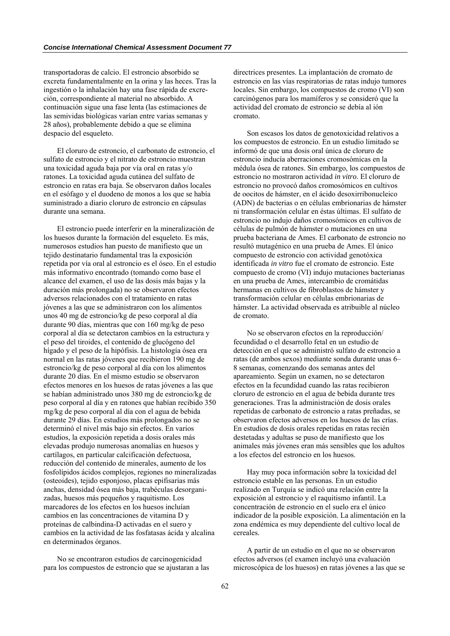transportadoras de calcio. El estroncio absorbido se excreta fundamentalmente en la orina y las heces. Tras la ingestión o la inhalación hay una fase rápida de excreción, correspondiente al material no absorbido. A continuación sigue una fase lenta (las estimaciones de las semividas biológicas varían entre varias semanas y 28 años), probablemente debido a que se elimina despacio del esqueleto.

 El cloruro de estroncio, el carbonato de estroncio, el sulfato de estroncio y el nitrato de estroncio muestran una toxicidad aguda baja por vía oral en ratas y/o ratones. La toxicidad aguda cutánea del sulfato de estroncio en ratas era baja. Se observaron daños locales en el esófago y el duodeno de monos a los que se había suministrado a diario cloruro de estroncio en cápsulas durante una semana.

 El estroncio puede interferir en la mineralización de los huesos durante la formación del esqueleto. Es más, numerosos estudios han puesto de manifiesto que un tejido destinatario fundamental tras la exposición repetida por vía oral al estroncio es el óseo. En el estudio más informativo encontrado (tomando como base el alcance del examen, el uso de las dosis más bajas y la duración más prolongada) no se observaron efectos adversos relacionados con el tratamiento en ratas jóvenes a las que se administraron con los alimentos unos 40 mg de estroncio/kg de peso corporal al día durante 90 días, mientras que con 160 mg/kg de peso corporal al día se detectaron cambios en la estructura y el peso del tiroides, el contenido de glucógeno del hígado y el peso de la hipófisis. La histología ósea era normal en las ratas jóvenes que recibieron 190 mg de estroncio/kg de peso corporal al día con los alimentos durante 20 días. En el mismo estudio se observaron efectos menores en los huesos de ratas jóvenes a las que se habían administrado unos 380 mg de estroncio/kg de peso corporal al día y en ratones que habían recibido 350 mg/kg de peso corporal al día con el agua de bebida durante 29 días. En estudios más prolongados no se determinó el nivel más bajo sin efectos. En varios estudios, la exposición repetida a dosis orales más elevadas produjo numerosas anomalías en huesos y cartílagos, en particular calcificación defectuosa, reducción del contenido de minerales, aumento de los fosfolípidos ácidos complejos, regiones no mineralizadas (osteoides), tejido esponjoso, placas epifisarias más anchas, densidad ósea más baja, trabéculas desorganizadas, huesos más pequeños y raquitismo. Los marcadores de los efectos en los huesos incluían cambios en las concentraciones de vitamina D y proteínas de calbindina-D activadas en el suero y cambios en la actividad de las fosfatasas ácida y alcalina en determinados órganos.

 No se encontraron estudios de carcinogenicidad para los compuestos de estroncio que se ajustaran a las directrices presentes. La implantación de cromato de estroncio en las vías respiratorias de ratas indujo tumores locales. Sin embargo, los compuestos de cromo (VI) son carcinógenos para los mamíferos y se consideró que la actividad del cromato de estroncio se debía al ión cromato.

 Son escasos los datos de genotoxicidad relativos a los compuestos de estroncio. En un estudio limitado se informó de que una dosis oral única de cloruro de estroncio inducía aberraciones cromosómicas en la médula ósea de ratones. Sin embargo, los compuestos de estroncio no mostraron actividad *in vitro*. El cloruro de estroncio no provocó daños cromosómicos en cultivos de oocitos de hámster, en el ácido desoxirribonucleico (ADN) de bacterias o en células embrionarias de hámster ni transformación celular en éstas últimas. El sulfato de estroncio no indujo daños cromosómicos en cultivos de células de pulmón de hámster o mutaciones en una prueba bacteriana de Ames. El carbonato de estroncio no resultó mutagénico en una prueba de Ames. El único compuesto de estroncio con actividad genotóxica identificada *in vitro* fue el cromato de estroncio. Este compuesto de cromo (VI) indujo mutaciones bacterianas en una prueba de Ames, intercambio de cromátidas hermanas en cultivos de fibroblastos de hámster y transformación celular en células embrionarias de hámster. La actividad observada es atribuible al núcleo de cromato.

 No se observaron efectos en la reproducción/ fecundidad o el desarrollo fetal en un estudio de detección en el que se administró sulfato de estroncio a ratas (de ambos sexos) mediante sonda durante unas 6– 8 semanas, comenzando dos semanas antes del apareamiento. Según un examen, no se detectaron efectos en la fecundidad cuando las ratas recibieron cloruro de estroncio en el agua de bebida durante tres generaciones. Tras la administración de dosis orales repetidas de carbonato de estroncio a ratas preñadas, se observaron efectos adversos en los huesos de las crías. En estudios de dosis orales repetidas en ratas recién destetadas y adultas se puso de manifiesto que los animales más jóvenes eran más sensibles que los adultos a los efectos del estroncio en los huesos.

 Hay muy poca información sobre la toxicidad del estroncio estable en las personas. En un estudio realizado en Turquía se indicó una relación entre la exposición al estroncio y el raquitismo infantil. La concentración de estroncio en el suelo era el único indicador de la posible exposición. La alimentación en la zona endémica es muy dependiente del cultivo local de cereales.

 A partir de un estudio en el que no se observaron efectos adversos (el examen incluyó una evaluación microscópica de los huesos) en ratas jóvenes a las que se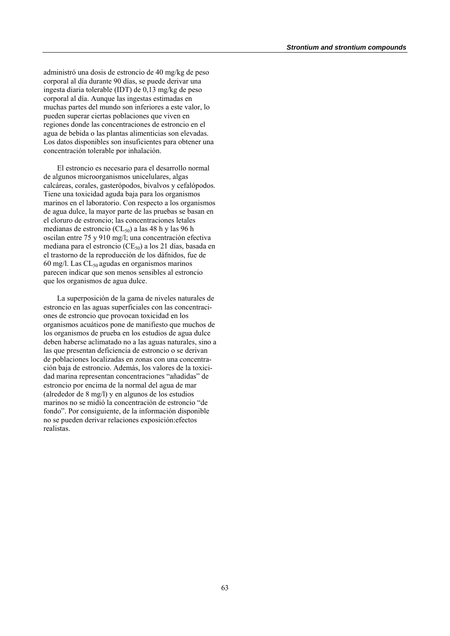administró una dosis de estroncio de 40 mg/kg de peso corporal al día durante 90 días, se puede derivar una ingesta diaria tolerable (IDT) de 0,13 mg/kg de peso corporal al día. Aunque las ingestas estimadas en muchas partes del mundo son inferiores a este valor, lo pueden superar ciertas poblaciones que viven en regiones donde las concentraciones de estroncio en el agua de bebida o las plantas alimenticias son elevadas. Los datos disponibles son insuficientes para obtener una concentración tolerable por inhalación.

 El estroncio es necesario para el desarrollo normal de algunos microorganismos unicelulares, algas calcáreas, corales, gasterópodos, bivalvos y cefalópodos. Tiene una toxicidad aguda baja para los organismos marinos en el laboratorio. Con respecto a los organismos de agua dulce, la mayor parte de las pruebas se basan en el cloruro de estroncio; las concentraciones letales medianas de estroncio ( $CL<sub>50</sub>$ ) a las 48 h y las 96 h oscilan entre 75 y 910 mg/l; una concentración efectiva mediana para el estroncio  $(CE_{50})$  a los 21 días, basada en el trastorno de la reproducción de los dáfnidos, fue de 60 mg/l. Las  $CL_{50}$  agudas en organismos marinos parecen indicar que son menos sensibles al estroncio que los organismos de agua dulce.

 La superposición de la gama de niveles naturales de estroncio en las aguas superficiales con las concentraciones de estroncio que provocan toxicidad en los organismos acuáticos pone de manifiesto que muchos de los organismos de prueba en los estudios de agua dulce deben haberse aclimatado no a las aguas naturales, sino a las que presentan deficiencia de estroncio o se derivan de poblaciones localizadas en zonas con una concentración baja de estroncio. Además, los valores de la toxicidad marina representan concentraciones "añadidas" de estroncio por encima de la normal del agua de mar (alrededor de 8 mg/l) y en algunos de los estudios marinos no se midió la concentración de estroncio "de fondo". Por consiguiente, de la información disponible no se pueden derivar relaciones exposición:efectos realistas.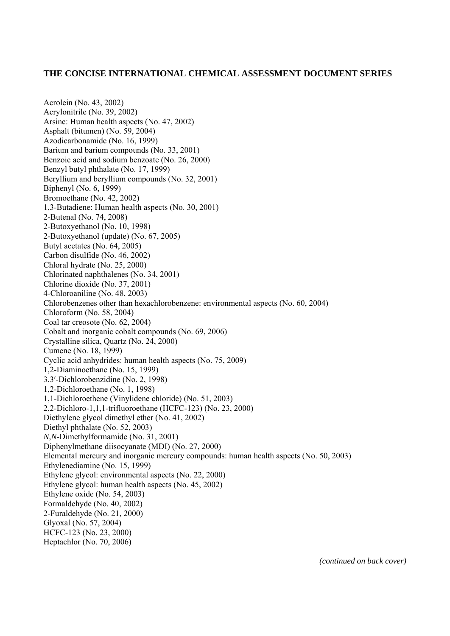### **THE CONCISE INTERNATIONAL CHEMICAL ASSESSMENT DOCUMENT SERIES**

Acrolein (No. 43, 2002) Acrylonitrile (No. 39, 2002) Arsine: Human health aspects (No. 47, 2002) Asphalt (bitumen) (No. 59, 2004) Azodicarbonamide (No. 16, 1999) Barium and barium compounds (No. 33, 2001) Benzoic acid and sodium benzoate (No. 26, 2000) Benzyl butyl phthalate (No. 17, 1999) Beryllium and beryllium compounds (No. 32, 2001) Biphenyl (No. 6, 1999) Bromoethane (No. 42, 2002) 1,3-Butadiene: Human health aspects (No. 30, 2001) 2-Butenal (No. 74, 2008) 2-Butoxyethanol (No. 10, 1998) 2-Butoxyethanol (update) (No. 67, 2005) Butyl acetates (No. 64, 2005) Carbon disulfide (No. 46, 2002) Chloral hydrate (No. 25, 2000) Chlorinated naphthalenes (No. 34, 2001) Chlorine dioxide (No. 37, 2001) 4-Chloroaniline (No. 48, 2003) Chlorobenzenes other than hexachlorobenzene: environmental aspects (No. 60, 2004) Chloroform (No. 58, 2004) Coal tar creosote (No. 62, 2004) Cobalt and inorganic cobalt compounds (No. 69, 2006) Crystalline silica, Quartz (No. 24, 2000) Cumene (No. 18, 1999) Cyclic acid anhydrides: human health aspects (No. 75, 2009) 1,2-Diaminoethane (No. 15, 1999) 3,3′-Dichlorobenzidine (No. 2, 1998) 1,2-Dichloroethane (No. 1, 1998) 1,1-Dichloroethene (Vinylidene chloride) (No. 51, 2003) 2,2-Dichloro-1,1,1-trifluoroethane (HCFC-123) (No. 23, 2000) Diethylene glycol dimethyl ether (No. 41, 2002) Diethyl phthalate (No. 52, 2003) *N*,*N*-Dimethylformamide (No. 31, 2001) Diphenylmethane diisocyanate (MDI) (No. 27, 2000) Elemental mercury and inorganic mercury compounds: human health aspects (No. 50, 2003) Ethylenediamine (No. 15, 1999) Ethylene glycol: environmental aspects (No. 22, 2000) Ethylene glycol: human health aspects (No. 45, 2002) Ethylene oxide (No. 54, 2003) Formaldehyde (No. 40, 2002) 2-Furaldehyde (No. 21, 2000) Glyoxal (No. 57, 2004) HCFC-123 (No. 23, 2000) Heptachlor (No. 70, 2006)

*(continued on back cover)*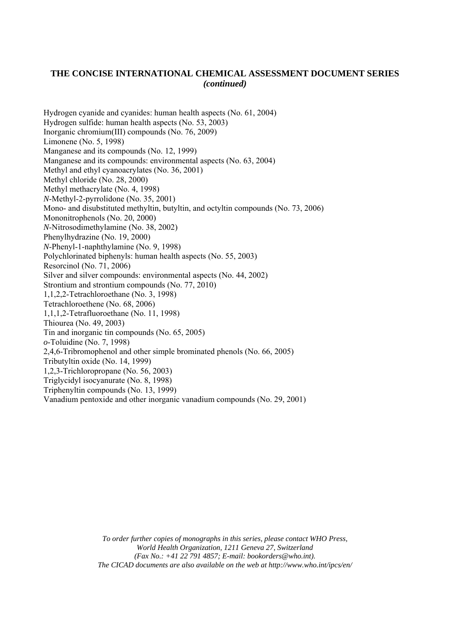# **THE CONCISE INTERNATIONAL CHEMICAL ASSESSMENT DOCUMENT SERIES** *(continued)*

Hydrogen cyanide and cyanides: human health aspects (No. 61, 2004) Hydrogen sulfide: human health aspects (No. 53, 2003) Inorganic chromium(III) compounds (No. 76, 2009) Limonene (No. 5, 1998) Manganese and its compounds (No. 12, 1999) Manganese and its compounds: environmental aspects (No. 63, 2004) Methyl and ethyl cyanoacrylates (No. 36, 2001) Methyl chloride (No. 28, 2000) Methyl methacrylate (No. 4, 1998) *N*-Methyl-2-pyrrolidone (No. 35, 2001) Mono- and disubstituted methyltin, butyltin, and octyltin compounds (No. 73, 2006) Mononitrophenols (No. 20, 2000) *N*-Nitrosodimethylamine (No. 38, 2002) Phenylhydrazine (No. 19, 2000) *N*-Phenyl-1-naphthylamine (No. 9, 1998) Polychlorinated biphenyls: human health aspects (No. 55, 2003) Resorcinol (No. 71, 2006) Silver and silver compounds: environmental aspects (No. 44, 2002) Strontium and strontium compounds (No. 77, 2010) 1,1,2,2-Tetrachloroethane (No. 3, 1998) Tetrachloroethene (No. 68, 2006) 1,1,1,2-Tetrafluoroethane (No. 11, 1998) Thiourea (No. 49, 2003) Tin and inorganic tin compounds (No. 65, 2005) *o*-Toluidine (No. 7, 1998) 2,4,6-Tribromophenol and other simple brominated phenols (No. 66, 2005) Tributyltin oxide (No. 14, 1999) 1,2,3-Trichloropropane (No. 56, 2003) Triglycidyl isocyanurate (No. 8, 1998) Triphenyltin compounds (No. 13, 1999) Vanadium pentoxide and other inorganic vanadium compounds (No. 29, 2001)

> *To order further copies of monographs in this series, please contact WHO Press, World Health Organization, 1211 Geneva 27, Switzerland (Fax No.: +41 22 791 4857; E-mail: bookorders@who.int). The CICAD documents are also available on the web at http://www.who.int/ipcs/en/*